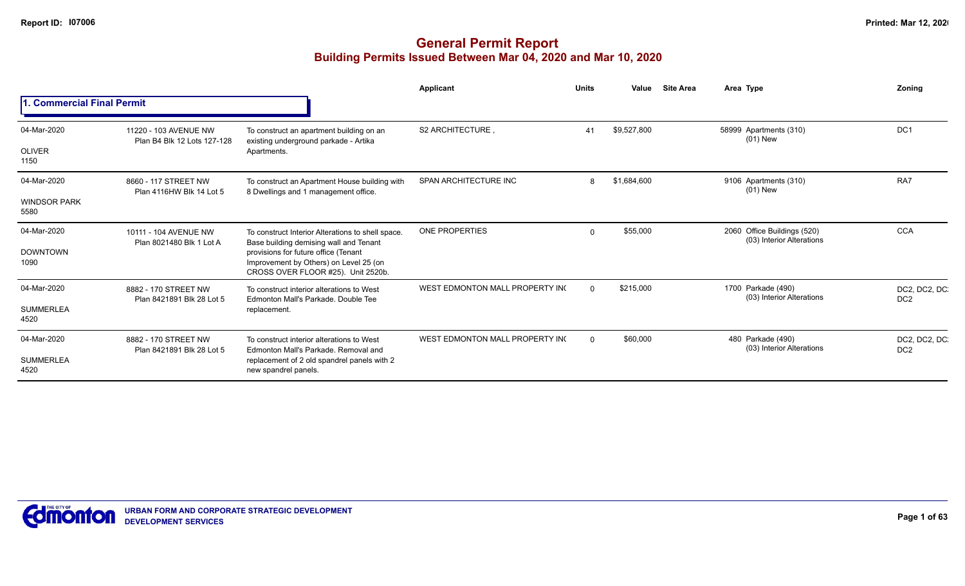|                             |                                                      |                                                                                                                      | Applicant                       | <b>Units</b> | Value       | <b>Site Area</b> | Area Type                                                | Zonina                          |
|-----------------------------|------------------------------------------------------|----------------------------------------------------------------------------------------------------------------------|---------------------------------|--------------|-------------|------------------|----------------------------------------------------------|---------------------------------|
| 1. Commercial Final Permit  |                                                      |                                                                                                                      |                                 |              |             |                  |                                                          |                                 |
| 04-Mar-2020                 | 11220 - 103 AVENUE NW<br>Plan B4 Blk 12 Lots 127-128 | To construct an apartment building on an<br>existing underground parkade - Artika                                    | S2 ARCHITECTURE                 | 41           | \$9,527,800 |                  | 58999 Apartments (310)<br>$(01)$ New                     | DC <sub>1</sub>                 |
| <b>OLIVER</b><br>1150       |                                                      | Apartments.                                                                                                          |                                 |              |             |                  |                                                          |                                 |
| 04-Mar-2020                 | 8660 - 117 STREET NW<br>Plan 4116HW Blk 14 Lot 5     | To construct an Apartment House building with<br>8 Dwellings and 1 management office.                                | SPAN ARCHITECTURE INC           | 8            | \$1,684,600 |                  | 9106 Apartments (310)<br>$(01)$ New                      | RA7                             |
| <b>WINDSOR PARK</b><br>5580 |                                                      |                                                                                                                      |                                 |              |             |                  |                                                          |                                 |
| 04-Mar-2020                 | 10111 - 104 AVENUE NW                                | To construct Interior Alterations to shell space.<br>Base building demising wall and Tenant                          | <b>ONE PROPERTIES</b>           | $\Omega$     | \$55,000    |                  | 2060 Office Buildings (520)<br>(03) Interior Alterations | <b>CCA</b>                      |
| <b>DOWNTOWN</b><br>1090     | Plan 8021480 Blk 1 Lot A                             | provisions for future office (Tenant<br>Improvement by Others) on Level 25 (on<br>CROSS OVER FLOOR #25). Unit 2520b. |                                 |              |             |                  |                                                          |                                 |
| 04-Mar-2020                 | 8882 - 170 STREET NW<br>Plan 8421891 Blk 28 Lot 5    | To construct interior alterations to West<br>Edmonton Mall's Parkade, Double Tee                                     | WEST EDMONTON MALL PROPERTY ING | $\Omega$     | \$215,000   |                  | 1700 Parkade (490)<br>(03) Interior Alterations          | DC2, DC2, DC<br>DC <sub>2</sub> |
| <b>SUMMERLEA</b><br>4520    |                                                      | replacement.                                                                                                         |                                 |              |             |                  |                                                          |                                 |
| 04-Mar-2020                 | 8882 - 170 STREET NW<br>Plan 8421891 Blk 28 Lot 5    | To construct interior alterations to West<br>Edmonton Mall's Parkade, Removal and                                    | WEST EDMONTON MALL PROPERTY ING | $\Omega$     | \$60,000    |                  | 480 Parkade (490)<br>(03) Interior Alterations           | DC2, DC2, DC<br>DC <sub>2</sub> |
| <b>SUMMERLEA</b><br>4520    |                                                      | replacement of 2 old spandrel panels with 2<br>new spandrel panels.                                                  |                                 |              |             |                  |                                                          |                                 |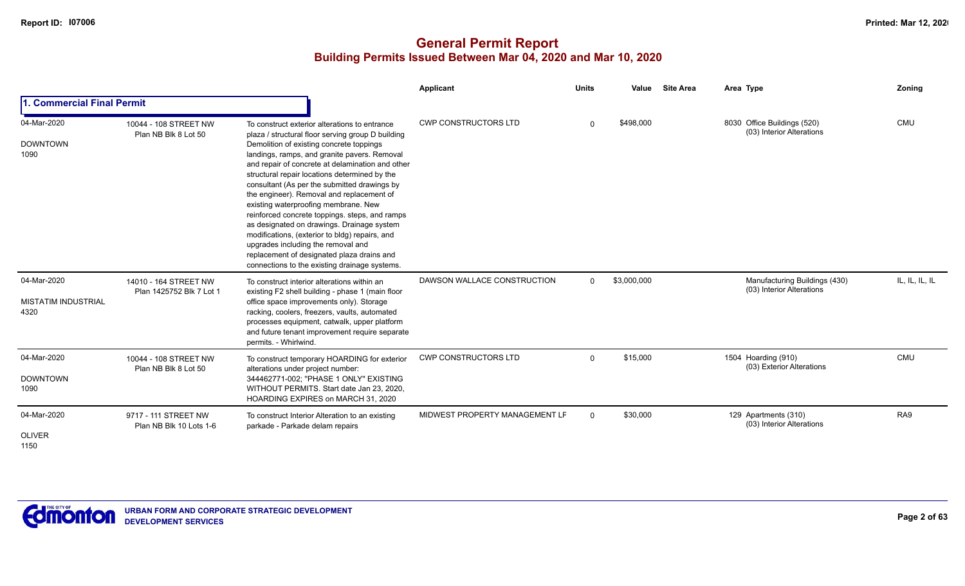|                                                   |                                                   |                                                                                                                                                                                                                                                                                                                                                                                                                                                                                                                                                                                                                                                                                                                                 | Applicant                      | <b>Units</b> | Value       | <b>Site Area</b> | Area Type                                                  | Zoning         |
|---------------------------------------------------|---------------------------------------------------|---------------------------------------------------------------------------------------------------------------------------------------------------------------------------------------------------------------------------------------------------------------------------------------------------------------------------------------------------------------------------------------------------------------------------------------------------------------------------------------------------------------------------------------------------------------------------------------------------------------------------------------------------------------------------------------------------------------------------------|--------------------------------|--------------|-------------|------------------|------------------------------------------------------------|----------------|
| 1. Commercial Final Permit                        |                                                   |                                                                                                                                                                                                                                                                                                                                                                                                                                                                                                                                                                                                                                                                                                                                 |                                |              |             |                  |                                                            |                |
| 04-Mar-2020<br><b>DOWNTOWN</b><br>1090            | 10044 - 108 STREET NW<br>Plan NB Blk 8 Lot 50     | To construct exterior alterations to entrance<br>plaza / structural floor serving group D building<br>Demolition of existing concrete toppings<br>landings, ramps, and granite pavers. Removal<br>and repair of concrete at delamination and other<br>structural repair locations determined by the<br>consultant (As per the submitted drawings by<br>the engineer). Removal and replacement of<br>existing waterproofing membrane. New<br>reinforced concrete toppings. steps, and ramps<br>as designated on drawings. Drainage system<br>modifications, (exterior to bldg) repairs, and<br>upgrades including the removal and<br>replacement of designated plaza drains and<br>connections to the existing drainage systems. | <b>CWP CONSTRUCTORS LTD</b>    | $\Omega$     | \$498,000   |                  | 8030 Office Buildings (520)<br>(03) Interior Alterations   | <b>CMU</b>     |
| 04-Mar-2020<br><b>MISTATIM INDUSTRIAL</b><br>4320 | 14010 - 164 STREET NW<br>Plan 1425752 Blk 7 Lot 1 | To construct interior alterations within an<br>existing F2 shell building - phase 1 (main floor<br>office space improvements only). Storage<br>racking, coolers, freezers, vaults, automated<br>processes equipment, catwalk, upper platform<br>and future tenant improvement require separate<br>permits. - Whirlwind.                                                                                                                                                                                                                                                                                                                                                                                                         | DAWSON WALLACE CONSTRUCTION    | $\Omega$     | \$3,000,000 |                  | Manufacturing Buildings (430)<br>(03) Interior Alterations | IL, IL, IL, IL |
| 04-Mar-2020<br><b>DOWNTOWN</b><br>1090            | 10044 - 108 STREET NW<br>Plan NB Blk 8 Lot 50     | To construct temporary HOARDING for exterior<br>alterations under project number:<br>344462771-002; "PHASE 1 ONLY" EXISTING<br>WITHOUT PERMITS. Start date Jan 23, 2020,<br>HOARDING EXPIRES on MARCH 31, 2020                                                                                                                                                                                                                                                                                                                                                                                                                                                                                                                  | <b>CWP CONSTRUCTORS LTD</b>    | $\mathbf 0$  | \$15,000    |                  | 1504 Hoarding (910)<br>(03) Exterior Alterations           | <b>CMU</b>     |
| 04-Mar-2020<br><b>OLIVER</b><br>1150              | 9717 - 111 STREET NW<br>Plan NB Blk 10 Lots 1-6   | To construct Interior Alteration to an existing<br>parkade - Parkade delam repairs                                                                                                                                                                                                                                                                                                                                                                                                                                                                                                                                                                                                                                              | MIDWEST PROPERTY MANAGEMENT LF | $\mathbf 0$  | \$30,000    |                  | 129 Apartments (310)<br>(03) Interior Alterations          | RA9            |

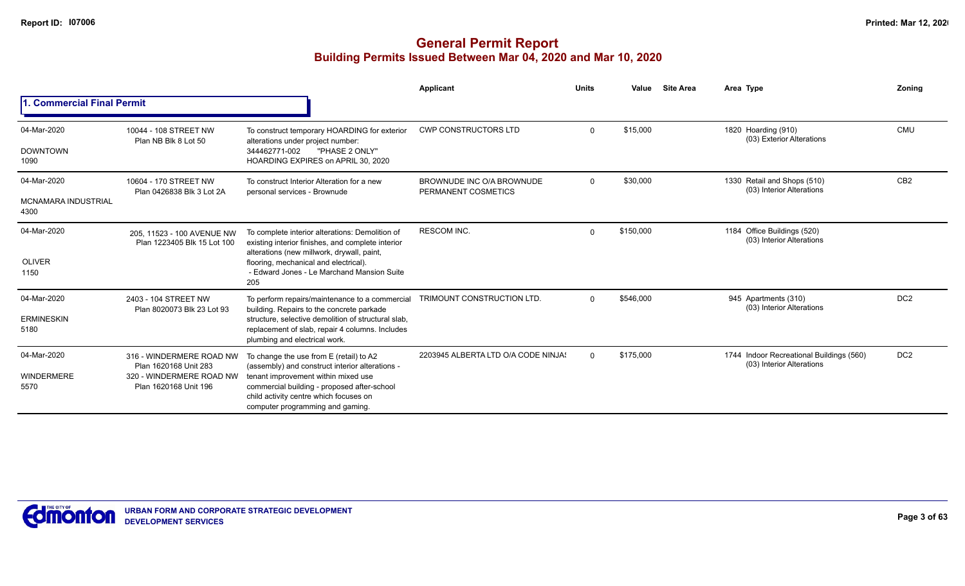|                                    |                                                           |                                                                                                                                                                  | Applicant                                        | <b>Units</b> | Value     | <b>Site Area</b> | Area Type                                                             | Zoning          |
|------------------------------------|-----------------------------------------------------------|------------------------------------------------------------------------------------------------------------------------------------------------------------------|--------------------------------------------------|--------------|-----------|------------------|-----------------------------------------------------------------------|-----------------|
| <b>Commercial Final Permit</b>     |                                                           |                                                                                                                                                                  |                                                  |              |           |                  |                                                                       |                 |
| 04-Mar-2020<br><b>DOWNTOWN</b>     | 10044 - 108 STREET NW<br>Plan NB Blk 8 Lot 50             | To construct temporary HOARDING for exterior<br>alterations under project number:<br>344462771-002<br>"PHASE 2 ONLY"                                             | <b>CWP CONSTRUCTORS LTD</b>                      | $\Omega$     | \$15,000  |                  | 1820 Hoarding (910)<br>(03) Exterior Alterations                      | <b>CMU</b>      |
| 1090                               |                                                           | HOARDING EXPIRES on APRIL 30, 2020                                                                                                                               |                                                  |              |           |                  |                                                                       |                 |
| 04-Mar-2020                        | 10604 - 170 STREET NW<br>Plan 0426838 Blk 3 Lot 2A        | To construct Interior Alteration for a new<br>personal services - Brownude                                                                                       | BROWNUDE INC O/A BROWNUDE<br>PERMANENT COSMETICS | $\Omega$     | \$30,000  |                  | 1330 Retail and Shops (510)<br>(03) Interior Alterations              | CB <sub>2</sub> |
| <b>MCNAMARA INDUSTRIAL</b><br>4300 |                                                           |                                                                                                                                                                  |                                                  |              |           |                  |                                                                       |                 |
| 04-Mar-2020                        | 205, 11523 - 100 AVENUE NW<br>Plan 1223405 Blk 15 Lot 100 | To complete interior alterations: Demolition of<br>existing interior finishes, and complete interior<br>alterations (new millwork, drywall, paint,               | <b>RESCOM INC.</b>                               | $\mathbf 0$  | \$150,000 |                  | 1184 Office Buildings (520)<br>(03) Interior Alterations              |                 |
| <b>OLIVER</b><br>1150              |                                                           | flooring, mechanical and electrical).<br>- Edward Jones - Le Marchand Mansion Suite<br>205                                                                       |                                                  |              |           |                  |                                                                       |                 |
| 04-Mar-2020                        | 2403 - 104 STREET NW<br>Plan 8020073 Blk 23 Lot 93        | To perform repairs/maintenance to a commercial<br>building. Repairs to the concrete parkade                                                                      | TRIMOUNT CONSTRUCTION LTD.                       | $\Omega$     | \$546,000 |                  | 945 Apartments (310)<br>(03) Interior Alterations                     | DC <sub>2</sub> |
| <b>ERMINESKIN</b><br>5180          |                                                           | structure, selective demolition of structural slab.<br>replacement of slab, repair 4 columns. Includes<br>plumbing and electrical work.                          |                                                  |              |           |                  |                                                                       |                 |
| 04-Mar-2020                        | 316 - WINDERMERE ROAD NW<br>Plan 1620168 Unit 283         | To change the use from E (retail) to A2<br>(assembly) and construct interior alterations -                                                                       | 2203945 ALBERTA LTD O/A CODE NINJA!              | $\Omega$     | \$175,000 |                  | 1744 Indoor Recreational Buildings (560)<br>(03) Interior Alterations | DC <sub>2</sub> |
| WINDERMERE<br>5570                 | 320 - WINDERMERE ROAD NW<br>Plan 1620168 Unit 196         | tenant improvement within mixed use<br>commercial building - proposed after-school<br>child activity centre which focuses on<br>computer programming and gaming. |                                                  |              |           |                  |                                                                       |                 |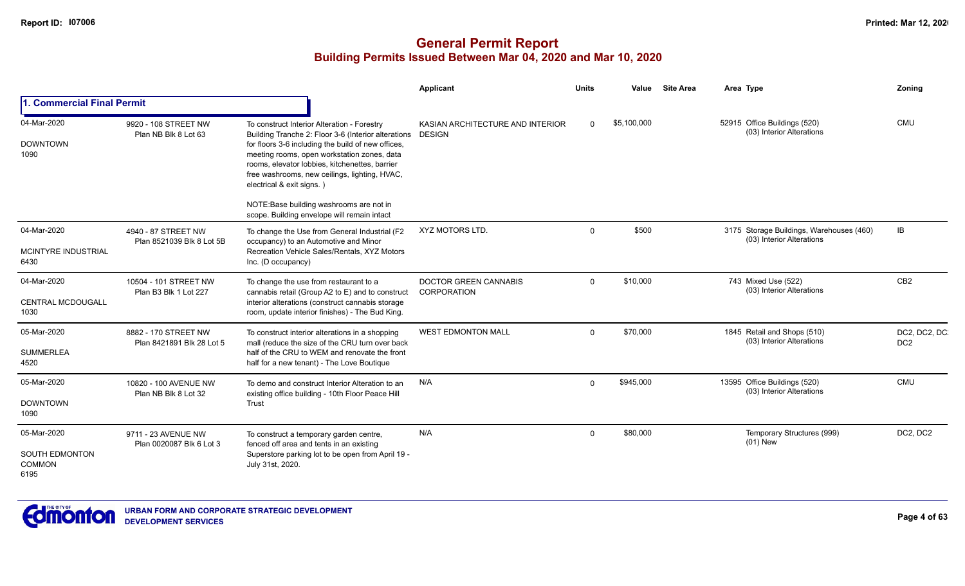|                                                               |                                                   |                                                                                                                                                                                                                                                                                                                                         | Applicant                                         | Units    | Value       | <b>Site Area</b> | Area Type                                                             | Zoning                          |
|---------------------------------------------------------------|---------------------------------------------------|-----------------------------------------------------------------------------------------------------------------------------------------------------------------------------------------------------------------------------------------------------------------------------------------------------------------------------------------|---------------------------------------------------|----------|-------------|------------------|-----------------------------------------------------------------------|---------------------------------|
| <b>1. Commercial Final Permit</b>                             |                                                   |                                                                                                                                                                                                                                                                                                                                         |                                                   |          |             |                  |                                                                       |                                 |
| 04-Mar-2020<br><b>DOWNTOWN</b><br>1090                        | 9920 - 108 STREET NW<br>Plan NB Blk 8 Lot 63      | To construct Interior Alteration - Forestry<br>Building Tranche 2: Floor 3-6 (Interior alterations<br>for floors 3-6 including the build of new offices,<br>meeting rooms, open workstation zones, data<br>rooms, elevator lobbies, kitchenettes, barrier<br>free washrooms, new ceilings, lighting, HVAC,<br>electrical & exit signs.) | KASIAN ARCHITECTURE AND INTERIOR<br><b>DESIGN</b> | $\Omega$ | \$5,100,000 |                  | 52915 Office Buildings (520)<br>(03) Interior Alterations             | <b>CMU</b>                      |
|                                                               |                                                   | NOTE: Base building washrooms are not in<br>scope. Building envelope will remain intact                                                                                                                                                                                                                                                 |                                                   |          |             |                  |                                                                       |                                 |
| 04-Mar-2020<br>MCINTYRE INDUSTRIAL<br>6430                    | 4940 - 87 STREET NW<br>Plan 8521039 Blk 8 Lot 5B  | To change the Use from General Industrial (F2<br>occupancy) to an Automotive and Minor<br>Recreation Vehicle Sales/Rentals, XYZ Motors<br>Inc. (D occupancy)                                                                                                                                                                            | XYZ MOTORS LTD.                                   | $\Omega$ | \$500       |                  | 3175 Storage Buildings, Warehouses (460)<br>(03) Interior Alterations | IB                              |
| 04-Mar-2020<br><b>CENTRAL MCDOUGALL</b><br>1030               | 10504 - 101 STREET NW<br>Plan B3 Blk 1 Lot 227    | To change the use from restaurant to a<br>cannabis retail (Group A2 to E) and to construct<br>interior alterations (construct cannabis storage<br>room, update interior finishes) - The Bud King.                                                                                                                                       | <b>DOCTOR GREEN CANNABIS</b><br>CORPORATION       | $\Omega$ | \$10,000    |                  | 743 Mixed Use (522)<br>(03) Interior Alterations                      | CB <sub>2</sub>                 |
| 05-Mar-2020<br><b>SUMMERLEA</b><br>4520                       | 8882 - 170 STREET NW<br>Plan 8421891 Blk 28 Lot 5 | To construct interior alterations in a shopping<br>mall (reduce the size of the CRU turn over back<br>half of the CRU to WEM and renovate the front<br>half for a new tenant) - The Love Boutique                                                                                                                                       | <b>WEST EDMONTON MALL</b>                         | $\Omega$ | \$70,000    |                  | 1845 Retail and Shops (510)<br>(03) Interior Alterations              | DC2, DC2, DC<br>DC <sub>2</sub> |
| 05-Mar-2020<br><b>DOWNTOWN</b><br>1090                        | 10820 - 100 AVENUE NW<br>Plan NB Blk 8 Lot 32     | To demo and construct Interior Alteration to an<br>existing office building - 10th Floor Peace Hill<br>Trust                                                                                                                                                                                                                            | N/A                                               | $\Omega$ | \$945,000   |                  | 13595 Office Buildings (520)<br>(03) Interior Alterations             | <b>CMU</b>                      |
| 05-Mar-2020<br><b>SOUTH EDMONTON</b><br><b>COMMON</b><br>6195 | 9711 - 23 AVENUE NW<br>Plan 0020087 Blk 6 Lot 3   | To construct a temporary garden centre,<br>fenced off area and tents in an existing<br>Superstore parking lot to be open from April 19 -<br>July 31st, 2020.                                                                                                                                                                            | N/A                                               | $\Omega$ | \$80,000    |                  | Temporary Structures (999)<br>$(01)$ New                              | DC2, DC2                        |

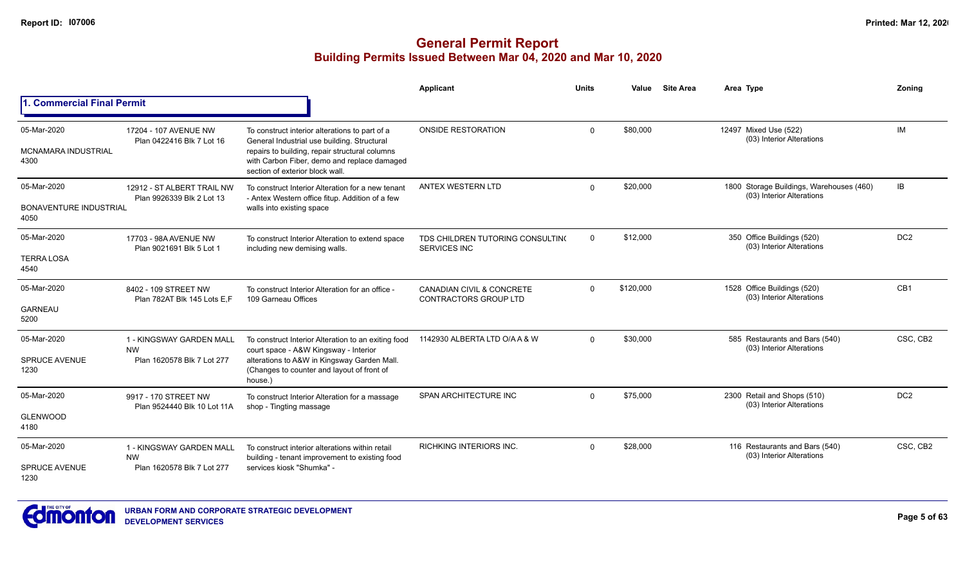|                                                      |                                                                     |                                                                                                                                                                                                                                   | <b>Applicant</b>                                          | Units    | Value     | <b>Site Area</b> | Area Type                                                             | Zoning          |
|------------------------------------------------------|---------------------------------------------------------------------|-----------------------------------------------------------------------------------------------------------------------------------------------------------------------------------------------------------------------------------|-----------------------------------------------------------|----------|-----------|------------------|-----------------------------------------------------------------------|-----------------|
| <b>1. Commercial Final Permit</b>                    |                                                                     |                                                                                                                                                                                                                                   |                                                           |          |           |                  |                                                                       |                 |
| 05-Mar-2020<br><b>MCNAMARA INDUSTRIAL</b><br>4300    | 17204 - 107 AVENUE NW<br>Plan 0422416 Blk 7 Lot 16                  | To construct interior alterations to part of a<br>General Industrial use building. Structural<br>repairs to building, repair structural columns<br>with Carbon Fiber, demo and replace damaged<br>section of exterior block wall. | ONSIDE RESTORATION                                        | $\Omega$ | \$80,000  |                  | 12497 Mixed Use (522)<br>(03) Interior Alterations                    | IM              |
| 05-Mar-2020<br><b>BONAVENTURE INDUSTRIAL</b><br>4050 | 12912 - ST ALBERT TRAIL NW<br>Plan 9926339 Blk 2 Lot 13             | To construct Interior Alteration for a new tenant<br>- Antex Western office fitup. Addition of a few<br>walls into existing space                                                                                                 | ANTEX WESTERN LTD                                         | $\Omega$ | \$20,000  |                  | 1800 Storage Buildings, Warehouses (460)<br>(03) Interior Alterations | IB              |
| 05-Mar-2020<br><b>TERRA LOSA</b><br>4540             | 17703 - 98A AVENUE NW<br>Plan 9021691 Blk 5 Lot 1                   | To construct Interior Alteration to extend space<br>including new demising walls.                                                                                                                                                 | TDS CHILDREN TUTORING CONSULTING<br>SERVICES INC          | $\Omega$ | \$12,000  |                  | 350 Office Buildings (520)<br>(03) Interior Alterations               | DC <sub>2</sub> |
| 05-Mar-2020<br><b>GARNEAU</b><br>5200                | 8402 - 109 STREET NW<br>Plan 782AT Blk 145 Lots E.F                 | To construct Interior Alteration for an office -<br>109 Garneau Offices                                                                                                                                                           | CANADIAN CIVIL & CONCRETE<br><b>CONTRACTORS GROUP LTD</b> | $\Omega$ | \$120,000 |                  | 1528 Office Buildings (520)<br>(03) Interior Alterations              | CB1             |
| 05-Mar-2020<br><b>SPRUCE AVENUE</b><br>1230          | 1 - KINGSWAY GARDEN MALL<br><b>NW</b><br>Plan 1620578 Blk 7 Lot 277 | To construct Interior Alteration to an exiting food<br>court space - A&W Kingsway - Interior<br>alterations to A&W in Kingsway Garden Mall.<br>(Changes to counter and layout of front of<br>house.)                              | 1142930 ALBERTA LTD O/A A & W                             | $\Omega$ | \$30,000  |                  | 585 Restaurants and Bars (540)<br>(03) Interior Alterations           | CSC, CB2        |
| 05-Mar-2020<br><b>GLENWOOD</b><br>4180               | 9917 - 170 STREET NW<br>Plan 9524440 Blk 10 Lot 11A                 | To construct Interior Alteration for a massage<br>shop - Tingting massage                                                                                                                                                         | SPAN ARCHITECTURE INC                                     | $\Omega$ | \$75,000  |                  | 2300 Retail and Shops (510)<br>(03) Interior Alterations              | DC <sub>2</sub> |
| 05-Mar-2020<br><b>SPRUCE AVENUE</b><br>1230          | 1 - KINGSWAY GARDEN MALL<br><b>NW</b><br>Plan 1620578 Blk 7 Lot 277 | To construct interior alterations within retail<br>building - tenant improvement to existing food<br>services kiosk "Shumka" -                                                                                                    | <b>RICHKING INTERIORS INC.</b>                            | $\Omega$ | \$28,000  |                  | 116 Restaurants and Bars (540)<br>(03) Interior Alterations           | CSC, CB2        |

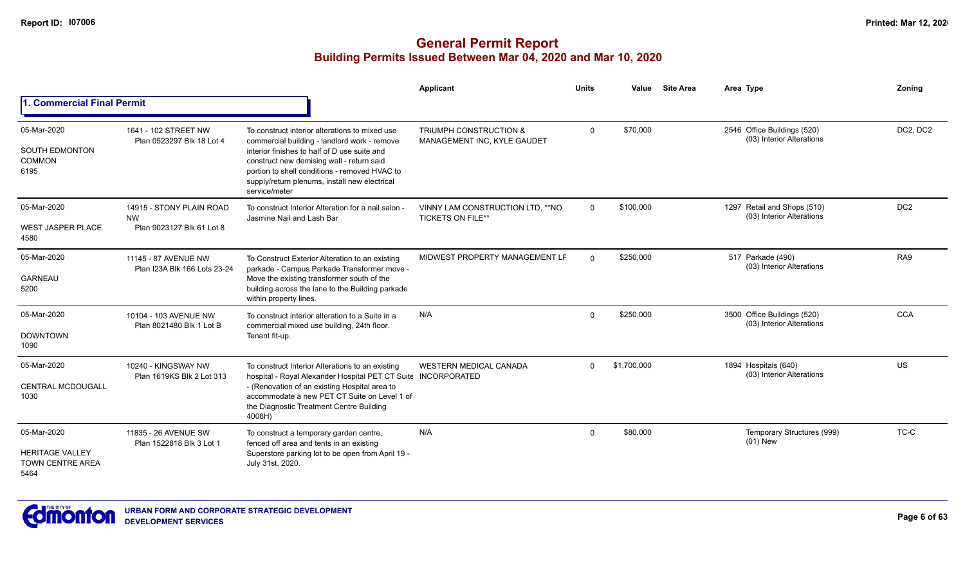|                                                                          |                                                                    |                                                                                                                                                                                                                                                                                                                | Applicant                                                        | <b>Units</b> | Value       | <b>Site Area</b> | Area Type                                                | Zoning          |
|--------------------------------------------------------------------------|--------------------------------------------------------------------|----------------------------------------------------------------------------------------------------------------------------------------------------------------------------------------------------------------------------------------------------------------------------------------------------------------|------------------------------------------------------------------|--------------|-------------|------------------|----------------------------------------------------------|-----------------|
| 1. Commercial Final Permit                                               |                                                                    |                                                                                                                                                                                                                                                                                                                |                                                                  |              |             |                  |                                                          |                 |
| 05-Mar-2020<br><b>SOUTH EDMONTON</b><br><b>COMMON</b><br>6195            | 1641 - 102 STREET NW<br>Plan 0523297 Blk 18 Lot 4                  | To construct interior alterations to mixed use<br>commercial building - landlord work - remove<br>interior finishes to half of D use suite and<br>construct new demising wall - return said<br>portion to shell conditions - removed HVAC to<br>supply/return plenums, install new electrical<br>service/meter | <b>TRIUMPH CONSTRUCTION &amp;</b><br>MANAGEMENT INC, KYLE GAUDET | $\Omega$     | \$70,000    |                  | 2546 Office Buildings (520)<br>(03) Interior Alterations | DC2, DC2        |
| 05-Mar-2020<br><b>WEST JASPER PLACE</b><br>4580                          | 14915 - STONY PLAIN ROAD<br><b>NW</b><br>Plan 9023127 Blk 61 Lot 8 | To construct Interior Alteration for a nail salon -<br>Jasmine Nail and Lash Bar                                                                                                                                                                                                                               | VINNY LAM CONSTRUCTION LTD, ** NO<br><b>TICKETS ON FILE**</b>    | $\Omega$     | \$100.000   |                  | 1297 Retail and Shops (510)<br>(03) Interior Alterations | DC <sub>2</sub> |
| 05-Mar-2020<br><b>GARNEAU</b><br>5200                                    | 11145 - 87 AVENUE NW<br>Plan I23A Blk 166 Lots 23-24               | To Construct Exterior Alteration to an existing<br>parkade - Campus Parkade Transformer move -<br>Move the existing transformer south of the<br>building across the lane to the Building parkade<br>within property lines.                                                                                     | MIDWEST PROPERTY MANAGEMENT LF                                   | $\Omega$     | \$250,000   |                  | 517 Parkade (490)<br>(03) Interior Alterations           | RA9             |
| 05-Mar-2020<br><b>DOWNTOWN</b><br>1090                                   | 10104 - 103 AVENUE NW<br>Plan 8021480 Blk 1 Lot B                  | To construct interior alteration to a Suite in a<br>commercial mixed use building, 24th floor.<br>Tenant fit-up.                                                                                                                                                                                               | N/A                                                              | $\Omega$     | \$250,000   |                  | 3500 Office Buildings (520)<br>(03) Interior Alterations | <b>CCA</b>      |
| 05-Mar-2020<br><b>CENTRAL MCDOUGALL</b><br>1030                          | 10240 - KINGSWAY NW<br>Plan 1619KS Blk 2 Lot 313                   | To construct Interior Alterations to an existing<br>hospital - Royal Alexander Hospital PET CT Suite INCORPORATED<br>- (Renovation of an existing Hospital area to<br>accommodate a new PET CT Suite on Level 1 of<br>the Diagnostic Treatment Centre Building<br>4008H)                                       | <b>WESTERN MEDICAL CANADA</b>                                    | $\Omega$     | \$1,700,000 |                  | 1894 Hospitals (640)<br>(03) Interior Alterations        | US              |
| 05-Mar-2020<br><b>HERITAGE VALLEY</b><br><b>TOWN CENTRE AREA</b><br>5464 | 11835 - 26 AVENUE SW<br>Plan 1522818 Blk 3 Lot 1                   | To construct a temporary garden centre,<br>fenced off area and tents in an existing<br>Superstore parking lot to be open from April 19 -<br>July 31st, 2020.                                                                                                                                                   | N/A                                                              | $\Omega$     | \$80,000    |                  | Temporary Structures (999)<br>$(01)$ New                 | TC-C            |

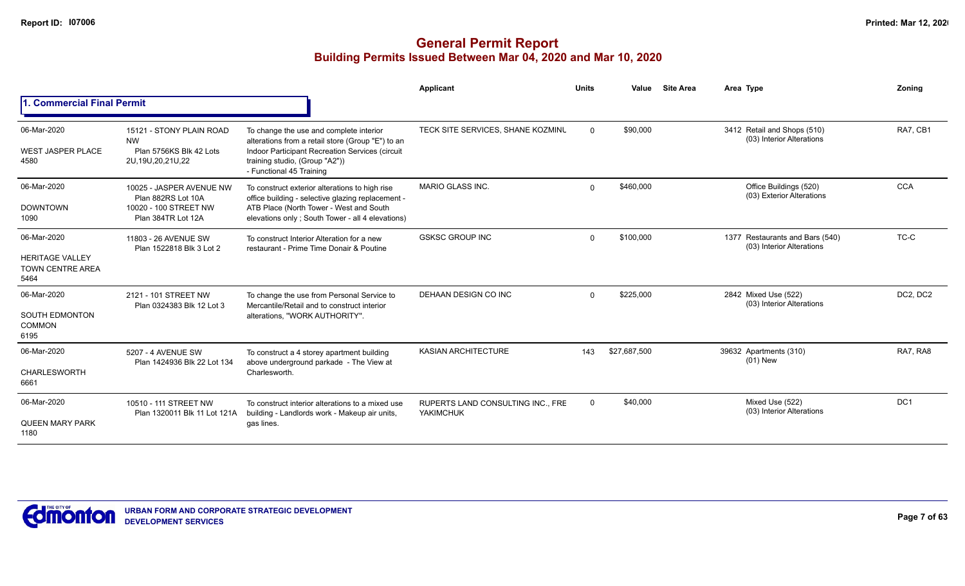|                                                                          |                                                                                               |                                                                                                                                                                                                               | Applicant                                             | <b>Units</b> | Value        | <b>Site Area</b> | Area Type                                                    | Zoning     |
|--------------------------------------------------------------------------|-----------------------------------------------------------------------------------------------|---------------------------------------------------------------------------------------------------------------------------------------------------------------------------------------------------------------|-------------------------------------------------------|--------------|--------------|------------------|--------------------------------------------------------------|------------|
| 1. Commercial Final Permit                                               |                                                                                               |                                                                                                                                                                                                               |                                                       |              |              |                  |                                                              |            |
| 06-Mar-2020<br><b>WEST JASPER PLACE</b><br>4580                          | 15121 - STONY PLAIN ROAD<br><b>NW</b><br>Plan 5756KS Blk 42 Lots<br>2U, 19U, 20, 21U, 22      | To change the use and complete interior<br>alterations from a retail store (Group "E") to an<br>Indoor Participant Recreation Services (circuit<br>training studio, (Group "A2"))<br>- Functional 45 Training | TECK SITE SERVICES, SHANE KOZMINU                     | $\Omega$     | \$90,000     |                  | 3412 Retail and Shops (510)<br>(03) Interior Alterations     | RA7, CB1   |
| 06-Mar-2020<br><b>DOWNTOWN</b><br>1090                                   | 10025 - JASPER AVENUE NW<br>Plan 882RS Lot 10A<br>10020 - 100 STREET NW<br>Plan 384TR Lot 12A | To construct exterior alterations to high rise<br>office building - selective glazing replacement -<br>ATB Place (North Tower - West and South<br>elevations only; South Tower - all 4 elevations)            | <b>MARIO GLASS INC.</b>                               | $\Omega$     | \$460,000    |                  | Office Buildings (520)<br>(03) Exterior Alterations          | <b>CCA</b> |
| 06-Mar-2020<br><b>HERITAGE VALLEY</b><br><b>TOWN CENTRE AREA</b><br>5464 | 11803 - 26 AVENUE SW<br>Plan 1522818 Blk 3 Lot 2                                              | To construct Interior Alteration for a new<br>restaurant - Prime Time Donair & Poutine                                                                                                                        | <b>GSKSC GROUP INC</b>                                | $\Omega$     | \$100,000    |                  | 1377 Restaurants and Bars (540)<br>(03) Interior Alterations | TC-C       |
| 06-Mar-2020<br><b>SOUTH EDMONTON</b><br><b>COMMON</b><br>6195            | 2121 - 101 STREET NW<br>Plan 0324383 Blk 12 Lot 3                                             | To change the use from Personal Service to<br>Mercantile/Retail and to construct interior<br>alterations, "WORK AUTHORITY".                                                                                   | DEHAAN DESIGN CO INC                                  | $\Omega$     | \$225,000    |                  | 2842 Mixed Use (522)<br>(03) Interior Alterations            | DC2, DC2   |
| 06-Mar-2020<br><b>CHARLESWORTH</b><br>6661                               | 5207 - 4 AVENUE SW<br>Plan 1424936 Blk 22 Lot 134                                             | To construct a 4 storey apartment building<br>above underground parkade - The View at<br>Charlesworth.                                                                                                        | <b>KASIAN ARCHITECTURE</b>                            | 143          | \$27,687,500 |                  | 39632 Apartments (310)<br>$(01)$ New                         | RA7, RA8   |
| 06-Mar-2020<br><b>QUEEN MARY PARK</b><br>1180                            | 10510 - 111 STREET NW<br>Plan 1320011 Blk 11 Lot 121A                                         | To construct interior alterations to a mixed use<br>building - Landlords work - Makeup air units,<br>gas lines.                                                                                               | RUPERTS LAND CONSULTING INC., FRE<br><b>YAKIMCHUK</b> | $\Omega$     | \$40,000     |                  | Mixed Use (522)<br>(03) Interior Alterations                 | DC1        |

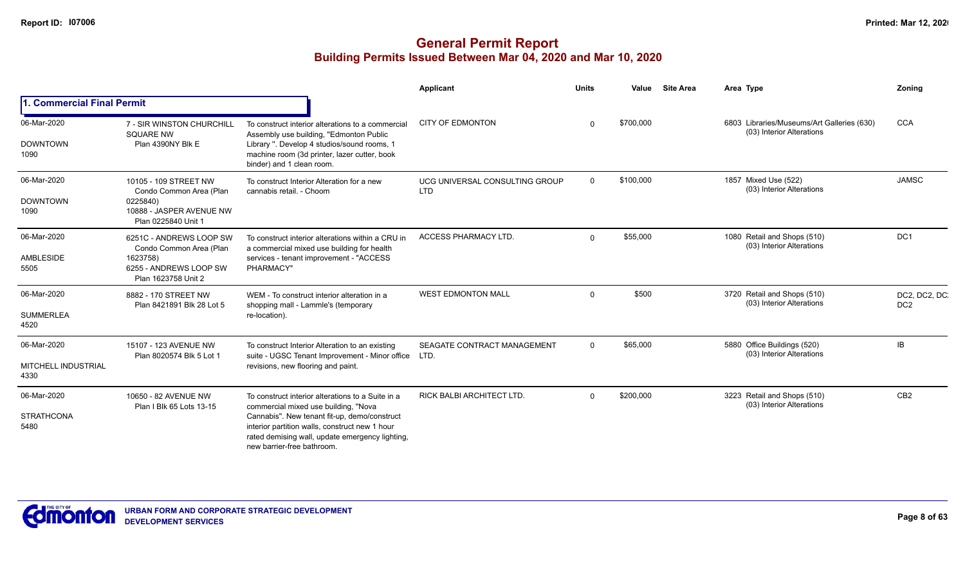|                                    |                                                             |                                                                                                                                                                                 | Applicant                                    | <b>Units</b> | Value     | <b>Site Area</b> | Area Type                                                               | Zonina                           |
|------------------------------------|-------------------------------------------------------------|---------------------------------------------------------------------------------------------------------------------------------------------------------------------------------|----------------------------------------------|--------------|-----------|------------------|-------------------------------------------------------------------------|----------------------------------|
| 1. Commercial Final Permit         |                                                             |                                                                                                                                                                                 |                                              |              |           |                  |                                                                         |                                  |
| 06-Mar-2020                        | <b>7 - SIR WINSTON CHURCHILL</b><br><b>SQUARE NW</b>        | To construct interior alterations to a commercial<br>Assembly use building, "Edmonton Public                                                                                    | <b>CITY OF EDMONTON</b>                      |              | \$700,000 |                  | 6803 Libraries/Museums/Art Galleries (630)<br>(03) Interior Alterations | <b>CCA</b>                       |
| <b>DOWNTOWN</b><br>1090            | Plan 4390NY Blk E                                           | Library ". Develop 4 studios/sound rooms, 1<br>machine room (3d printer, lazer cutter, book<br>binder) and 1 clean room.                                                        |                                              |              |           |                  |                                                                         |                                  |
| 06-Mar-2020                        | 10105 - 109 STREET NW<br>Condo Common Area (Plan            | To construct Interior Alteration for a new<br>cannabis retail. - Choom                                                                                                          | UCG UNIVERSAL CONSULTING GROUP<br><b>LTD</b> | $\Omega$     | \$100,000 |                  | 1857 Mixed Use (522)<br>(03) Interior Alterations                       | <b>JAMSC</b>                     |
| <b>DOWNTOWN</b><br>1090            | 0225840)<br>10888 - JASPER AVENUE NW<br>Plan 0225840 Unit 1 |                                                                                                                                                                                 |                                              |              |           |                  |                                                                         |                                  |
| 06-Mar-2020                        | 6251C - ANDREWS LOOP SW<br>Condo Common Area (Plan          | To construct interior alterations within a CRU in<br>a commercial mixed use building for health                                                                                 | <b>ACCESS PHARMACY LTD.</b>                  | $\Omega$     | \$55,000  |                  | 1080 Retail and Shops (510)<br>(03) Interior Alterations                | DC <sub>1</sub>                  |
| <b>AMBLESIDE</b><br>5505           | 1623758)<br>6255 - ANDREWS LOOP SW<br>Plan 1623758 Unit 2   | services - tenant improvement - "ACCESS<br>PHARMACY"                                                                                                                            |                                              |              |           |                  |                                                                         |                                  |
| 06-Mar-2020                        | 8882 - 170 STREET NW<br>Plan 8421891 Blk 28 Lot 5           | WEM - To construct interior alteration in a<br>shopping mall - Lammle's (temporary                                                                                              | <b>WEST EDMONTON MALL</b>                    | $\Omega$     | \$500     |                  | 3720 Retail and Shops (510)<br>(03) Interior Alterations                | DC2, DC2, DC.<br>DC <sub>2</sub> |
| <b>SUMMERLEA</b><br>4520           |                                                             | re-location).                                                                                                                                                                   |                                              |              |           |                  |                                                                         |                                  |
| 06-Mar-2020                        | 15107 - 123 AVENUE NW<br>Plan 8020574 Blk 5 Lot 1           | To construct Interior Alteration to an existing<br>suite - UGSC Tenant Improvement - Minor office LTD.                                                                          | SEAGATE CONTRACT MANAGEMENT                  | $\Omega$     | \$65,000  |                  | 5880 Office Buildings (520)<br>(03) Interior Alterations                | IB                               |
| <b>MITCHELL INDUSTRIAL</b><br>4330 |                                                             | revisions, new flooring and paint.                                                                                                                                              |                                              |              |           |                  |                                                                         |                                  |
| 06-Mar-2020                        | 10650 - 82 AVENUE NW<br>Plan I Blk 65 Lots 13-15            | To construct interior alterations to a Suite in a<br>commercial mixed use building, "Nova                                                                                       | RICK BALBI ARCHITECT LTD.                    | $\Omega$     | \$200,000 |                  | 3223 Retail and Shops (510)<br>(03) Interior Alterations                | CB <sub>2</sub>                  |
| <b>STRATHCONA</b><br>5480          |                                                             | Cannabis". New tenant fit-up, demo/construct<br>interior partition walls, construct new 1 hour<br>rated demising wall, update emergency lighting,<br>new barrier-free bathroom. |                                              |              |           |                  |                                                                         |                                  |

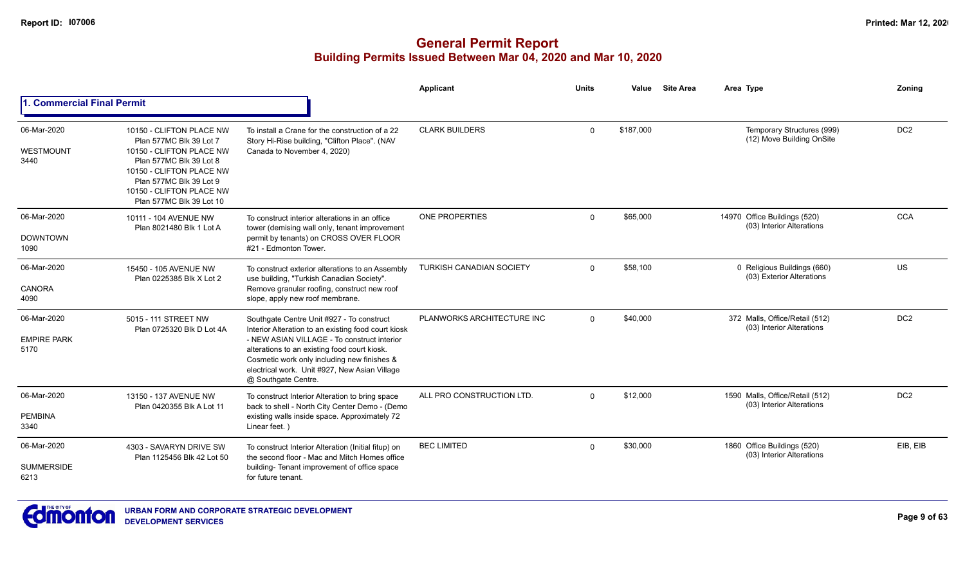|                                           |                                                                                                                                                                                                                           |                                                                                                                                                                                                                                                                                                                        | Applicant                       | <b>Units</b> | Value     | <b>Site Area</b> | Area Type                                                    | Zoning          |
|-------------------------------------------|---------------------------------------------------------------------------------------------------------------------------------------------------------------------------------------------------------------------------|------------------------------------------------------------------------------------------------------------------------------------------------------------------------------------------------------------------------------------------------------------------------------------------------------------------------|---------------------------------|--------------|-----------|------------------|--------------------------------------------------------------|-----------------|
| <b>. Commercial Final Permit</b>          |                                                                                                                                                                                                                           |                                                                                                                                                                                                                                                                                                                        |                                 |              |           |                  |                                                              |                 |
| 06-Mar-2020<br>WESTMOUNT<br>3440          | 10150 - CLIFTON PLACE NW<br>Plan 577MC Blk 39 Lot 7<br>10150 - CLIFTON PLACE NW<br>Plan 577MC Blk 39 Lot 8<br>10150 - CLIFTON PLACE NW<br>Plan 577MC Blk 39 Lot 9<br>10150 - CLIFTON PLACE NW<br>Plan 577MC Blk 39 Lot 10 | To install a Crane for the construction of a 22<br>Story Hi-Rise building, "Clifton Place". (NAV<br>Canada to November 4, 2020)                                                                                                                                                                                        | <b>CLARK BUILDERS</b>           | $\Omega$     | \$187,000 |                  | Temporary Structures (999)<br>(12) Move Building OnSite      | DC <sub>2</sub> |
| 06-Mar-2020<br><b>DOWNTOWN</b><br>1090    | 10111 - 104 AVENUE NW<br>Plan 8021480 Blk 1 Lot A                                                                                                                                                                         | To construct interior alterations in an office<br>tower (demising wall only, tenant improvement<br>permit by tenants) on CROSS OVER FLOOR<br>#21 - Edmonton Tower.                                                                                                                                                     | <b>ONE PROPERTIES</b>           | $\Omega$     | \$65,000  |                  | 14970 Office Buildings (520)<br>(03) Interior Alterations    | <b>CCA</b>      |
| 06-Mar-2020<br><b>CANORA</b><br>4090      | 15450 - 105 AVENUE NW<br>Plan 0225385 Blk X Lot 2                                                                                                                                                                         | To construct exterior alterations to an Assembly<br>use building, "Turkish Canadian Society".<br>Remove granular roofing, construct new roof<br>slope, apply new roof membrane.                                                                                                                                        | <b>TURKISH CANADIAN SOCIETY</b> | $\Omega$     | \$58,100  |                  | 0 Religious Buildings (660)<br>(03) Exterior Alterations     | US              |
| 06-Mar-2020<br><b>EMPIRE PARK</b><br>5170 | 5015 - 111 STREET NW<br>Plan 0725320 Blk D Lot 4A                                                                                                                                                                         | Southgate Centre Unit #927 - To construct<br>Interior Alteration to an existing food court kiosk<br>- NEW ASIAN VILLAGE - To construct interior<br>alterations to an existing food court kiosk.<br>Cosmetic work only including new finishes &<br>electrical work. Unit #927, New Asian Village<br>@ Southgate Centre. | PLANWORKS ARCHITECTURE INC      | $\Omega$     | \$40,000  |                  | 372 Malls, Office/Retail (512)<br>(03) Interior Alterations  | DC <sub>2</sub> |
| 06-Mar-2020<br><b>PEMBINA</b><br>3340     | 13150 - 137 AVENUE NW<br>Plan 0420355 Blk A Lot 11                                                                                                                                                                        | To construct Interior Alteration to bring space<br>back to shell - North City Center Demo - (Demo<br>existing walls inside space. Approximately 72<br>Linear feet.)                                                                                                                                                    | ALL PRO CONSTRUCTION LTD.       | $\Omega$     | \$12,000  |                  | 1590 Malls, Office/Retail (512)<br>(03) Interior Alterations | DC <sub>2</sub> |
| 06-Mar-2020<br><b>SUMMERSIDE</b><br>6213  | 4303 - SAVARYN DRIVE SW<br>Plan 1125456 Blk 42 Lot 50                                                                                                                                                                     | To construct Interior Alteration (Initial fitup) on<br>the second floor - Mac and Mitch Homes office<br>building- Tenant improvement of office space<br>for future tenant.                                                                                                                                             | <b>BEC LIMITED</b>              | $\Omega$     | \$30,000  |                  | 1860 Office Buildings (520)<br>(03) Interior Alterations     | EIB, EIB        |

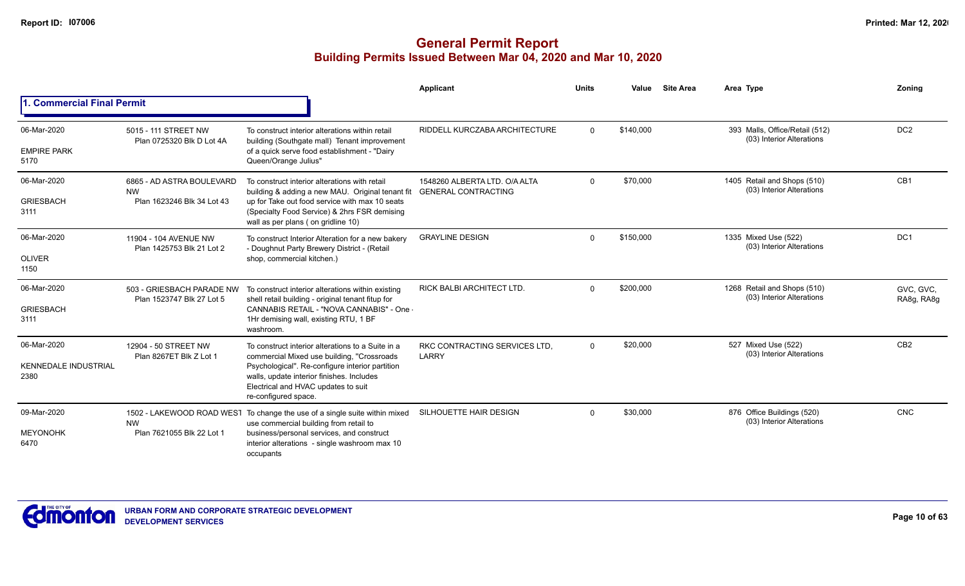|                                                    |                                                                      |                                                                                                                                                                                                                                                                | <b>Applicant</b>                                            | <b>Units</b> | Value     | <b>Site Area</b> | Area Type                                                   | Zoning                  |
|----------------------------------------------------|----------------------------------------------------------------------|----------------------------------------------------------------------------------------------------------------------------------------------------------------------------------------------------------------------------------------------------------------|-------------------------------------------------------------|--------------|-----------|------------------|-------------------------------------------------------------|-------------------------|
| 1. Commercial Final Permit                         |                                                                      |                                                                                                                                                                                                                                                                |                                                             |              |           |                  |                                                             |                         |
| 06-Mar-2020<br><b>EMPIRE PARK</b><br>5170          | 5015 - 111 STREET NW<br>Plan 0725320 Blk D Lot 4A                    | To construct interior alterations within retail<br>building (Southgate mall) Tenant improvement<br>of a quick serve food establishment - "Dairy<br>Queen/Orange Julius"                                                                                        | RIDDELL KURCZABA ARCHITECTURE                               | $\Omega$     | \$140,000 |                  | 393 Malls, Office/Retail (512)<br>(03) Interior Alterations | DC <sub>2</sub>         |
| 06-Mar-2020<br><b>GRIESBACH</b><br>3111            | 6865 - AD ASTRA BOULEVARD<br><b>NW</b><br>Plan 1623246 Blk 34 Lot 43 | To construct interior alterations with retail<br>building & adding a new MAU. Original tenant fit<br>up for Take out food service with max 10 seats<br>(Specialty Food Service) & 2hrs FSR demising<br>wall as per plans (on gridline 10)                      | 1548260 ALBERTA LTD, O/A ALTA<br><b>GENERAL CONTRACTING</b> | $\Omega$     | \$70,000  |                  | 1405 Retail and Shops (510)<br>(03) Interior Alterations    | CB <sub>1</sub>         |
| 06-Mar-2020<br><b>OLIVER</b><br>1150               | 11904 - 104 AVENUE NW<br>Plan 1425753 Blk 21 Lot 2                   | To construct Interior Alteration for a new bakery<br>- Doughnut Party Brewery District - (Retail<br>shop, commercial kitchen.)                                                                                                                                 | <b>GRAYLINE DESIGN</b>                                      | $\Omega$     | \$150,000 |                  | 1335 Mixed Use (522)<br>(03) Interior Alterations           | DC <sub>1</sub>         |
| 06-Mar-2020<br><b>GRIESBACH</b><br>3111            | 503 - GRIESBACH PARADE NW<br>Plan 1523747 Blk 27 Lot 5               | To construct interior alterations within existing<br>shell retail building - original tenant fitup for<br>CANNABIS RETAIL - "NOVA CANNABIS" - One -<br>1Hr demising wall, existing RTU, 1 BF<br>washroom.                                                      | <b>RICK BALBI ARCHITECT LTD.</b>                            | $\Omega$     | \$200,000 |                  | 1268 Retail and Shops (510)<br>(03) Interior Alterations    | GVC, GVC,<br>RA8g, RA8g |
| 06-Mar-2020<br><b>KENNEDALE INDUSTRIAL</b><br>2380 | 12904 - 50 STREET NW<br>Plan 8267ET Blk Z Lot 1                      | To construct interior alterations to a Suite in a<br>commercial Mixed use building, "Crossroads<br>Psychological". Re-configure interior partition<br>walls, update interior finishes. Includes<br>Electrical and HVAC updates to suit<br>re-configured space. | RKC CONTRACTING SERVICES LTD.<br>LARRY                      | $\Omega$     | \$20,000  |                  | 527 Mixed Use (522)<br>(03) Interior Alterations            | CB <sub>2</sub>         |
| 09-Mar-2020<br><b>MEYONOHK</b><br>6470             | <b>NW</b><br>Plan 7621055 Blk 22 Lot 1                               | 1502 - LAKEWOOD ROAD WEST To change the use of a single suite within mixed<br>use commercial building from retail to<br>business/personal services, and construct<br>interior alterations - single washroom max 10<br>occupants                                | SILHOUETTE HAIR DESIGN                                      | $\Omega$     | \$30,000  |                  | 876 Office Buildings (520)<br>(03) Interior Alterations     | <b>CNC</b>              |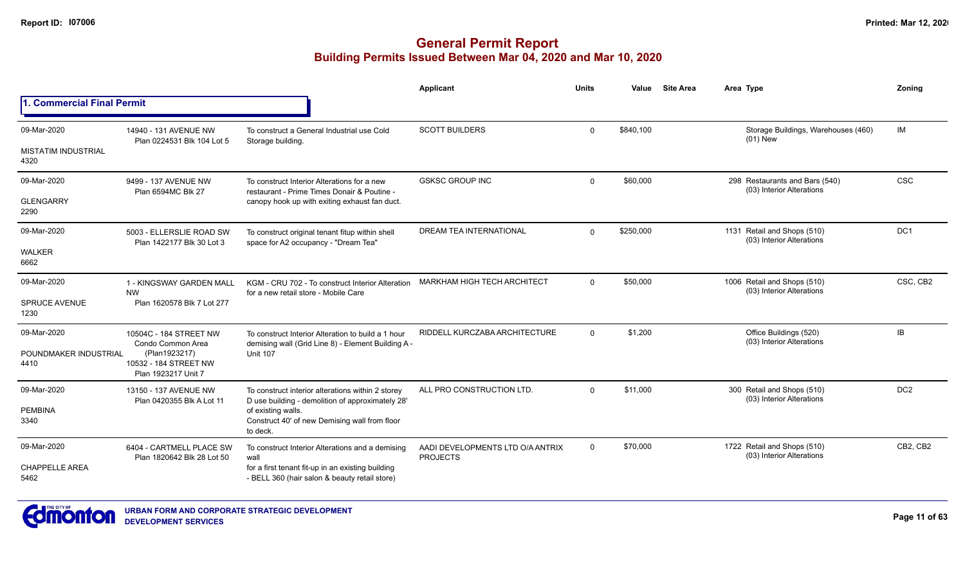|                                    |                                                               |                                                                                                          | Applicant                                           | Units        | Value     | <b>Site Area</b> | Area Type                                                   | Zoning          |
|------------------------------------|---------------------------------------------------------------|----------------------------------------------------------------------------------------------------------|-----------------------------------------------------|--------------|-----------|------------------|-------------------------------------------------------------|-----------------|
| 1. Commercial Final Permit         |                                                               |                                                                                                          |                                                     |              |           |                  |                                                             |                 |
| 09-Mar-2020                        | 14940 - 131 AVENUE NW<br>Plan 0224531 Blk 104 Lot 5           | To construct a General Industrial use Cold<br>Storage building.                                          | <b>SCOTT BUILDERS</b>                               | $\mathbf{0}$ | \$840,100 |                  | Storage Buildings, Warehouses (460)<br>$(01)$ New           | <b>IM</b>       |
| <b>MISTATIM INDUSTRIAL</b><br>4320 |                                                               |                                                                                                          |                                                     |              |           |                  |                                                             |                 |
| 09-Mar-2020                        | 9499 - 137 AVENUE NW<br>Plan 6594MC Blk 27                    | To construct Interior Alterations for a new<br>restaurant - Prime Times Donair & Poutine -               | <b>GSKSC GROUP INC</b>                              | $\mathbf{0}$ | \$60,000  |                  | 298 Restaurants and Bars (540)<br>(03) Interior Alterations | <b>CSC</b>      |
| <b>GLENGARRY</b><br>2290           |                                                               | canopy hook up with exiting exhaust fan duct.                                                            |                                                     |              |           |                  |                                                             |                 |
| 09-Mar-2020                        | 5003 - ELLERSLIE ROAD SW<br>Plan 1422177 Blk 30 Lot 3         | To construct original tenant fitup within shell<br>space for A2 occupancy - "Dream Tea"                  | <b>DREAM TEA INTERNATIONAL</b>                      | $\mathbf{0}$ | \$250,000 |                  | 1131 Retail and Shops (510)<br>(03) Interior Alterations    | DC <sub>1</sub> |
| WALKER<br>6662                     |                                                               |                                                                                                          |                                                     |              |           |                  |                                                             |                 |
| 09-Mar-2020                        | 1 - KINGSWAY GARDEN MALL<br><b>NW</b>                         | KGM - CRU 702 - To construct Interior Alteration<br>for a new retail store - Mobile Care                 | <b>MARKHAM HIGH TECH ARCHITECT</b>                  | $\mathbf{0}$ | \$50,000  |                  | 1006 Retail and Shops (510)<br>(03) Interior Alterations    | CSC, CB2        |
| <b>SPRUCE AVENUE</b><br>1230       | Plan 1620578 Blk 7 Lot 277                                    |                                                                                                          |                                                     |              |           |                  |                                                             |                 |
| 09-Mar-2020                        | 10504C - 184 STREET NW<br>Condo Common Area                   | To construct Interior Alteration to build a 1 hour<br>demising wall (Grid Line 8) - Element Building A - | RIDDELL KURCZABA ARCHITECTURE                       | $\mathbf{0}$ | \$1,200   |                  | Office Buildings (520)<br>(03) Interior Alterations         | <b>IB</b>       |
| POUNDMAKER INDUSTRIAL<br>4410      | (Plan1923217)<br>10532 - 184 STREET NW<br>Plan 1923217 Unit 7 | <b>Unit 107</b>                                                                                          |                                                     |              |           |                  |                                                             |                 |
| 09-Mar-2020                        | 13150 - 137 AVENUE NW                                         | To construct interior alterations within 2 storey<br>D use building - demolition of approximately 28'    | ALL PRO CONSTRUCTION LTD                            | $\Omega$     | \$11,000  |                  | 300 Retail and Shops (510)<br>(03) Interior Alterations     | DC <sub>2</sub> |
| <b>PEMBINA</b><br>3340             | Plan 0420355 Blk A Lot 11                                     | of existing walls.<br>Construct 40' of new Demising wall from floor<br>to deck.                          |                                                     |              |           |                  |                                                             |                 |
| 09-Mar-2020                        | 6404 - CARTMELL PLACE SW<br>Plan 1820642 Blk 28 Lot 50        | To construct Interior Alterations and a demising<br>wall                                                 | AADI DEVELOPMENTS LTD O/A ANTRIX<br><b>PROJECTS</b> | 0            | \$70,000  |                  | 1722 Retail and Shops (510)<br>(03) Interior Alterations    | CB2, CB2        |
| <b>CHAPPELLE AREA</b><br>5462      |                                                               | for a first tenant fit-up in an existing building<br>- BELL 360 (hair salon & beauty retail store)       |                                                     |              |           |                  |                                                             |                 |

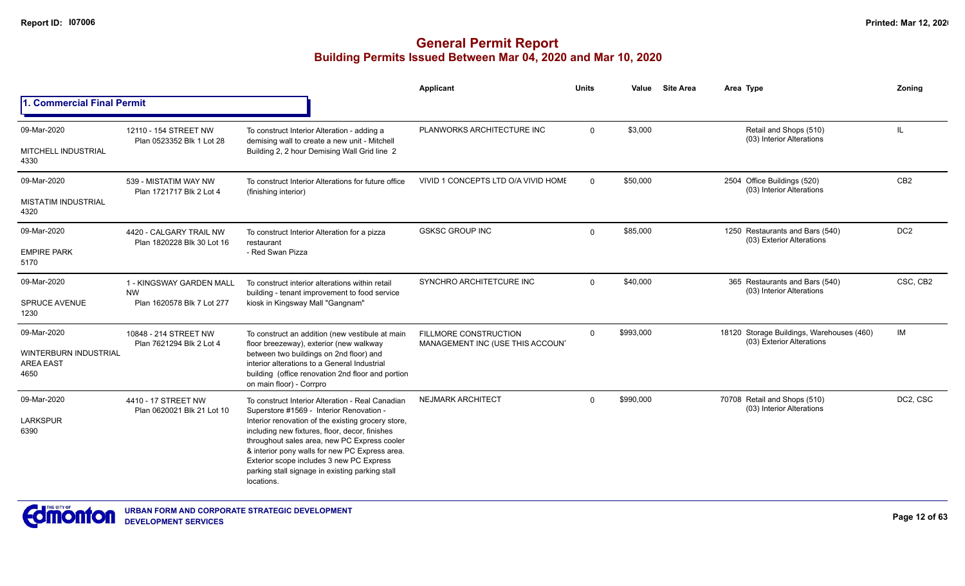|                                                          |                                                                     |                                                                                                                                                                                                                                                                                                                     | Applicant                                                        | Units        | Value     | <b>Site Area</b> | Area Type                                                              | Zoning          |
|----------------------------------------------------------|---------------------------------------------------------------------|---------------------------------------------------------------------------------------------------------------------------------------------------------------------------------------------------------------------------------------------------------------------------------------------------------------------|------------------------------------------------------------------|--------------|-----------|------------------|------------------------------------------------------------------------|-----------------|
| 1. Commercial Final Permit                               |                                                                     |                                                                                                                                                                                                                                                                                                                     |                                                                  |              |           |                  |                                                                        |                 |
| 09-Mar-2020                                              | 12110 - 154 STREET NW<br>Plan 0523352 Blk 1 Lot 28                  | To construct Interior Alteration - adding a<br>demising wall to create a new unit - Mitchell                                                                                                                                                                                                                        | PLANWORKS ARCHITECTURE INC                                       | $\mathbf{0}$ | \$3,000   |                  | Retail and Shops (510)<br>(03) Interior Alterations                    | IL              |
| MITCHELL INDUSTRIAL<br>4330                              |                                                                     | Building 2, 2 hour Demising Wall Grid line 2                                                                                                                                                                                                                                                                        |                                                                  |              |           |                  |                                                                        |                 |
| 09-Mar-2020                                              | 539 - MISTATIM WAY NW<br>Plan 1721717 Blk 2 Lot 4                   | To construct Interior Alterations for future office<br>(finishing interior)                                                                                                                                                                                                                                         | VIVID 1 CONCEPTS LTD O/A VIVID HOME                              | $\Omega$     | \$50,000  |                  | 2504 Office Buildings (520)<br>(03) Interior Alterations               | CB <sub>2</sub> |
| <b>MISTATIM INDUSTRIAL</b><br>4320                       |                                                                     |                                                                                                                                                                                                                                                                                                                     |                                                                  |              |           |                  |                                                                        |                 |
| 09-Mar-2020                                              | 4420 - CALGARY TRAIL NW<br>Plan 1820228 Blk 30 Lot 16               | To construct Interior Alteration for a pizza<br>restaurant                                                                                                                                                                                                                                                          | <b>GSKSC GROUP INC</b>                                           | $\mathbf{0}$ | \$85,000  |                  | 1250 Restaurants and Bars (540)<br>(03) Exterior Alterations           | DC <sub>2</sub> |
| <b>EMPIRE PARK</b><br>5170                               |                                                                     | - Red Swan Pizza                                                                                                                                                                                                                                                                                                    |                                                                  |              |           |                  |                                                                        |                 |
| 09-Mar-2020                                              | 1 - KINGSWAY GARDEN MALL<br><b>NW</b><br>Plan 1620578 Blk 7 Lot 277 | To construct interior alterations within retail<br>building - tenant improvement to food service                                                                                                                                                                                                                    | SYNCHRO ARCHITETCURE INC                                         | $\Omega$     | \$40,000  |                  | 365 Restaurants and Bars (540)<br>(03) Interior Alterations            | CSC, CB2        |
| <b>SPRUCE AVENUE</b><br>1230                             |                                                                     | kiosk in Kingsway Mall "Gangnam"                                                                                                                                                                                                                                                                                    |                                                                  |              |           |                  |                                                                        |                 |
| 09-Mar-2020                                              | 10848 - 214 STREET NW<br>Plan 7621294 Blk 2 Lot 4                   | To construct an addition (new vestibule at main<br>floor breezeway), exterior (new walkway                                                                                                                                                                                                                          | <b>FILLMORE CONSTRUCTION</b><br>MANAGEMENT INC (USE THIS ACCOUN' | $\Omega$     | \$993,000 |                  | 18120 Storage Buildings, Warehouses (460)<br>(03) Exterior Alterations | IM              |
| <b>WINTERBURN INDUSTRIAL</b><br><b>AREA EAST</b><br>4650 |                                                                     | between two buildings on 2nd floor) and<br>interior alterations to a General Industrial<br>building (office renovation 2nd floor and portion<br>on main floor) - Corrpro                                                                                                                                            |                                                                  |              |           |                  |                                                                        |                 |
| 09-Mar-2020                                              | 4410 - 17 STREET NW<br>Plan 0620021 Blk 21 Lot 10                   | To construct Interior Alteration - Real Canadian<br>Superstore #1569 - Interior Renovation -                                                                                                                                                                                                                        | <b>NEJMARK ARCHITECT</b>                                         | $\Omega$     | \$990,000 |                  | 70708 Retail and Shops (510)<br>(03) Interior Alterations              | DC2, CSC        |
| <b>LARKSPUR</b><br>6390                                  |                                                                     | Interior renovation of the existing grocery store,<br>including new fixtures, floor, decor, finishes<br>throughout sales area, new PC Express cooler<br>& interior pony walls for new PC Express area.<br>Exterior scope includes 3 new PC Express<br>parking stall signage in existing parking stall<br>locations. |                                                                  |              |           |                  |                                                                        |                 |

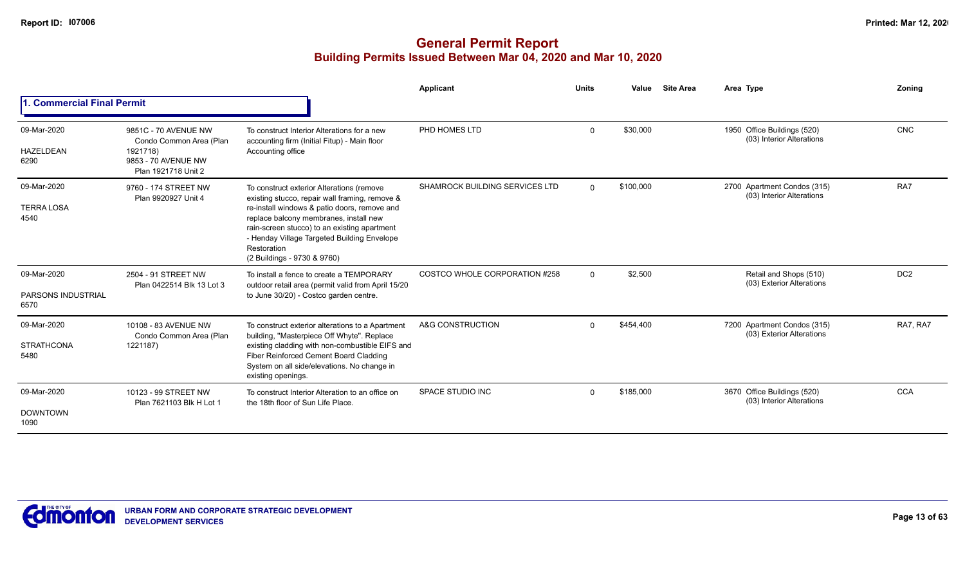|                                                  |                                                                                                           |                                                                                                                                                                                                                                                                                                                                    | <b>Applicant</b>                      | <b>Units</b> | Value     | <b>Site Area</b> | Area Type                                                | Zoning          |
|--------------------------------------------------|-----------------------------------------------------------------------------------------------------------|------------------------------------------------------------------------------------------------------------------------------------------------------------------------------------------------------------------------------------------------------------------------------------------------------------------------------------|---------------------------------------|--------------|-----------|------------------|----------------------------------------------------------|-----------------|
| <b>Commercial Final Permit</b>                   |                                                                                                           |                                                                                                                                                                                                                                                                                                                                    |                                       |              |           |                  |                                                          |                 |
| 09-Mar-2020<br><b>HAZELDEAN</b><br>6290          | 9851C - 70 AVENUE NW<br>Condo Common Area (Plan<br>1921718)<br>9853 - 70 AVENUE NW<br>Plan 1921718 Unit 2 | To construct Interior Alterations for a new<br>accounting firm (Initial Fitup) - Main floor<br>Accounting office                                                                                                                                                                                                                   | PHD HOMES LTD                         | $\Omega$     | \$30,000  |                  | 1950 Office Buildings (520)<br>(03) Interior Alterations | <b>CNC</b>      |
| 09-Mar-2020<br><b>TERRA LOSA</b><br>4540         | 9760 - 174 STREET NW<br>Plan 9920927 Unit 4                                                               | To construct exterior Alterations (remove<br>existing stucco, repair wall framing, remove &<br>re-install windows & patio doors, remove and<br>replace balcony membranes, install new<br>rain-screen stucco) to an existing apartment<br>- Henday Village Targeted Building Envelope<br>Restoration<br>(2 Buildings - 9730 & 9760) | <b>SHAMROCK BUILDING SERVICES LTD</b> | $\Omega$     | \$100,000 |                  | 2700 Apartment Condos (315)<br>(03) Interior Alterations | RA7             |
| 09-Mar-2020<br><b>PARSONS INDUSTRIAL</b><br>6570 | 2504 - 91 STREET NW<br>Plan 0422514 Blk 13 Lot 3                                                          | To install a fence to create a TEMPORARY<br>outdoor retail area (permit valid from April 15/20<br>to June 30/20) - Costco garden centre.                                                                                                                                                                                           | COSTCO WHOLE CORPORATION #258         | $\Omega$     | \$2.500   |                  | Retail and Shops (510)<br>(03) Exterior Alterations      | DC <sub>2</sub> |
| 09-Mar-2020<br><b>STRATHCONA</b><br>5480         | 10108 - 83 AVENUE NW<br>Condo Common Area (Plan<br>1221187)                                               | To construct exterior alterations to a Apartment<br>building, "Masterpiece Off Whyte". Replace<br>existing cladding with non-combustible EIFS and<br>Fiber Reinforced Cement Board Cladding<br>System on all side/elevations. No change in<br>existing openings.                                                                   | A&G CONSTRUCTION                      | $\Omega$     | \$454,400 |                  | 7200 Apartment Condos (315)<br>(03) Exterior Alterations | RA7, RA7        |
| 09-Mar-2020<br><b>DOWNTOWN</b><br>1090           | 10123 - 99 STREET NW<br>Plan 7621103 Blk H Lot 1                                                          | To construct Interior Alteration to an office on<br>the 18th floor of Sun Life Place.                                                                                                                                                                                                                                              | SPACE STUDIO INC                      | $\Omega$     | \$185,000 |                  | 3670 Office Buildings (520)<br>(03) Interior Alterations | <b>CCA</b>      |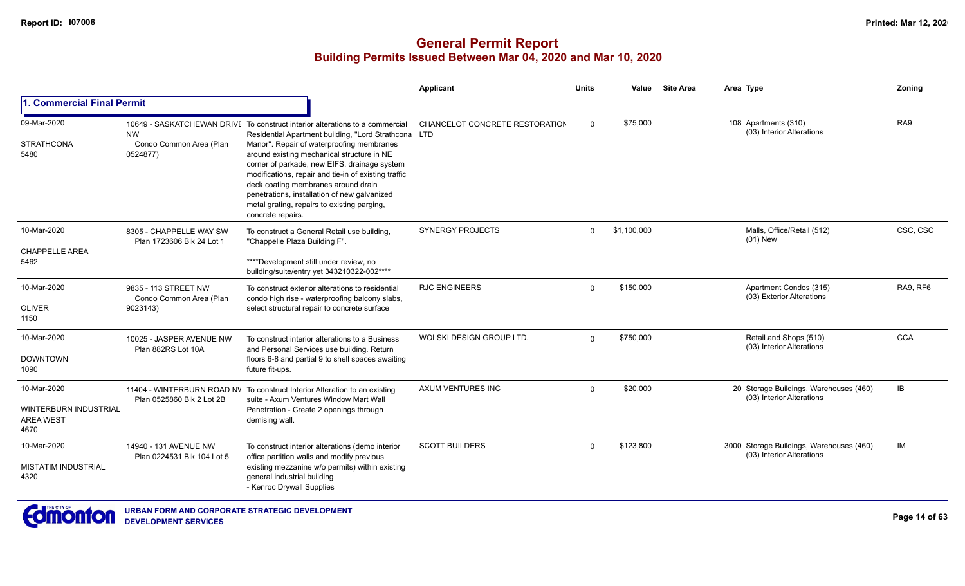|                                                                  |                                                             |                                                                                                                                                                                                                                                                                                                                                                                                                                                                                                    | Applicant                      | <b>Units</b> | Value       | <b>Site Area</b> | Area Type                                                             | Zoning     |
|------------------------------------------------------------------|-------------------------------------------------------------|----------------------------------------------------------------------------------------------------------------------------------------------------------------------------------------------------------------------------------------------------------------------------------------------------------------------------------------------------------------------------------------------------------------------------------------------------------------------------------------------------|--------------------------------|--------------|-------------|------------------|-----------------------------------------------------------------------|------------|
| 1. Commercial Final Permit                                       |                                                             |                                                                                                                                                                                                                                                                                                                                                                                                                                                                                                    |                                |              |             |                  |                                                                       |            |
| 09-Mar-2020<br><b>STRATHCONA</b><br>5480                         | <b>NW</b><br>Condo Common Area (Plan<br>0524877)            | 10649 - SASKATCHEWAN DRIVE To construct interior alterations to a commercial<br>Residential Apartment building, "Lord Strathcona LTD<br>Manor". Repair of waterproofing membranes<br>around existing mechanical structure in NE<br>corner of parkade, new EIFS, drainage system<br>modifications, repair and tie-in of existing traffic<br>deck coating membranes around drain<br>penetrations, installation of new galvanized<br>metal grating, repairs to existing parging,<br>concrete repairs. | CHANCELOT CONCRETE RESTORATION | $\Omega$     | \$75,000    |                  | 108 Apartments (310)<br>(03) Interior Alterations                     | RA9        |
| 10-Mar-2020<br><b>CHAPPELLE AREA</b><br>5462                     | 8305 - CHAPPELLE WAY SW<br>Plan 1723606 Blk 24 Lot 1        | To construct a General Retail use building,<br>"Chappelle Plaza Building F".<br>****Development still under review, no<br>building/suite/entry yet 343210322-002****                                                                                                                                                                                                                                                                                                                               | <b>SYNERGY PROJECTS</b>        | $\Omega$     | \$1,100,000 |                  | Malls, Office/Retail (512)<br>$(01)$ New                              | CSC, CSC   |
| 10-Mar-2020<br><b>OLIVER</b><br>1150                             | 9835 - 113 STREET NW<br>Condo Common Area (Plan<br>9023143) | To construct exterior alterations to residential<br>condo high rise - waterproofing balcony slabs,<br>select structural repair to concrete surface                                                                                                                                                                                                                                                                                                                                                 | <b>RJC ENGINEERS</b>           | $\Omega$     | \$150,000   |                  | Apartment Condos (315)<br>(03) Exterior Alterations                   | RA9, RF6   |
| 10-Mar-2020<br><b>DOWNTOWN</b><br>1090                           | 10025 - JASPER AVENUE NW<br>Plan 882RS Lot 10A              | To construct interior alterations to a Business<br>and Personal Services use building. Return<br>floors 6-8 and partial 9 to shell spaces awaiting<br>future fit-ups.                                                                                                                                                                                                                                                                                                                              | WOLSKI DESIGN GROUP LTD.       | $\Omega$     | \$750,000   |                  | Retail and Shops (510)<br>(03) Interior Alterations                   | <b>CCA</b> |
| 10-Mar-2020<br>WINTERBURN INDUSTRIAL<br><b>AREA WEST</b><br>4670 | Plan 0525860 Blk 2 Lot 2B                                   | 11404 - WINTERBURN ROAD NV To construct Interior Alteration to an existing<br>suite - Axum Ventures Window Mart Wall<br>Penetration - Create 2 openings through<br>demising wall.                                                                                                                                                                                                                                                                                                                  | AXUM VENTURES INC              | $\Omega$     | \$20,000    |                  | 20 Storage Buildings, Warehouses (460)<br>(03) Interior Alterations   | IB         |
| 10-Mar-2020<br><b>MISTATIM INDUSTRIAL</b><br>4320                | 14940 - 131 AVENUE NW<br>Plan 0224531 Blk 104 Lot 5         | To construct interior alterations (demo interior<br>office partition walls and modify previous<br>existing mezzanine w/o permits) within existing<br>general industrial building<br>- Kenroc Drywall Supplies                                                                                                                                                                                                                                                                                      | <b>SCOTT BUILDERS</b>          | $\Omega$     | \$123,800   |                  | 3000 Storage Buildings, Warehouses (460)<br>(03) Interior Alterations | IM         |

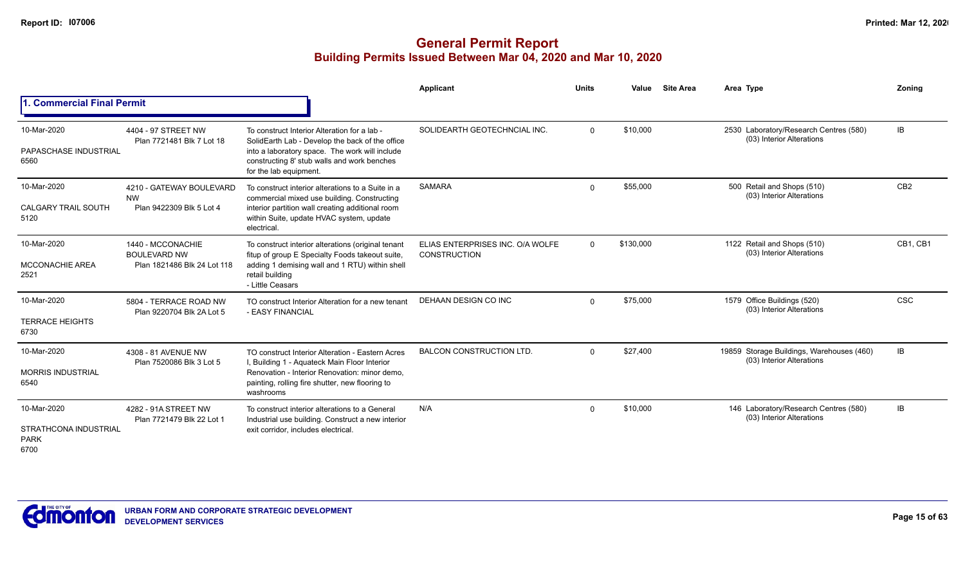|                                                             |                                                                         |                                                                                                                                                                                                                            | Applicant                                               | <b>Units</b> | Value     | <b>Site Area</b> | Area Type                                                              | Zonina          |
|-------------------------------------------------------------|-------------------------------------------------------------------------|----------------------------------------------------------------------------------------------------------------------------------------------------------------------------------------------------------------------------|---------------------------------------------------------|--------------|-----------|------------------|------------------------------------------------------------------------|-----------------|
| 1. Commercial Final Permit                                  |                                                                         |                                                                                                                                                                                                                            |                                                         |              |           |                  |                                                                        |                 |
| 10-Mar-2020<br>PAPASCHASE INDUSTRIAL<br>6560                | 4404 - 97 STREET NW<br>Plan 7721481 Blk 7 Lot 18                        | To construct Interior Alteration for a lab -<br>SolidEarth Lab - Develop the back of the office<br>into a laboratory space. The work will include<br>constructing 8' stub walls and work benches<br>for the lab equipment. | SOLIDEARTH GEOTECHNCIAL INC.                            | $\mathbf 0$  | \$10,000  |                  | 2530 Laboratory/Research Centres (580)<br>(03) Interior Alterations    | <b>IB</b>       |
| 10-Mar-2020<br><b>CALGARY TRAIL SOUTH</b><br>5120           | 4210 - GATEWAY BOULEVARD<br><b>NW</b><br>Plan 9422309 Blk 5 Lot 4       | To construct interior alterations to a Suite in a<br>commercial mixed use building. Constructing<br>interior partition wall creating additional room<br>within Suite, update HVAC system, update<br>electrical.            | <b>SAMARA</b>                                           | $\Omega$     | \$55,000  |                  | 500 Retail and Shops (510)<br>(03) Interior Alterations                | CB <sub>2</sub> |
| 10-Mar-2020<br><b>MCCONACHIE AREA</b><br>2521               | 1440 - MCCONACHIE<br><b>BOULEVARD NW</b><br>Plan 1821486 Blk 24 Lot 118 | To construct interior alterations (original tenant<br>fitup of group E Specialty Foods takeout suite,<br>adding 1 demising wall and 1 RTU) within shell<br>retail building<br>- Little Ceasars                             | ELIAS ENTERPRISES INC. O/A WOLFE<br><b>CONSTRUCTION</b> | $\Omega$     | \$130,000 |                  | 1122 Retail and Shops (510)<br>(03) Interior Alterations               | CB1. CB1        |
| 10-Mar-2020<br><b>TERRACE HEIGHTS</b><br>6730               | 5804 - TERRACE ROAD NW<br>Plan 9220704 Blk 2A Lot 5                     | TO construct Interior Alteration for a new tenant<br>- EASY FINANCIAL                                                                                                                                                      | <b>DEHAAN DESIGN CO INC</b>                             | $\mathbf 0$  | \$75,000  |                  | 1579 Office Buildings (520)<br>(03) Interior Alterations               | <b>CSC</b>      |
| 10-Mar-2020<br><b>MORRIS INDUSTRIAL</b><br>6540             | 4308 - 81 AVENUE NW<br>Plan 7520086 Blk 3 Lot 5                         | TO construct Interior Alteration - Eastern Acres<br>I, Building 1 - Aquateck Main Floor Interior<br>Renovation - Interior Renovation: minor demo.<br>painting, rolling fire shutter, new flooring to<br>washrooms          | <b>BALCON CONSTRUCTION LTD.</b>                         | $\mathbf 0$  | \$27,400  |                  | 19859 Storage Buildings, Warehouses (460)<br>(03) Interior Alterations | IB              |
| 10-Mar-2020<br>STRATHCONA INDUSTRIAL<br><b>PARK</b><br>6700 | 4282 - 91A STREET NW<br>Plan 7721479 Blk 22 Lot 1                       | To construct interior alterations to a General<br>Industrial use building. Construct a new interior<br>exit corridor, includes electrical                                                                                  | N/A                                                     | $\Omega$     | \$10,000  |                  | 146 Laboratory/Research Centres (580)<br>(03) Interior Alterations     | IB              |

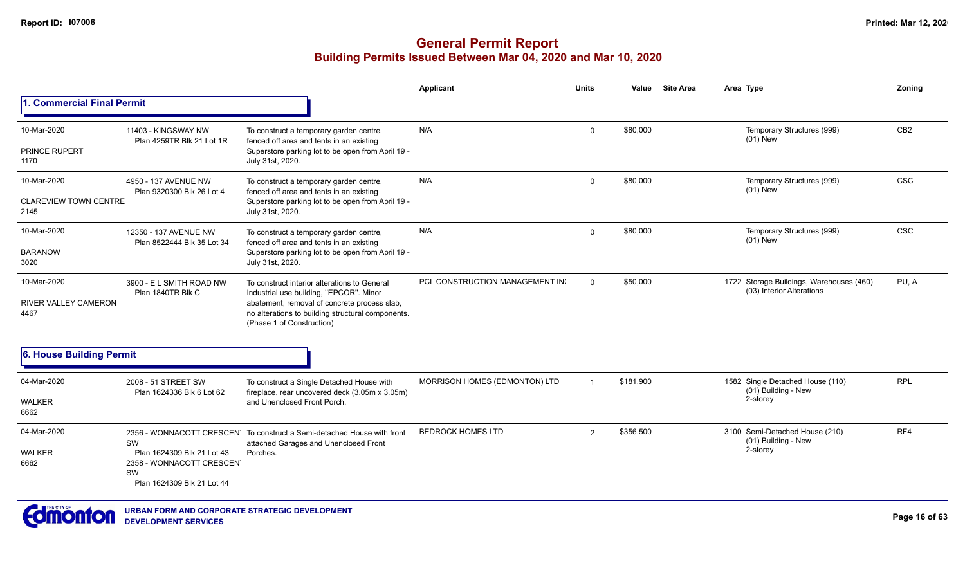|                                                    |                                                                                                   |                                                                                                                                                                                                                           | Applicant                      | <b>Units</b>   | Value     | <b>Site Area</b> | Area Type                                                             | Zoning          |
|----------------------------------------------------|---------------------------------------------------------------------------------------------------|---------------------------------------------------------------------------------------------------------------------------------------------------------------------------------------------------------------------------|--------------------------------|----------------|-----------|------------------|-----------------------------------------------------------------------|-----------------|
| 1. Commercial Final Permit                         |                                                                                                   |                                                                                                                                                                                                                           |                                |                |           |                  |                                                                       |                 |
| 10-Mar-2020                                        | 11403 - KINGSWAY NW<br>Plan 4259TR Blk 21 Lot 1R                                                  | To construct a temporary garden centre,<br>fenced off area and tents in an existing                                                                                                                                       | N/A                            | 0              | \$80,000  |                  | Temporary Structures (999)<br>$(01)$ New                              | CB <sub>2</sub> |
| PRINCE RUPERT<br>1170                              |                                                                                                   | Superstore parking lot to be open from April 19 -<br>July 31st, 2020.                                                                                                                                                     |                                |                |           |                  |                                                                       |                 |
| 10-Mar-2020                                        | 4950 - 137 AVENUE NW<br>Plan 9320300 Blk 26 Lot 4                                                 | To construct a temporary garden centre,<br>fenced off area and tents in an existing                                                                                                                                       | N/A                            | $\Omega$       | \$80,000  |                  | Temporary Structures (999)<br>$(01)$ New                              | <b>CSC</b>      |
| <b>CLAREVIEW TOWN CENTRE</b><br>2145               |                                                                                                   | Superstore parking lot to be open from April 19 -<br>July 31st, 2020.                                                                                                                                                     |                                |                |           |                  |                                                                       |                 |
| 10-Mar-2020                                        | 12350 - 137 AVENUE NW<br>Plan 8522444 Blk 35 Lot 34                                               | To construct a temporary garden centre,<br>fenced off area and tents in an existing                                                                                                                                       | N/A                            | $\Omega$       | \$80,000  |                  | Temporary Structures (999)<br>$(01)$ New                              | <b>CSC</b>      |
| <b>BARANOW</b><br>3020                             |                                                                                                   | Superstore parking lot to be open from April 19 -<br>July 31st, 2020.                                                                                                                                                     |                                |                |           |                  |                                                                       |                 |
| 10-Mar-2020<br><b>RIVER VALLEY CAMERON</b><br>4467 | 3900 - E L SMITH ROAD NW<br>Plan 1840TR Blk C                                                     | To construct interior alterations to General<br>Industrial use building, "EPCOR". Minor<br>abatement, removal of concrete process slab,<br>no alterations to building structural components.<br>(Phase 1 of Construction) | PCL CONSTRUCTION MANAGEMENT IN | $\Omega$       | \$50,000  |                  | 1722 Storage Buildings, Warehouses (460)<br>(03) Interior Alterations | PU, A           |
| 6. House Building Permit                           |                                                                                                   |                                                                                                                                                                                                                           |                                |                |           |                  |                                                                       |                 |
| 04-Mar-2020                                        | 2008 - 51 STREET SW<br>Plan 1624336 Blk 6 Lot 62                                                  | To construct a Single Detached House with<br>fireplace, rear uncovered deck (3.05m x 3.05m)                                                                                                                               | MORRISON HOMES (EDMONTON) LTD  |                | \$181,900 |                  | 1582 Single Detached House (110)<br>(01) Building - New               | <b>RPL</b>      |
| WALKER<br>6662                                     |                                                                                                   | and Unenclosed Front Porch.                                                                                                                                                                                               |                                |                |           |                  | 2-storey                                                              |                 |
| 04-Mar-2020<br><b>WALKER</b><br>6662               | SW<br>Plan 1624309 Blk 21 Lot 43<br>2358 - WONNACOTT CRESCENT<br>SW<br>Plan 1624309 Blk 21 Lot 44 | 2356 - WONNACOTT CRESCEN To construct a Semi-detached House with front<br>attached Garages and Unenclosed Front<br>Porches.                                                                                               | <b>BEDROCK HOMES LTD</b>       | $\overline{2}$ | \$356,500 |                  | 3100 Semi-Detached House (210)<br>(01) Building - New<br>2-storey     | RF4             |

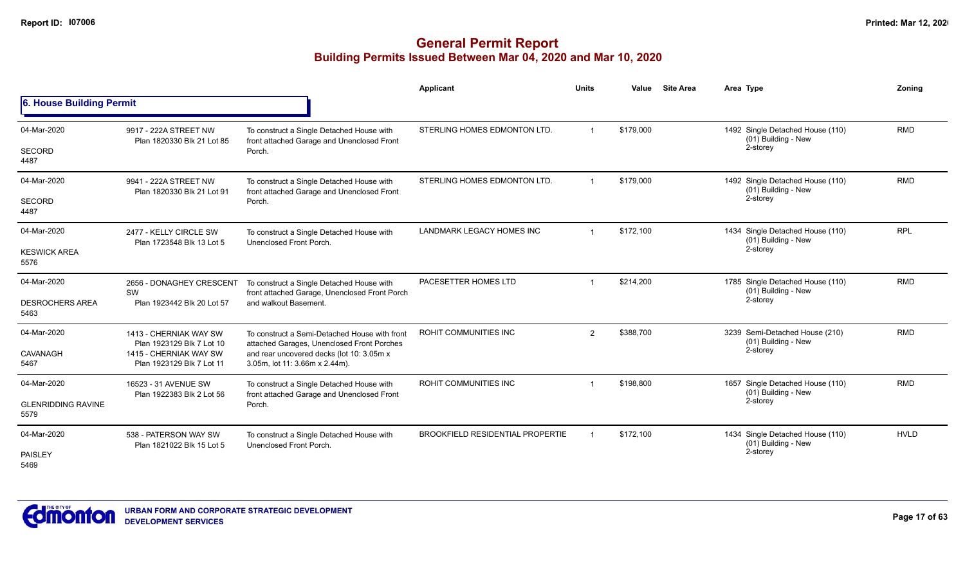|                                   |                                                     |                                                                                                   | Applicant                               | <b>Units</b>   | Value     | <b>Site Area</b> | Area Type                                                           | Zoning      |
|-----------------------------------|-----------------------------------------------------|---------------------------------------------------------------------------------------------------|-----------------------------------------|----------------|-----------|------------------|---------------------------------------------------------------------|-------------|
| 6. House Building Permit          |                                                     |                                                                                                   |                                         |                |           |                  |                                                                     |             |
| 04-Mar-2020<br><b>SECORD</b>      | 9917 - 222A STREET NW<br>Plan 1820330 Blk 21 Lot 85 | To construct a Single Detached House with<br>front attached Garage and Unenclosed Front<br>Porch. | STERLING HOMES EDMONTON LTD.            |                | \$179,000 |                  | 1492 Single Detached House (110)<br>(01) Building - New<br>2-storey | <b>RMD</b>  |
| 4487                              |                                                     |                                                                                                   |                                         |                |           |                  |                                                                     |             |
| 04-Mar-2020                       | 9941 - 222A STREET NW<br>Plan 1820330 Blk 21 Lot 91 | To construct a Single Detached House with<br>front attached Garage and Unenclosed Front           | STERLING HOMES EDMONTON LTD.            |                | \$179,000 |                  | 1492 Single Detached House (110)<br>(01) Building - New             | <b>RMD</b>  |
| <b>SECORD</b><br>4487             |                                                     | Porch.                                                                                            |                                         |                |           |                  | 2-storey                                                            |             |
| 04-Mar-2020                       | 2477 - KELLY CIRCLE SW<br>Plan 1723548 Blk 13 Lot 5 | To construct a Single Detached House with<br>Unenclosed Front Porch.                              | LANDMARK LEGACY HOMES INC               |                | \$172,100 |                  | 1434 Single Detached House (110)<br>(01) Building - New             | <b>RPL</b>  |
| <b>KESWICK AREA</b><br>5576       |                                                     |                                                                                                   |                                         |                |           |                  | 2-storey                                                            |             |
| 04-Mar-2020                       | 2656 - DONAGHEY CRESCENT<br>SW                      | To construct a Single Detached House with<br>front attached Garage, Unenclosed Front Porch        | PACESETTER HOMES LTD                    |                | \$214,200 |                  | 1785 Single Detached House (110)<br>(01) Building - New<br>2-storey | <b>RMD</b>  |
| <b>DESROCHERS AREA</b><br>5463    | Plan 1923442 Blk 20 Lot 57                          | and walkout Basement.                                                                             |                                         |                |           |                  |                                                                     |             |
| 04-Mar-2020                       | 1413 - CHERNIAK WAY SW<br>Plan 1923129 Blk 7 Lot 10 | To construct a Semi-Detached House with front<br>attached Garages, Unenclosed Front Porches       | ROHIT COMMUNITIES INC                   | $\overline{2}$ | \$388,700 |                  | 3239 Semi-Detached House (210)<br>(01) Building - New               | <b>RMD</b>  |
| CAVANAGH<br>5467                  | 1415 - CHERNIAK WAY SW<br>Plan 1923129 Blk 7 Lot 11 | and rear uncovered decks (lot 10: 3.05m x<br>3.05m, lot 11: 3.66m x 2.44m).                       |                                         |                |           |                  | 2-storey                                                            |             |
| 04-Mar-2020                       | 16523 - 31 AVENUE SW                                | To construct a Single Detached House with                                                         | ROHIT COMMUNITIES INC                   |                | \$198,800 |                  | 1657 Single Detached House (110)<br>(01) Building - New             | <b>RMD</b>  |
| <b>GLENRIDDING RAVINE</b><br>5579 | Plan 1922383 Blk 2 Lot 56                           | front attached Garage and Unenclosed Front<br>Porch.                                              |                                         |                |           |                  | 2-storey                                                            |             |
| 04-Mar-2020                       | 538 - PATERSON WAY SW<br>Plan 1821022 Blk 15 Lot 5  | To construct a Single Detached House with<br>Unenclosed Front Porch.                              | <b>BROOKFIELD RESIDENTIAL PROPERTIE</b> |                | \$172,100 |                  | 1434 Single Detached House (110)<br>(01) Building - New             | <b>HVLD</b> |
| PAISLEY<br>5469                   |                                                     |                                                                                                   |                                         |                |           |                  | 2-storey                                                            |             |

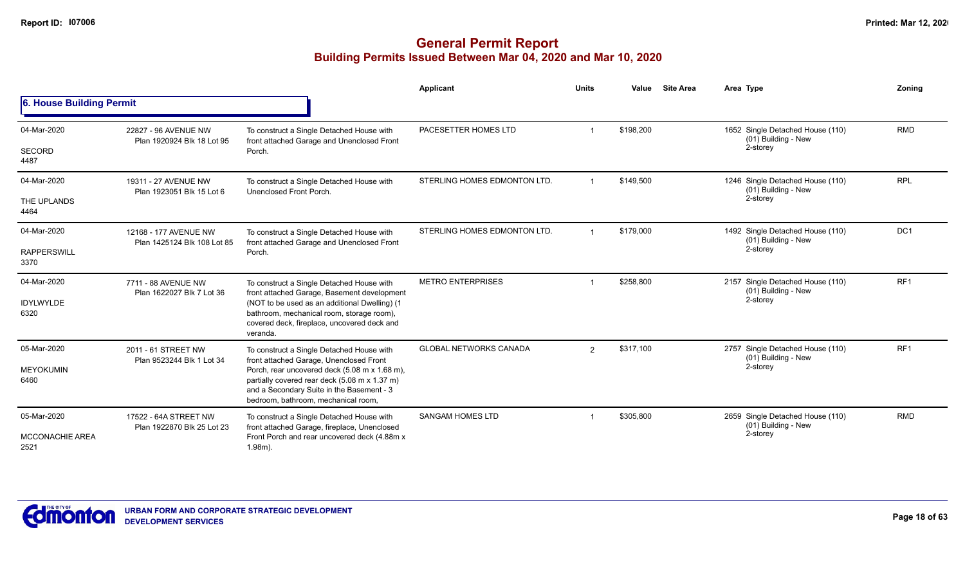|                                               |                                                      |                                                                                                                                                                                    | Applicant                     | <b>Units</b>   | Value     | <b>Site Area</b> | Area Type                                                           | Zoning          |
|-----------------------------------------------|------------------------------------------------------|------------------------------------------------------------------------------------------------------------------------------------------------------------------------------------|-------------------------------|----------------|-----------|------------------|---------------------------------------------------------------------|-----------------|
| 6. House Building Permit                      |                                                      |                                                                                                                                                                                    |                               |                |           |                  |                                                                     |                 |
| 04-Mar-2020                                   | 22827 - 96 AVENUE NW<br>Plan 1920924 Blk 18 Lot 95   | To construct a Single Detached House with<br>front attached Garage and Unenclosed Front                                                                                            | PACESETTER HOMES LTD          |                | \$198,200 |                  | 1652 Single Detached House (110)<br>(01) Building - New             | <b>RMD</b>      |
| <b>SECORD</b><br>4487                         |                                                      | Porch.                                                                                                                                                                             |                               |                |           |                  | 2-storey                                                            |                 |
| 04-Mar-2020                                   | 19311 - 27 AVENUE NW<br>Plan 1923051 Blk 15 Lot 6    | To construct a Single Detached House with<br>Unenclosed Front Porch.                                                                                                               | STERLING HOMES EDMONTON LTD.  | $\overline{1}$ | \$149,500 |                  | 1246 Single Detached House (110)<br>(01) Building - New             | <b>RPL</b>      |
| THE UPLANDS<br>4464                           |                                                      |                                                                                                                                                                                    |                               |                |           |                  | 2-storey                                                            |                 |
| 04-Mar-2020                                   | 12168 - 177 AVENUE NW<br>Plan 1425124 Blk 108 Lot 85 | To construct a Single Detached House with<br>front attached Garage and Unenclosed Front                                                                                            | STERLING HOMES EDMONTON LTD.  |                | \$179,000 |                  | 1492 Single Detached House (110)<br>(01) Building - New             | DC <sub>1</sub> |
| <b>RAPPERSWILL</b><br>3370                    |                                                      | Porch.                                                                                                                                                                             |                               |                |           |                  | 2-storey                                                            |                 |
| 04-Mar-2020                                   | 7711 - 88 AVENUE NW<br>Plan 1622027 Blk 7 Lot 36     | To construct a Single Detached House with<br>front attached Garage, Basement development                                                                                           | <b>METRO ENTERPRISES</b>      |                | \$258,800 |                  | 2157 Single Detached House (110)<br>(01) Building - New             | RF <sub>1</sub> |
| <b>IDYLWYLDE</b><br>6320                      |                                                      | (NOT to be used as an additional Dwelling) (1<br>bathroom, mechanical room, storage room),<br>covered deck, fireplace, uncovered deck and<br>veranda.                              |                               |                |           |                  | 2-storey                                                            |                 |
| 05-Mar-2020                                   | 2011 - 61 STREET NW<br>Plan 9523244 Blk 1 Lot 34     | To construct a Single Detached House with<br>front attached Garage, Unenclosed Front                                                                                               | <b>GLOBAL NETWORKS CANADA</b> | $\overline{2}$ | \$317,100 |                  | 2757 Single Detached House (110)<br>(01) Building - New             | RF <sub>1</sub> |
| <b>MEYOKUMIN</b><br>6460                      |                                                      | Porch, rear uncovered deck (5.08 m x 1.68 m),<br>partially covered rear deck (5.08 m x 1.37 m)<br>and a Secondary Suite in the Basement - 3<br>bedroom, bathroom, mechanical room. |                               |                |           |                  | 2-storey                                                            |                 |
| 05-Mar-2020<br><b>MCCONACHIE AREA</b><br>2521 | 17522 - 64A STREET NW<br>Plan 1922870 Blk 25 Lot 23  | To construct a Single Detached House with<br>front attached Garage, fireplace, Unenclosed<br>Front Porch and rear uncovered deck (4.88m x<br>$1.98m$ ).                            | <b>SANGAM HOMES LTD</b>       |                | \$305,800 |                  | 2659 Single Detached House (110)<br>(01) Building - New<br>2-storey | <b>RMD</b>      |

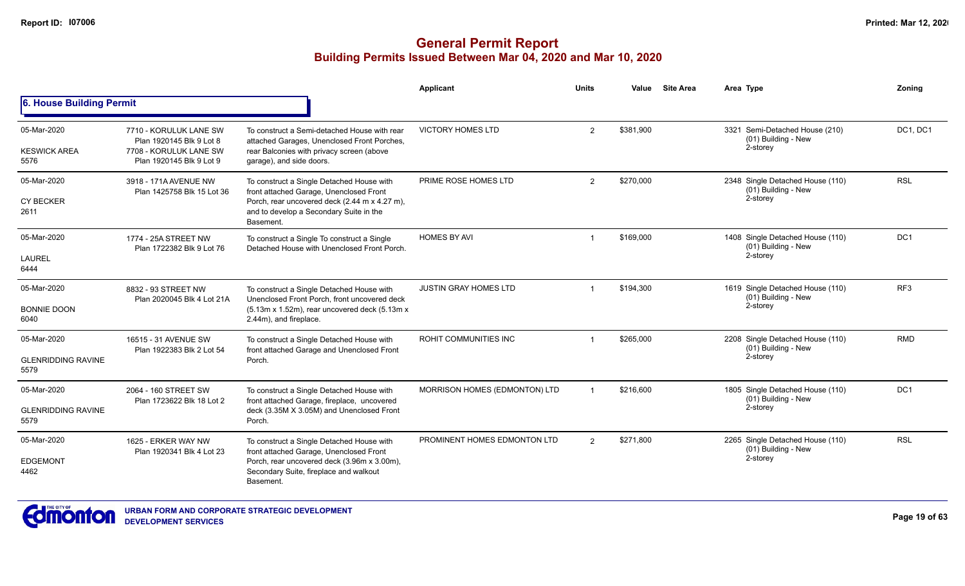|                                                  |                                                                                                          |                                                                                                                                                                                               | <b>Applicant</b>              | <b>Units</b> | Value     | <b>Site Area</b> | Area Type                                                             | <b>Zonina</b>   |
|--------------------------------------------------|----------------------------------------------------------------------------------------------------------|-----------------------------------------------------------------------------------------------------------------------------------------------------------------------------------------------|-------------------------------|--------------|-----------|------------------|-----------------------------------------------------------------------|-----------------|
| 6. House Building Permit                         |                                                                                                          |                                                                                                                                                                                               |                               |              |           |                  |                                                                       |                 |
| 05-Mar-2020<br><b>KESWICK AREA</b><br>5576       | 7710 - KORULUK LANE SW<br>Plan 1920145 Blk 9 Lot 8<br>7708 - KORULUK LANE SW<br>Plan 1920145 Blk 9 Lot 9 | To construct a Semi-detached House with rear<br>attached Garages, Unenclosed Front Porches,<br>rear Balconies with privacy screen (above<br>garage), and side doors.                          | <b>VICTORY HOMES LTD</b>      | 2            | \$381,900 |                  | 3321 Semi-Detached House (210)<br>(01) Building - New<br>2-storey     | DC1, DC1        |
| 05-Mar-2020<br><b>CY BECKER</b><br>2611          | 3918 - 171A AVENUE NW<br>Plan 1425758 Blk 15 Lot 36                                                      | To construct a Single Detached House with<br>front attached Garage, Unenclosed Front<br>Porch, rear uncovered deck (2.44 m x 4.27 m),<br>and to develop a Secondary Suite in the<br>Basement. | PRIME ROSE HOMES LTD          | 2            | \$270,000 |                  | 2348 Single Detached House (110)<br>(01) Building - New<br>2-storey   | <b>RSL</b>      |
| 05-Mar-2020<br><b>LAUREL</b><br>6444             | 1774 - 25A STREET NW<br>Plan 1722382 Blk 9 Lot 76                                                        | To construct a Single To construct a Single<br>Detached House with Unenclosed Front Porch.                                                                                                    | <b>HOMES BY AVI</b>           |              | \$169,000 |                  | 1408 Single Detached House (110)<br>(01) Building - New<br>2-storey   | DC <sub>1</sub> |
| 05-Mar-2020<br><b>BONNIE DOON</b><br>6040        | 8832 - 93 STREET NW<br>Plan 2020045 Blk 4 Lot 21A                                                        | To construct a Single Detached House with<br>Unenclosed Front Porch, front uncovered deck<br>(5.13m x 1.52m), rear uncovered deck (5.13m x<br>2.44m), and fireplace.                          | <b>JUSTIN GRAY HOMES LTD</b>  |              | \$194,300 |                  | 1619 Single Detached House (110)<br>$(01)$ Building - New<br>2-storey | RF <sub>3</sub> |
| 05-Mar-2020<br><b>GLENRIDDING RAVINE</b><br>5579 | 16515 - 31 AVENUE SW<br>Plan 1922383 Blk 2 Lot 54                                                        | To construct a Single Detached House with<br>front attached Garage and Unenclosed Front<br>Porch.                                                                                             | ROHIT COMMUNITIES INC         |              | \$265,000 |                  | 2208 Single Detached House (110)<br>(01) Building - New<br>2-storey   | <b>RMD</b>      |
| 05-Mar-2020<br><b>GLENRIDDING RAVINE</b><br>5579 | 2064 - 160 STREET SW<br>Plan 1723622 Blk 18 Lot 2                                                        | To construct a Single Detached House with<br>front attached Garage, fireplace, uncovered<br>deck (3.35M X 3.05M) and Unenclosed Front<br>Porch.                                               | MORRISON HOMES (EDMONTON) LTD |              | \$216,600 |                  | 1805 Single Detached House (110)<br>(01) Building - New<br>2-storey   | DC <sub>1</sub> |
| 05-Mar-2020<br><b>EDGEMONT</b><br>4462           | 1625 - ERKER WAY NW<br>Plan 1920341 Blk 4 Lot 23                                                         | To construct a Single Detached House with<br>front attached Garage, Unenclosed Front<br>Porch, rear uncovered deck (3.96m x 3.00m),<br>Secondary Suite, fireplace and walkout<br>Basement.    | PROMINENT HOMES EDMONTON LTD  | 2            | \$271,800 |                  | 2265 Single Detached House (110)<br>(01) Building - New<br>2-storey   | <b>RSL</b>      |

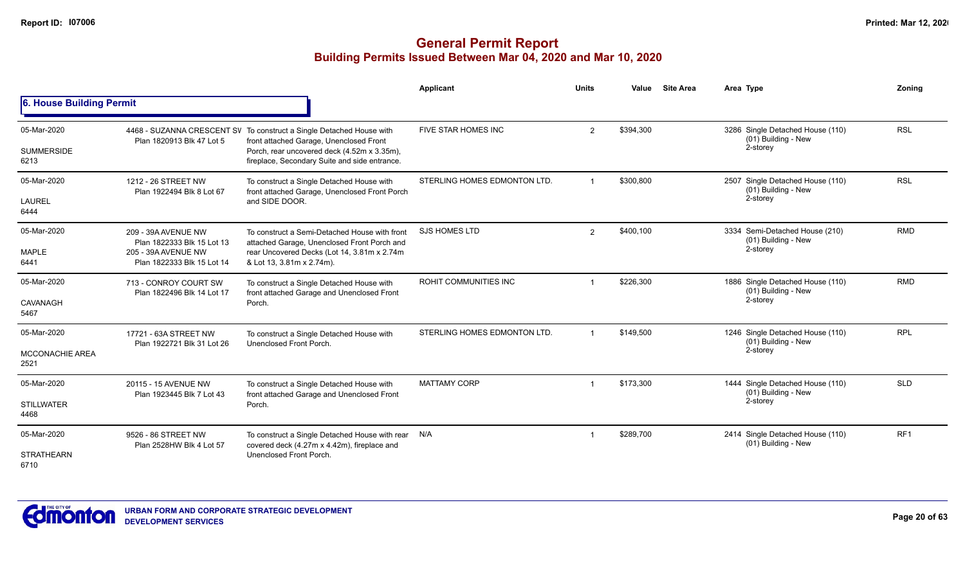|                                               |                                                                                                        |                                                                                                                                                                                                                 | Applicant                    | <b>Units</b>         | Value     | <b>Site Area</b> | Area Type                                                           | Zoning          |
|-----------------------------------------------|--------------------------------------------------------------------------------------------------------|-----------------------------------------------------------------------------------------------------------------------------------------------------------------------------------------------------------------|------------------------------|----------------------|-----------|------------------|---------------------------------------------------------------------|-----------------|
| 6. House Building Permit                      |                                                                                                        |                                                                                                                                                                                                                 |                              |                      |           |                  |                                                                     |                 |
| 05-Mar-2020<br><b>SUMMERSIDE</b><br>6213      | Plan 1820913 Blk 47 Lot 5                                                                              | 4468 - SUZANNA CRESCENT SV To construct a Single Detached House with<br>front attached Garage, Unenclosed Front<br>Porch, rear uncovered deck (4.52m x 3.35m),<br>fireplace, Secondary Suite and side entrance. | FIVE STAR HOMES INC          | $\overline{2}$       | \$394,300 |                  | 3286 Single Detached House (110)<br>(01) Building - New<br>2-storey | <b>RSL</b>      |
| 05-Mar-2020<br><b>LAUREL</b><br>6444          | 1212 - 26 STREET NW<br>Plan 1922494 Blk 8 Lot 67                                                       | To construct a Single Detached House with<br>front attached Garage, Unenclosed Front Porch<br>and SIDE DOOR.                                                                                                    | STERLING HOMES EDMONTON LTD. | $\blacktriangleleft$ | \$300,800 |                  | 2507 Single Detached House (110)<br>(01) Building - New<br>2-storey | <b>RSL</b>      |
| 05-Mar-2020<br><b>MAPLE</b><br>6441           | 209 - 39A AVENUE NW<br>Plan 1822333 Blk 15 Lot 13<br>205 - 39A AVENUE NW<br>Plan 1822333 Blk 15 Lot 14 | To construct a Semi-Detached House with front<br>attached Garage, Unenclosed Front Porch and<br>rear Uncovered Decks (Lot 14, 3.81m x 2.74m<br>& Lot 13, 3.81m x 2.74m).                                        | <b>SJS HOMES LTD</b>         | $\overline{2}$       | \$400,100 |                  | 3334 Semi-Detached House (210)<br>(01) Building - New<br>2-storey   | <b>RMD</b>      |
| 05-Mar-2020<br>CAVANAGH<br>5467               | 713 - CONROY COURT SW<br>Plan 1822496 Blk 14 Lot 17                                                    | To construct a Single Detached House with<br>front attached Garage and Unenclosed Front<br>Porch.                                                                                                               | <b>ROHIT COMMUNITIES INC</b> |                      | \$226,300 |                  | 1886 Single Detached House (110)<br>(01) Building - New<br>2-storey | <b>RMD</b>      |
| 05-Mar-2020<br><b>MCCONACHIE AREA</b><br>2521 | 17721 - 63A STREET NW<br>Plan 1922721 Blk 31 Lot 26                                                    | To construct a Single Detached House with<br>Unenclosed Front Porch.                                                                                                                                            | STERLING HOMES EDMONTON LTD. | $\overline{1}$       | \$149,500 |                  | 1246 Single Detached House (110)<br>(01) Building - New<br>2-storey | <b>RPL</b>      |
| 05-Mar-2020<br><b>STILLWATER</b><br>4468      | 20115 - 15 AVENUE NW<br>Plan 1923445 Blk 7 Lot 43                                                      | To construct a Single Detached House with<br>front attached Garage and Unenclosed Front<br>Porch.                                                                                                               | <b>MATTAMY CORP</b>          | $\mathbf 1$          | \$173,300 |                  | 1444 Single Detached House (110)<br>(01) Building - New<br>2-storey | <b>SLD</b>      |
| 05-Mar-2020<br><b>STRATHEARN</b><br>6710      | 9526 - 86 STREET NW<br>Plan 2528HW Blk 4 Lot 57                                                        | To construct a Single Detached House with rear<br>covered deck (4.27m x 4.42m), fireplace and<br>Unenclosed Front Porch.                                                                                        | N/A                          |                      | \$289,700 |                  | 2414 Single Detached House (110)<br>(01) Building - New             | RF <sub>1</sub> |

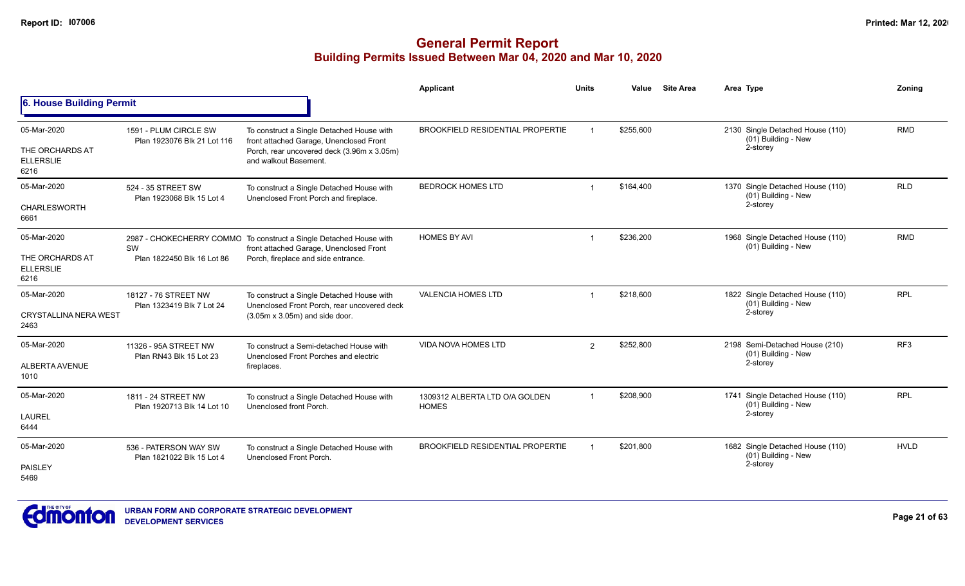|                                                            |                                                      |                                                                                                                                                             | Applicant                                      | <b>Units</b>            | Value     | <b>Site Area</b> | Area Type                                                           | Zonina          |
|------------------------------------------------------------|------------------------------------------------------|-------------------------------------------------------------------------------------------------------------------------------------------------------------|------------------------------------------------|-------------------------|-----------|------------------|---------------------------------------------------------------------|-----------------|
| 6. House Building Permit                                   |                                                      |                                                                                                                                                             |                                                |                         |           |                  |                                                                     |                 |
| 05-Mar-2020<br>THE ORCHARDS AT<br><b>ELLERSLIE</b><br>6216 | 1591 - PLUM CIRCLE SW<br>Plan 1923076 Blk 21 Lot 116 | To construct a Single Detached House with<br>front attached Garage, Unenclosed Front<br>Porch, rear uncovered deck (3.96m x 3.05m)<br>and walkout Basement. | <b>BROOKFIELD RESIDENTIAL PROPERTIE</b>        |                         | \$255,600 |                  | 2130 Single Detached House (110)<br>(01) Building - New<br>2-storey | <b>RMD</b>      |
| 05-Mar-2020<br><b>CHARLESWORTH</b><br>6661                 | 524 - 35 STREET SW<br>Plan 1923068 Blk 15 Lot 4      | To construct a Single Detached House with<br>Unenclosed Front Porch and fireplace.                                                                          | <b>BEDROCK HOMES LTD</b>                       |                         | \$164.400 |                  | 1370 Single Detached House (110)<br>(01) Building - New<br>2-storey | <b>RLD</b>      |
| 05-Mar-2020<br>THE ORCHARDS AT<br><b>ELLERSLIE</b><br>6216 | SW<br>Plan 1822450 Blk 16 Lot 86                     | 2987 - CHOKECHERRY COMMO To construct a Single Detached House with<br>front attached Garage, Unenclosed Front<br>Porch, fireplace and side entrance.        | <b>HOMES BY AVI</b>                            |                         | \$236,200 |                  | 1968 Single Detached House (110)<br>(01) Building - New             | <b>RMD</b>      |
| 05-Mar-2020<br><b>CRYSTALLINA NERA WEST</b><br>2463        | 18127 - 76 STREET NW<br>Plan 1323419 Blk 7 Lot 24    | To construct a Single Detached House with<br>Unenclosed Front Porch, rear uncovered deck<br>$(3.05m \times 3.05m)$ and side door.                           | <b>VALENCIA HOMES LTD</b>                      |                         | \$218,600 |                  | 1822 Single Detached House (110)<br>(01) Building - New<br>2-storey | <b>RPL</b>      |
| 05-Mar-2020<br>ALBERTA AVENUE<br>1010                      | 11326 - 95A STREET NW<br>Plan RN43 Blk 15 Lot 23     | To construct a Semi-detached House with<br>Unenclosed Front Porches and electric<br>fireplaces.                                                             | <b>VIDA NOVA HOMES LTD</b>                     | $\overline{2}$          | \$252,800 |                  | 2198 Semi-Detached House (210)<br>(01) Building - New<br>2-storey   | RF <sub>3</sub> |
| 05-Mar-2020<br><b>LAUREL</b><br>6444                       | 1811 - 24 STREET NW<br>Plan 1920713 Blk 14 Lot 10    | To construct a Single Detached House with<br>Unenclosed front Porch.                                                                                        | 1309312 ALBERTA LTD O/A GOLDEN<br><b>HOMES</b> | $\overline{\mathbf{1}}$ | \$208,900 |                  | 1741 Single Detached House (110)<br>(01) Building - New<br>2-storey | <b>RPL</b>      |
| 05-Mar-2020<br><b>PAISLEY</b><br>5469                      | 536 - PATERSON WAY SW<br>Plan 1821022 Blk 15 Lot 4   | To construct a Single Detached House with<br>Unenclosed Front Porch.                                                                                        | <b>BROOKFIELD RESIDENTIAL PROPERTIE</b>        |                         | \$201,800 |                  | 1682 Single Detached House (110)<br>(01) Building - New<br>2-storey | <b>HVLD</b>     |

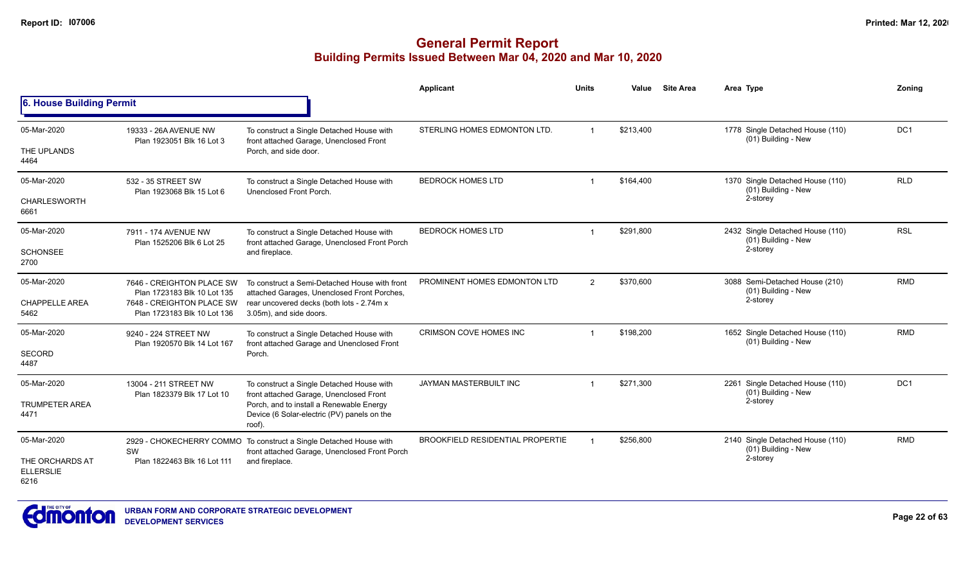|                                             |                                                          |                                                                                                                     | <b>Applicant</b>                        | <b>Units</b>            | Value     | <b>Site Area</b> | Area Type                                               | Zonina          |
|---------------------------------------------|----------------------------------------------------------|---------------------------------------------------------------------------------------------------------------------|-----------------------------------------|-------------------------|-----------|------------------|---------------------------------------------------------|-----------------|
| 6. House Building Permit                    |                                                          |                                                                                                                     |                                         |                         |           |                  |                                                         |                 |
| 05-Mar-2020                                 | 19333 - 26A AVENUE NW<br>Plan 1923051 Blk 16 Lot 3       | To construct a Single Detached House with                                                                           | STERLING HOMES EDMONTON LTD.            | $\overline{1}$          | \$213,400 |                  | 1778 Single Detached House (110)<br>(01) Building - New | DC <sub>1</sub> |
| THE UPLANDS<br>4464                         |                                                          | front attached Garage, Unenclosed Front<br>Porch, and side door.                                                    |                                         |                         |           |                  |                                                         |                 |
| 05-Mar-2020                                 | 532 - 35 STREET SW<br>Plan 1923068 Blk 15 Lot 6          | To construct a Single Detached House with<br>Unenclosed Front Porch.                                                | <b>BEDROCK HOMES LTD</b>                | $\overline{1}$          | \$164,400 |                  | 1370 Single Detached House (110)<br>(01) Building - New | <b>RLD</b>      |
| <b>CHARLESWORTH</b><br>6661                 |                                                          |                                                                                                                     |                                         |                         |           |                  | 2-storey                                                |                 |
| 05-Mar-2020                                 | 7911 - 174 AVENUE NW<br>Plan 1525206 Blk 6 Lot 25        | To construct a Single Detached House with                                                                           | <b>BEDROCK HOMES LTD</b>                | $\overline{\mathbf{A}}$ | \$291,800 |                  | 2432 Single Detached House (110)<br>(01) Building - New | <b>RSL</b>      |
| <b>SCHONSEE</b><br>2700                     |                                                          | front attached Garage, Unenclosed Front Porch<br>and fireplace.                                                     |                                         |                         |           | 2-storey         |                                                         |                 |
| 05-Mar-2020                                 | 7646 - CREIGHTON PLACE SW<br>Plan 1723183 Blk 10 Lot 135 | To construct a Semi-Detached House with front                                                                       | PROMINENT HOMES EDMONTON LTD            | $\overline{2}$          | \$370,600 |                  | 3088 Semi-Detached House (210)<br>(01) Building - New   | <b>RMD</b>      |
| <b>CHAPPELLE AREA</b><br>5462               | 7648 - CREIGHTON PLACE SW<br>Plan 1723183 Blk 10 Lot 136 | attached Garages, Unenclosed Front Porches,<br>rear uncovered decks (both lots - 2.74m x<br>3.05m), and side doors. |                                         |                         |           |                  | 2-storey                                                |                 |
| 05-Mar-2020                                 | 9240 - 224 STREET NW<br>Plan 1920570 Blk 14 Lot 167      | To construct a Single Detached House with<br>front attached Garage and Unenclosed Front                             | <b>CRIMSON COVE HOMES INC</b>           | 1                       | \$198,200 |                  | 1652 Single Detached House (110)<br>(01) Building - New | <b>RMD</b>      |
| <b>SECORD</b><br>4487                       |                                                          | Porch.                                                                                                              |                                         |                         |           |                  |                                                         |                 |
| 05-Mar-2020                                 | 13004 - 211 STREET NW                                    | To construct a Single Detached House with<br>front attached Garage, Unenclosed Front                                | JAYMAN MASTERBUILT INC                  |                         | \$271,300 |                  | 2261 Single Detached House (110)<br>(01) Building - New | DC <sub>1</sub> |
| <b>TRUMPETER AREA</b><br>4471               | Plan 1823379 Blk 17 Lot 10                               | Porch, and to install a Renewable Energy<br>Device (6 Solar-electric (PV) panels on the<br>roof).                   |                                         |                         |           |                  | 2-storey                                                |                 |
| 05-Mar-2020                                 | SW                                                       | 2929 - CHOKECHERRY COMMO To construct a Single Detached House with<br>front attached Garage, Unenclosed Front Porch | <b>BROOKFIELD RESIDENTIAL PROPERTIE</b> |                         | \$256,800 |                  | 2140 Single Detached House (110)<br>(01) Building - New | <b>RMD</b>      |
| THE ORCHARDS AT<br><b>ELLERSLIE</b><br>6216 | Plan 1822463 Blk 16 Lot 111                              | and fireplace.                                                                                                      |                                         |                         |           |                  | 2-storey                                                |                 |

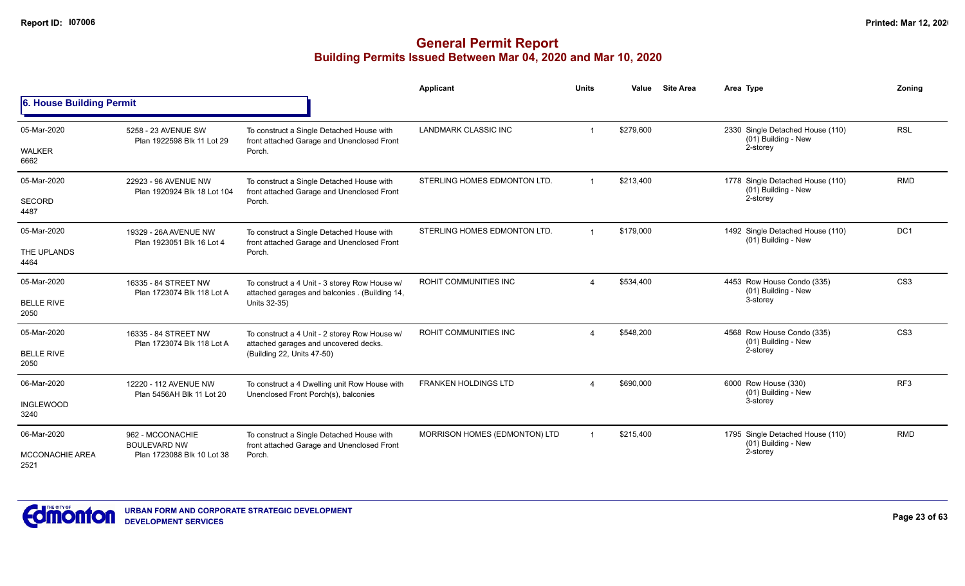|                                |                                                     |                                                                                                 | Applicant                     | <b>Units</b> | Value     | <b>Site Area</b> | Area Type                                               | Zoning          |
|--------------------------------|-----------------------------------------------------|-------------------------------------------------------------------------------------------------|-------------------------------|--------------|-----------|------------------|---------------------------------------------------------|-----------------|
| 6. House Building Permit       |                                                     |                                                                                                 |                               |              |           |                  |                                                         |                 |
| 05-Mar-2020                    | 5258 - 23 AVENUE SW<br>Plan 1922598 Blk 11 Lot 29   | To construct a Single Detached House with<br>front attached Garage and Unenclosed Front         | <b>LANDMARK CLASSIC INC</b>   |              | \$279,600 |                  | 2330 Single Detached House (110)<br>(01) Building - New | <b>RSL</b>      |
| <b>WALKER</b><br>6662          |                                                     | Porch.                                                                                          |                               |              |           |                  | 2-storey                                                |                 |
| 05-Mar-2020                    | 22923 - 96 AVENUE NW<br>Plan 1920924 Blk 18 Lot 104 | To construct a Single Detached House with<br>front attached Garage and Unenclosed Front         | STERLING HOMES EDMONTON LTD.  | $\mathbf{1}$ | \$213,400 |                  | 1778 Single Detached House (110)<br>(01) Building - New | <b>RMD</b>      |
| SECORD<br>4487                 |                                                     | Porch.                                                                                          |                               |              |           |                  | 2-storey                                                |                 |
| 05-Mar-2020                    | 19329 - 26A AVENUE NW<br>Plan 1923051 Blk 16 Lot 4  | To construct a Single Detached House with<br>front attached Garage and Unenclosed Front         | STERLING HOMES EDMONTON LTD.  | $\mathbf 1$  | \$179,000 |                  | 1492 Single Detached House (110)<br>(01) Building - New | DC <sub>1</sub> |
| THE UPLANDS<br>4464            |                                                     | Porch.                                                                                          |                               |              |           |                  |                                                         |                 |
| 05-Mar-2020                    | 16335 - 84 STREET NW<br>Plan 1723074 Blk 118 Lot A  | To construct a 4 Unit - 3 storey Row House w/<br>attached garages and balconies . (Building 14, | ROHIT COMMUNITIES INC         |              | \$534,400 |                  | 4453 Row House Condo (335)<br>(01) Building - New       | CS <sub>3</sub> |
| <b>BELLE RIVE</b><br>2050      |                                                     | Units 32-35)                                                                                    |                               |              |           |                  | 3-storey                                                |                 |
| 05-Mar-2020                    | 16335 - 84 STREET NW<br>Plan 1723074 Blk 118 Lot A  | To construct a 4 Unit - 2 storey Row House w/<br>attached garages and uncovered decks.          | ROHIT COMMUNITIES INC         |              | \$548,200 |                  | 4568 Row House Condo (335)<br>(01) Building - New       | CS <sub>3</sub> |
| <b>BELLE RIVE</b><br>2050      |                                                     | (Building 22, Units 47-50)                                                                      |                               |              |           |                  | 2-storey                                                |                 |
| 06-Mar-2020                    | 12220 - 112 AVENUE NW<br>Plan 5456AH Blk 11 Lot 20  | To construct a 4 Dwelling unit Row House with<br>Unenclosed Front Porch(s), balconies           | <b>FRANKEN HOLDINGS LTD</b>   |              | \$690,000 |                  | 6000 Row House (330)<br>(01) Building - New             | RF <sub>3</sub> |
| <b>INGLEWOOD</b><br>3240       |                                                     |                                                                                                 |                               |              |           |                  | 3-storey                                                |                 |
| 06-Mar-2020                    | 962 - MCCONACHIE<br><b>BOULEVARD NW</b>             | To construct a Single Detached House with<br>front attached Garage and Unenclosed Front         | MORRISON HOMES (EDMONTON) LTD |              | \$215,400 |                  | 1795 Single Detached House (110)<br>(01) Building - New | <b>RMD</b>      |
| <b>MCCONACHIE AREA</b><br>2521 | Plan 1723088 Blk 10 Lot 38                          | Porch.                                                                                          |                               |              |           |                  | 2-storey                                                |                 |

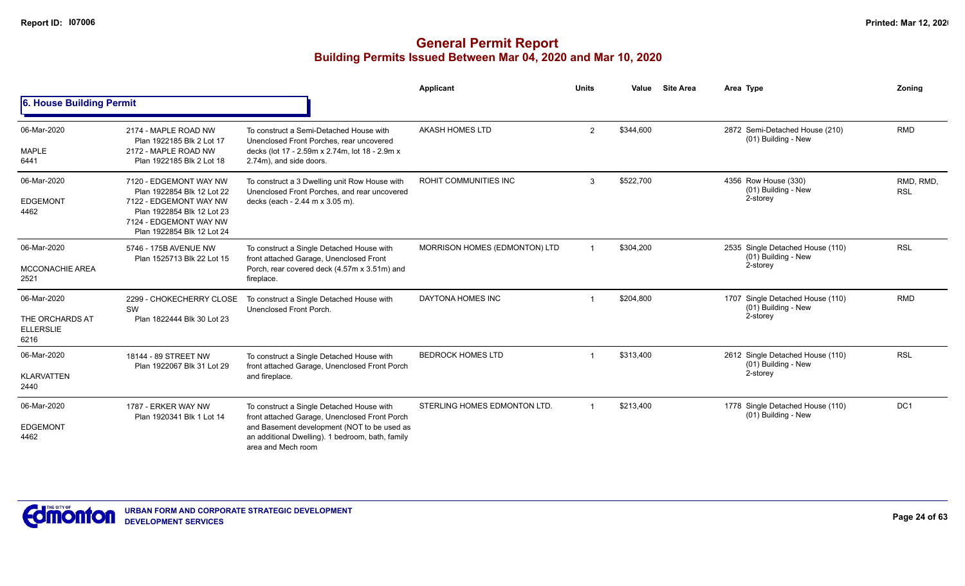|                                                            |                                                                                                                                                                      |                                                                                                                                                                                                                     | Applicant                     | <b>Units</b>   | Value     | <b>Site Area</b> | Area Type                                                           | Zonina                  |
|------------------------------------------------------------|----------------------------------------------------------------------------------------------------------------------------------------------------------------------|---------------------------------------------------------------------------------------------------------------------------------------------------------------------------------------------------------------------|-------------------------------|----------------|-----------|------------------|---------------------------------------------------------------------|-------------------------|
| 6. House Building Permit                                   |                                                                                                                                                                      |                                                                                                                                                                                                                     |                               |                |           |                  |                                                                     |                         |
| 06-Mar-2020<br><b>MAPLE</b><br>6441                        | 2174 - MAPLE ROAD NW<br>Plan 1922185 Blk 2 Lot 17<br>2172 - MAPLE ROAD NW<br>Plan 1922185 Blk 2 Lot 18                                                               | To construct a Semi-Detached House with<br>Unenclosed Front Porches, rear uncovered<br>decks (lot 17 - 2.59m x 2.74m, lot 18 - 2.9m x<br>2.74m), and side doors.                                                    | <b>AKASH HOMES LTD</b>        | $\overline{2}$ | \$344,600 |                  | 2872 Semi-Detached House (210)<br>(01) Building - New               | <b>RMD</b>              |
| 06-Mar-2020<br><b>EDGEMONT</b><br>4462                     | 7120 - EDGEMONT WAY NW<br>Plan 1922854 Blk 12 Lot 22<br>7122 - EDGEMONT WAY NW<br>Plan 1922854 Blk 12 Lot 23<br>7124 - EDGEMONT WAY NW<br>Plan 1922854 Blk 12 Lot 24 | To construct a 3 Dwelling unit Row House with<br>Unenclosed Front Porches, and rear uncovered<br>decks (each - 2.44 m x 3.05 m).                                                                                    | <b>ROHIT COMMUNITIES INC</b>  | 3              | \$522,700 |                  | 4356 Row House (330)<br>(01) Building - New<br>2-storey             | RMD, RMD,<br><b>RSL</b> |
| 06-Mar-2020<br><b>MCCONACHIE AREA</b><br>2521              | 5746 - 175B AVENUE NW<br>Plan 1525713 Blk 22 Lot 15                                                                                                                  | To construct a Single Detached House with<br>front attached Garage, Unenclosed Front<br>Porch, rear covered deck (4.57m x 3.51m) and<br>fireplace.                                                                  | MORRISON HOMES (EDMONTON) LTD | -1             | \$304,200 |                  | 2535 Single Detached House (110)<br>(01) Building - New<br>2-storey | <b>RSL</b>              |
| 06-Mar-2020<br>THE ORCHARDS AT<br><b>ELLERSLIE</b><br>6216 | 2299 - CHOKECHERRY CLOSE<br>SW<br>Plan 1822444 Blk 30 Lot 23                                                                                                         | To construct a Single Detached House with<br>Unenclosed Front Porch.                                                                                                                                                | DAYTONA HOMES INC             |                | \$204,800 |                  | 1707 Single Detached House (110)<br>(01) Building - New<br>2-storey | <b>RMD</b>              |
| 06-Mar-2020<br><b>KLARVATTEN</b><br>2440                   | 18144 - 89 STREET NW<br>Plan 1922067 Blk 31 Lot 29                                                                                                                   | To construct a Single Detached House with<br>front attached Garage, Unenclosed Front Porch<br>and fireplace.                                                                                                        | <b>BEDROCK HOMES LTD</b>      |                | \$313,400 |                  | 2612 Single Detached House (110)<br>(01) Building - New<br>2-storey | <b>RSL</b>              |
| 06-Mar-2020<br><b>EDGEMONT</b><br>4462                     | 1787 - ERKER WAY NW<br>Plan 1920341 Blk 1 Lot 14                                                                                                                     | To construct a Single Detached House with<br>front attached Garage, Unenclosed Front Porch<br>and Basement development (NOT to be used as<br>an additional Dwelling). 1 bedroom, bath, family<br>area and Mech room | STERLING HOMES EDMONTON LTD.  | $\overline{1}$ | \$213,400 |                  | 1778 Single Detached House (110)<br>(01) Building - New             | DC <sub>1</sub>         |

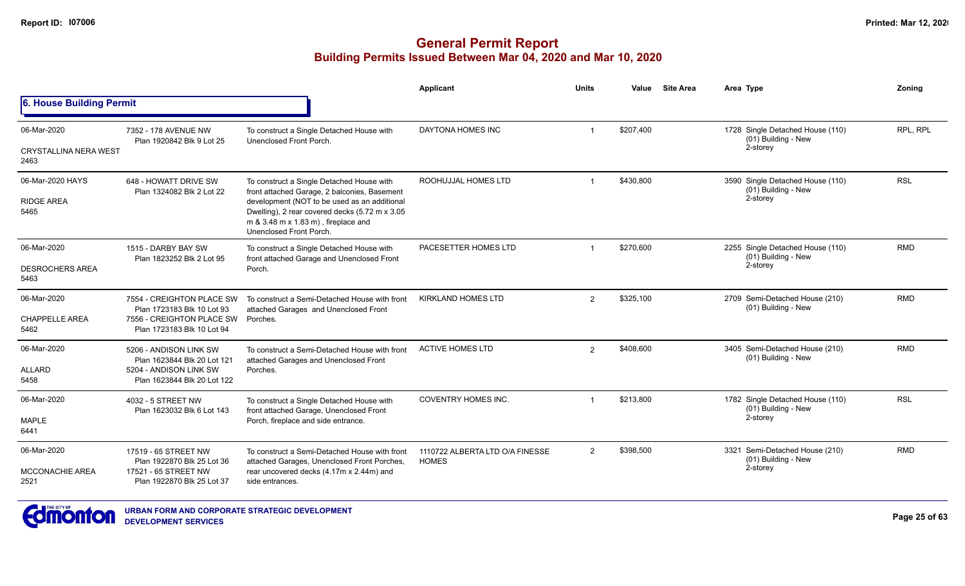## **General Permit Report Building Permits Issued Between Mar 04, 2020 and Mar 10, 2020**

|                                      |                                                         |                                                                                                                                                                  | <b>Applicant</b>                                | <b>Units</b> | Value     | <b>Site Area</b> | Area Type                                                 | Zonina     |
|--------------------------------------|---------------------------------------------------------|------------------------------------------------------------------------------------------------------------------------------------------------------------------|-------------------------------------------------|--------------|-----------|------------------|-----------------------------------------------------------|------------|
| <b>6. House Building Permit</b>      |                                                         |                                                                                                                                                                  |                                                 |              |           |                  |                                                           |            |
| 06-Mar-2020                          | 7352 - 178 AVENUE NW                                    | To construct a Single Detached House with                                                                                                                        | DAYTONA HOMES INC                               |              | \$207,400 |                  | 1728 Single Detached House (110)<br>(01) Building - New   | RPL, RPL   |
| <b>CRYSTALLINA NERA WEST</b><br>2463 | Plan 1920842 Blk 9 Lot 25                               | Unenclosed Front Porch.                                                                                                                                          |                                                 |              |           |                  | 2-storey                                                  |            |
| 06-Mar-2020 HAYS                     | 648 - HOWATT DRIVE SW<br>Plan 1324082 Blk 2 Lot 22      | To construct a Single Detached House with<br>front attached Garage, 2 balconies, Basement                                                                        | ROOHUJJAL HOMES LTD                             |              | \$430,800 |                  | 3590 Single Detached House (110)<br>(01) Building - New   | <b>RSL</b> |
| <b>RIDGE AREA</b><br>5465            |                                                         | development (NOT to be used as an additional<br>Dwelling), 2 rear covered decks (5.72 m x 3.05<br>m & 3.48 m x 1.83 m), fireplace and<br>Unenclosed Front Porch. |                                                 |              |           |                  | 2-storey                                                  |            |
| 06-Mar-2020                          | 1515 - DARBY BAY SW<br>Plan 1823252 Blk 2 Lot 95        | To construct a Single Detached House with<br>front attached Garage and Unenclosed Front                                                                          | PACESETTER HOMES LTD                            |              | \$270,600 |                  | 2255 Single Detached House (110)<br>(01) Building - New   | <b>RMD</b> |
| <b>DESROCHERS AREA</b><br>5463       |                                                         | Porch.                                                                                                                                                           |                                                 |              |           |                  | 2-storey                                                  |            |
| 06-Mar-2020                          | 7554 - CREIGHTON PLACE SW<br>Plan 1723183 Blk 10 Lot 93 | To construct a Semi-Detached House with front                                                                                                                    | <b>KIRKLAND HOMES LTD</b>                       | 2            | \$325,100 |                  | 2709 Semi-Detached House (210)<br>(01) Building - New     | <b>RMD</b> |
| <b>CHAPPELLE AREA</b><br>5462        | 7556 - CREIGHTON PLACE SW<br>Plan 1723183 Blk 10 Lot 94 | attached Garages and Unenclosed Front<br>Porches.                                                                                                                |                                                 |              |           |                  |                                                           |            |
| 06-Mar-2020                          | 5206 - ANDISON LINK SW<br>Plan 1623844 Blk 20 Lot 121   | To construct a Semi-Detached House with front<br>attached Garages and Unenclosed Front                                                                           | <b>ACTIVE HOMES LTD</b>                         | 2            | \$408,600 |                  | 3405 Semi-Detached House (210)<br>(01) Building - New     | <b>RMD</b> |
| <b>ALLARD</b><br>5458                | 5204 - ANDISON LINK SW<br>Plan 1623844 Blk 20 Lot 122   | Porches.                                                                                                                                                         |                                                 |              |           |                  |                                                           |            |
| 06-Mar-2020                          | 4032 - 5 STREET NW<br>Plan 1623032 Blk 6 Lot 143        | To construct a Single Detached House with                                                                                                                        | <b>COVENTRY HOMES INC.</b>                      |              | \$213,800 |                  | 1782 Single Detached House (110)<br>$(01)$ Building - New | <b>RSL</b> |
| <b>MAPLE</b><br>6441                 |                                                         | front attached Garage, Unenclosed Front<br>Porch, fireplace and side entrance.                                                                                   |                                                 |              |           |                  | 2-storey                                                  |            |
| 06-Mar-2020                          | 17519 - 65 STREET NW<br>Plan 1922870 Blk 25 Lot 36      | To construct a Semi-Detached House with front<br>attached Garages, Unenclosed Front Porches,                                                                     | 1110722 ALBERTA LTD O/A FINESSE<br><b>HOMES</b> | 2            | \$398,500 |                  | 3321 Semi-Detached House (210)<br>(01) Building - New     | <b>RMD</b> |
| <b>MCCONACHIE AREA</b><br>2521       | 17521 - 65 STREET NW<br>Plan 1922870 Blk 25 Lot 37      | rear uncovered decks (4.17m x 2.44m) and<br>side entrances.                                                                                                      |                                                 |              |           |                  | 2-storey                                                  |            |



**URBAN FORM AND CORPORATE STRATEGIC DEVELOPMENT DEVELOPMENT SERVICES**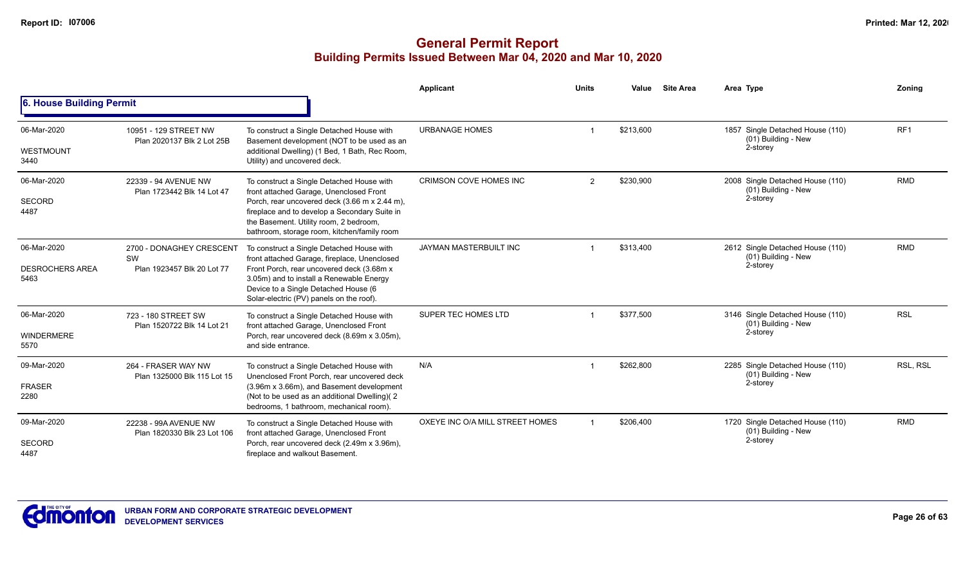|                                               |                                                              |                                                                                                                                                                                                                                                                                 | <b>Applicant</b>                | <b>Units</b>   | Value     | <b>Site Area</b> | Area Type                                                           | Zonina          |
|-----------------------------------------------|--------------------------------------------------------------|---------------------------------------------------------------------------------------------------------------------------------------------------------------------------------------------------------------------------------------------------------------------------------|---------------------------------|----------------|-----------|------------------|---------------------------------------------------------------------|-----------------|
| 6. House Building Permit                      |                                                              |                                                                                                                                                                                                                                                                                 |                                 |                |           |                  |                                                                     |                 |
| 06-Mar-2020<br>WESTMOUNT<br>3440              | 10951 - 129 STREET NW<br>Plan 2020137 Blk 2 Lot 25B          | To construct a Single Detached House with<br>Basement development (NOT to be used as an<br>additional Dwelling) (1 Bed, 1 Bath, Rec Room,<br>Utility) and uncovered deck.                                                                                                       | <b>URBANAGE HOMES</b>           |                | \$213,600 |                  | 1857 Single Detached House (110)<br>(01) Building - New<br>2-storey | RF <sub>1</sub> |
| 06-Mar-2020<br><b>SECORD</b><br>4487          | 22339 - 94 AVENUE NW<br>Plan 1723442 Blk 14 Lot 47           | To construct a Single Detached House with<br>front attached Garage, Unenclosed Front<br>Porch, rear uncovered deck (3.66 m x 2.44 m),<br>fireplace and to develop a Secondary Suite in<br>the Basement. Utility room, 2 bedroom,<br>bathroom, storage room, kitchen/family room | CRIMSON COVE HOMES INC          | $\overline{2}$ | \$230,900 |                  | 2008 Single Detached House (110)<br>(01) Building - New<br>2-storey | <b>RMD</b>      |
| 06-Mar-2020<br><b>DESROCHERS AREA</b><br>5463 | 2700 - DONAGHEY CRESCENT<br>SW<br>Plan 1923457 Blk 20 Lot 77 | To construct a Single Detached House with<br>front attached Garage, fireplace, Unenclosed<br>Front Porch, rear uncovered deck (3.68m x<br>3.05m) and to install a Renewable Energy<br>Device to a Single Detached House (6<br>Solar-electric (PV) panels on the roof).          | JAYMAN MASTERBUILT INC          |                | \$313,400 |                  | 2612 Single Detached House (110)<br>(01) Building - New<br>2-storey | <b>RMD</b>      |
| 06-Mar-2020<br><b>WINDERMERE</b><br>5570      | 723 - 180 STREET SW<br>Plan 1520722 Blk 14 Lot 21            | To construct a Single Detached House with<br>front attached Garage, Unenclosed Front<br>Porch, rear uncovered deck (8.69m x 3.05m),<br>and side entrance.                                                                                                                       | SUPER TEC HOMES LTD             |                | \$377,500 |                  | 3146 Single Detached House (110)<br>(01) Building - New<br>2-storey | <b>RSL</b>      |
| 09-Mar-2020<br><b>FRASER</b><br>2280          | 264 - FRASER WAY NW<br>Plan 1325000 Blk 115 Lot 15           | To construct a Single Detached House with<br>Unenclosed Front Porch, rear uncovered deck<br>(3.96m x 3.66m), and Basement development<br>(Not to be used as an additional Dwelling)(2<br>bedrooms, 1 bathroom, mechanical room).                                                | N/A                             |                | \$262,800 |                  | 2285 Single Detached House (110)<br>(01) Building - New<br>2-storey | RSL, RSL        |
| 09-Mar-2020<br><b>SECORD</b><br>4487          | 22238 - 99A AVENUE NW<br>Plan 1820330 Blk 23 Lot 106         | To construct a Single Detached House with<br>front attached Garage, Unenclosed Front<br>Porch, rear uncovered deck (2.49m x 3.96m),<br>fireplace and walkout Basement.                                                                                                          | OXEYE INC O/A MILL STREET HOMES |                | \$206,400 |                  | 1720 Single Detached House (110)<br>(01) Building - New<br>2-storey | <b>RMD</b>      |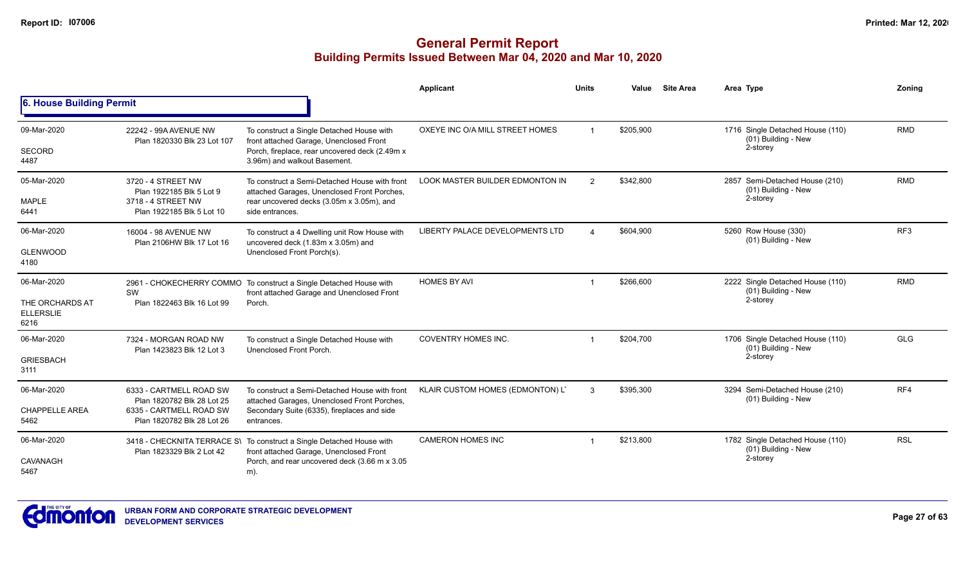|                                             |                                                       |                                                                                                                  | Applicant                              | <b>Units</b>                | Value     | <b>Site Area</b>                                      | Area Type                                               | Zoning          |
|---------------------------------------------|-------------------------------------------------------|------------------------------------------------------------------------------------------------------------------|----------------------------------------|-----------------------------|-----------|-------------------------------------------------------|---------------------------------------------------------|-----------------|
| 6. House Building Permit                    |                                                       |                                                                                                                  |                                        |                             |           |                                                       |                                                         |                 |
| 09-Mar-2020                                 | 22242 - 99A AVENUE NW<br>Plan 1820330 Blk 23 Lot 107  | To construct a Single Detached House with<br>front attached Garage, Unenclosed Front                             | OXEYE INC O/A MILL STREET HOMES        | $\overline{1}$              | \$205,900 |                                                       | 1716 Single Detached House (110)<br>(01) Building - New | <b>RMD</b>      |
| SECORD<br>4487                              |                                                       | Porch, fireplace, rear uncovered deck (2.49m x<br>3.96m) and walkout Basement.                                   |                                        |                             |           |                                                       | 2-storey                                                |                 |
| 05-Mar-2020                                 | 3720 - 4 STREET NW<br>Plan 1922185 Blk 5 Lot 9        | To construct a Semi-Detached House with front<br>attached Garages, Unenclosed Front Porches,                     | <b>LOOK MASTER BUILDER EDMONTON IN</b> | \$342,800<br>$\overline{2}$ |           | 2857 Semi-Detached House (210)<br>(01) Building - New | <b>RMD</b>                                              |                 |
| <b>MAPLE</b><br>6441                        | 3718 - 4 STREET NW<br>Plan 1922185 Blk 5 Lot 10       | rear uncovered decks (3.05m x 3.05m), and<br>side entrances.                                                     |                                        |                             |           |                                                       | 2-storey                                                |                 |
| 06-Mar-2020                                 | 16004 - 98 AVENUE NW<br>Plan 2106HW Blk 17 Lot 16     | To construct a 4 Dwelling unit Row House with<br>uncovered deck (1.83m x 3.05m) and                              | LIBERTY PALACE DEVELOPMENTS LTD        |                             | \$604,900 |                                                       | 5260 Row House (330)<br>(01) Building - New             | RF <sub>3</sub> |
| <b>GLENWOOD</b><br>4180                     |                                                       | Unenclosed Front Porch(s).                                                                                       |                                        |                             |           |                                                       |                                                         |                 |
| 06-Mar-2020                                 | <b>SW</b>                                             | 2961 - CHOKECHERRY COMMO To construct a Single Detached House with<br>front attached Garage and Unenclosed Front | <b>HOMES BY AVI</b>                    |                             | \$266,600 |                                                       | 2222 Single Detached House (110)<br>(01) Building - New | <b>RMD</b>      |
| THE ORCHARDS AT<br><b>ELLERSLIE</b><br>6216 | Plan 1822463 Blk 16 Lot 99                            | Porch.                                                                                                           |                                        |                             |           |                                                       | 2-storey                                                |                 |
| 06-Mar-2020                                 | 7324 - MORGAN ROAD NW<br>Plan 1423823 Blk 12 Lot 3    | To construct a Single Detached House with<br>Unenclosed Front Porch.                                             | <b>COVENTRY HOMES INC.</b>             |                             | \$204,700 |                                                       | 1706 Single Detached House (110)<br>(01) Building - New | <b>GLG</b>      |
| <b>GRIESBACH</b><br>3111                    |                                                       |                                                                                                                  |                                        |                             |           |                                                       | 2-storey                                                |                 |
| 06-Mar-2020                                 | 6333 - CARTMELL ROAD SW<br>Plan 1820782 Blk 28 Lot 25 | To construct a Semi-Detached House with front<br>attached Garages, Unenclosed Front Porches,                     | KLAIR CUSTOM HOMES (EDMONTON) L'       | 3                           | \$395,300 |                                                       | 3294 Semi-Detached House (210)<br>(01) Building - New   | RF4             |
| <b>CHAPPELLE AREA</b><br>5462               | 6335 - CARTMELL ROAD SW<br>Plan 1820782 Blk 28 Lot 26 | Secondary Suite (6335), fireplaces and side<br>entrances.                                                        |                                        |                             |           |                                                       |                                                         |                 |
| 06-Mar-2020                                 | Plan 1823329 Blk 2 Lot 42                             | 3418 - CHECKNITA TERRACE S\ To construct a Single Detached House with<br>front attached Garage, Unenclosed Front | <b>CAMERON HOMES INC</b>               |                             | \$213,800 |                                                       | 1782 Single Detached House (110)<br>(01) Building - New | <b>RSL</b>      |
| <b>CAVANAGH</b><br>5467                     |                                                       | Porch, and rear uncovered deck (3.66 m x 3.05<br>m).                                                             |                                        |                             |           |                                                       | 2-storey                                                |                 |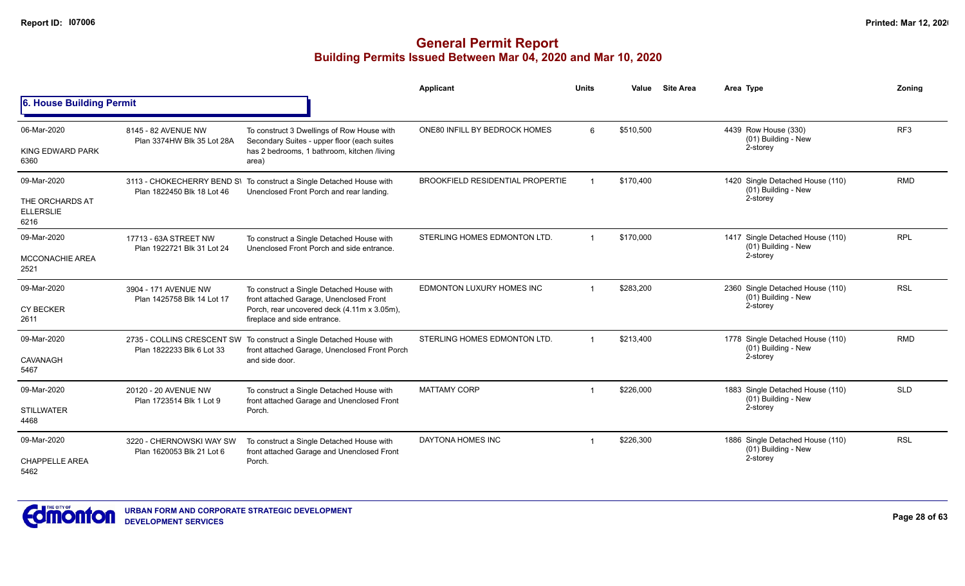|                                                            |                                                       |                                                                                                                                                                     | <b>Applicant</b>                        | <b>Units</b> | Value     | <b>Site Area</b> | Area Type                                                             | Zoning          |
|------------------------------------------------------------|-------------------------------------------------------|---------------------------------------------------------------------------------------------------------------------------------------------------------------------|-----------------------------------------|--------------|-----------|------------------|-----------------------------------------------------------------------|-----------------|
| 6. House Building Permit                                   |                                                       |                                                                                                                                                                     |                                         |              |           |                  |                                                                       |                 |
| 06-Mar-2020<br><b>KING EDWARD PARK</b><br>6360             | 8145 - 82 AVENUE NW<br>Plan 3374HW Blk 35 Lot 28A     | To construct 3 Dwellings of Row House with<br>Secondary Suites - upper floor (each suites<br>has 2 bedrooms, 1 bathroom, kitchen /living<br>area)                   | ONE80 INFILL BY BEDROCK HOMES           | 6            | \$510,500 |                  | 4439 Row House (330)<br>(01) Building - New<br>2-storey               | RF <sub>3</sub> |
| 09-Mar-2020<br>THE ORCHARDS AT<br><b>ELLERSLIE</b><br>6216 | Plan 1822450 Blk 18 Lot 46                            | 3113 - CHOKECHERRY BEND S\ To construct a Single Detached House with<br>Unenclosed Front Porch and rear landing.                                                    | <b>BROOKFIELD RESIDENTIAL PROPERTIE</b> |              | \$170,400 |                  | 1420 Single Detached House (110)<br>(01) Building - New<br>2-storey   | <b>RMD</b>      |
| 09-Mar-2020<br><b>MCCONACHIE AREA</b><br>2521              | 17713 - 63A STREET NW<br>Plan 1922721 Blk 31 Lot 24   | To construct a Single Detached House with<br>Unenclosed Front Porch and side entrance.                                                                              | STERLING HOMES EDMONTON LTD.            |              | \$170,000 |                  | 1417 Single Detached House (110)<br>(01) Building - New<br>2-storey   | <b>RPL</b>      |
| 09-Mar-2020<br><b>CY BECKER</b><br>2611                    | 3904 - 171 AVENUE NW<br>Plan 1425758 Blk 14 Lot 17    | To construct a Single Detached House with<br>front attached Garage, Unenclosed Front<br>Porch, rear uncovered deck (4.11m x 3.05m),<br>fireplace and side entrance. | EDMONTON LUXURY HOMES INC               |              | \$283,200 |                  | 2360 Single Detached House (110)<br>(01) Building - New<br>2-storey   | <b>RSL</b>      |
| 09-Mar-2020<br><b>CAVANAGH</b><br>5467                     | Plan 1822233 Blk 6 Lot 33                             | 2735 - COLLINS CRESCENT SW To construct a Single Detached House with<br>front attached Garage, Unenclosed Front Porch<br>and side door.                             | STERLING HOMES EDMONTON LTD.            |              | \$213,400 |                  | 1778 Single Detached House (110)<br>(01) Building - New<br>2-storey   | <b>RMD</b>      |
| 09-Mar-2020<br><b>STILLWATER</b><br>4468                   | 20120 - 20 AVENUE NW<br>Plan 1723514 Blk 1 Lot 9      | To construct a Single Detached House with<br>front attached Garage and Unenclosed Front<br>Porch.                                                                   | <b>MATTAMY CORP</b>                     | -1           | \$226,000 |                  | 1883 Single Detached House (110)<br>$(01)$ Building - New<br>2-storey | <b>SLD</b>      |
| 09-Mar-2020<br><b>CHAPPELLE AREA</b><br>5462               | 3220 - CHERNOWSKI WAY SW<br>Plan 1620053 Blk 21 Lot 6 | To construct a Single Detached House with<br>front attached Garage and Unenclosed Front<br>Porch.                                                                   | DAYTONA HOMES INC                       |              | \$226,300 |                  | 1886 Single Detached House (110)<br>(01) Building - New<br>2-storey   | <b>RSL</b>      |

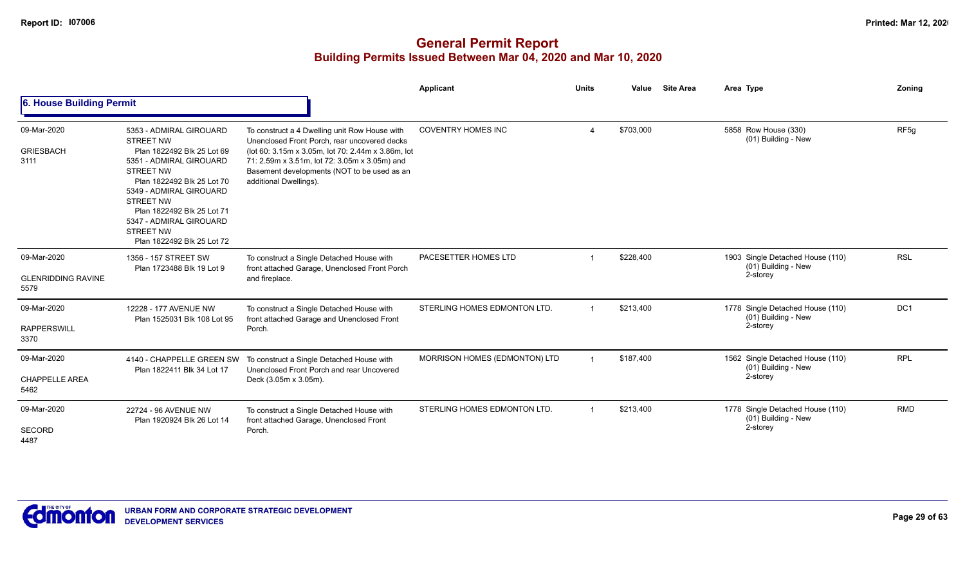|                                                  |                                                                                                                                                                                                                                                                                                                  |                                                                                                                                                                                                                                                                               | Applicant                     | <b>Units</b>   | Value     | <b>Site Area</b><br>Area Type                                       | <b>Zoning</b>    |
|--------------------------------------------------|------------------------------------------------------------------------------------------------------------------------------------------------------------------------------------------------------------------------------------------------------------------------------------------------------------------|-------------------------------------------------------------------------------------------------------------------------------------------------------------------------------------------------------------------------------------------------------------------------------|-------------------------------|----------------|-----------|---------------------------------------------------------------------|------------------|
| 6. House Building Permit                         |                                                                                                                                                                                                                                                                                                                  |                                                                                                                                                                                                                                                                               |                               |                |           |                                                                     |                  |
| 09-Mar-2020<br><b>GRIESBACH</b><br>3111          | 5353 - ADMIRAL GIROUARD<br><b>STREET NW</b><br>Plan 1822492 Blk 25 Lot 69<br>5351 - ADMIRAL GIROUARD<br><b>STREET NW</b><br>Plan 1822492 Blk 25 Lot 70<br>5349 - ADMIRAL GIROUARD<br><b>STREET NW</b><br>Plan 1822492 Blk 25 Lot 71<br>5347 - ADMIRAL GIROUARD<br><b>STREET NW</b><br>Plan 1822492 Blk 25 Lot 72 | To construct a 4 Dwelling unit Row House with<br>Unenclosed Front Porch, rear uncovered decks<br>(lot 60: 3.15m x 3.05m, lot 70: 2.44m x 3.86m, lot<br>71: 2.59m x 3.51m, lot 72: 3.05m x 3.05m) and<br>Basement developments (NOT to be used as an<br>additional Dwellings). | <b>COVENTRY HOMES INC</b>     |                | \$703,000 | 5858 Row House (330)<br>(01) Building - New                         | RF <sub>5g</sub> |
| 09-Mar-2020<br><b>GLENRIDDING RAVINE</b><br>5579 | 1356 - 157 STREET SW<br>Plan 1723488 Blk 19 Lot 9                                                                                                                                                                                                                                                                | To construct a Single Detached House with<br>front attached Garage, Unenclosed Front Porch<br>and fireplace.                                                                                                                                                                  | PACESETTER HOMES LTD          |                | \$228,400 | 1903 Single Detached House (110)<br>(01) Building - New<br>2-storey | <b>RSL</b>       |
| 09-Mar-2020<br><b>RAPPERSWILL</b><br>3370        | 12228 - 177 AVENUE NW<br>Plan 1525031 Blk 108 Lot 95                                                                                                                                                                                                                                                             | To construct a Single Detached House with<br>front attached Garage and Unenclosed Front<br>Porch.                                                                                                                                                                             | STERLING HOMES EDMONTON LTD.  |                | \$213,400 | 1778 Single Detached House (110)<br>(01) Building - New<br>2-storey | DC <sub>1</sub>  |
| 09-Mar-2020<br><b>CHAPPELLE AREA</b><br>5462     | 4140 - CHAPPELLE GREEN SW<br>Plan 1822411 Blk 34 Lot 17                                                                                                                                                                                                                                                          | To construct a Single Detached House with<br>Unenclosed Front Porch and rear Uncovered<br>Deck (3.05m x 3.05m).                                                                                                                                                               | MORRISON HOMES (EDMONTON) LTD |                | \$187,400 | 1562 Single Detached House (110)<br>(01) Building - New<br>2-storey | <b>RPL</b>       |
| 09-Mar-2020<br><b>SECORD</b><br>4487             | 22724 - 96 AVENUE NW<br>Plan 1920924 Blk 26 Lot 14                                                                                                                                                                                                                                                               | To construct a Single Detached House with<br>front attached Garage, Unenclosed Front<br>Porch.                                                                                                                                                                                | STERLING HOMES EDMONTON LTD.  | $\overline{1}$ | \$213,400 | 1778 Single Detached House (110)<br>(01) Building - New<br>2-storey | <b>RMD</b>       |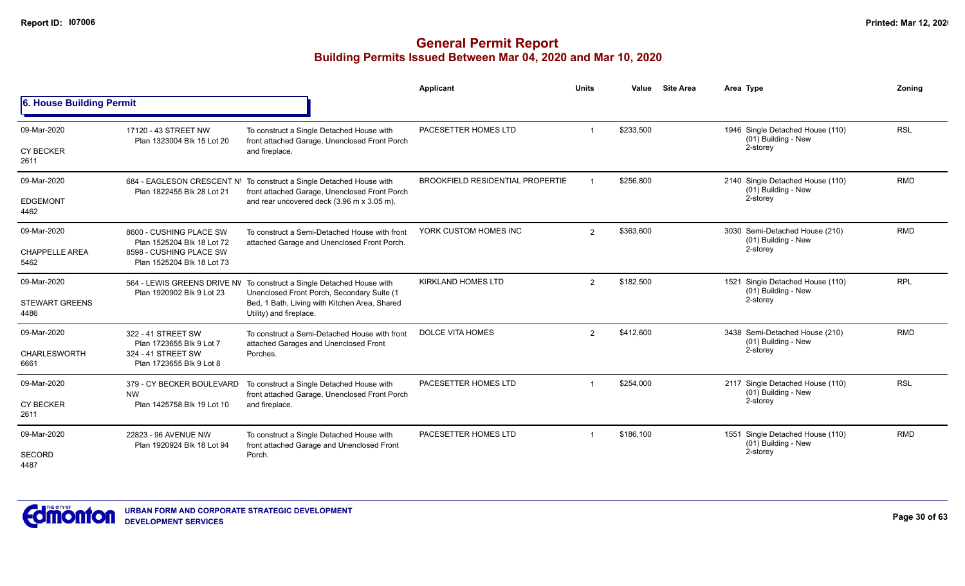|                                              |                                                                                                                |                                                                                                                                                                                                 | Applicant                               | <b>Units</b>   | Value     | <b>Site Area</b> | Area Type                                                           | Zoning     |
|----------------------------------------------|----------------------------------------------------------------------------------------------------------------|-------------------------------------------------------------------------------------------------------------------------------------------------------------------------------------------------|-----------------------------------------|----------------|-----------|------------------|---------------------------------------------------------------------|------------|
| 6. House Building Permit                     |                                                                                                                |                                                                                                                                                                                                 |                                         |                |           |                  |                                                                     |            |
| 09-Mar-2020<br><b>CY BECKER</b><br>2611      | 17120 - 43 STREET NW<br>Plan 1323004 Blk 15 Lot 20                                                             | To construct a Single Detached House with<br>front attached Garage, Unenclosed Front Porch<br>and fireplace.                                                                                    | PACESETTER HOMES LTD                    |                | \$233,500 |                  | 1946 Single Detached House (110)<br>(01) Building - New<br>2-storey | <b>RSL</b> |
| 09-Mar-2020<br><b>EDGEMONT</b><br>4462       | Plan 1822455 Blk 28 Lot 21                                                                                     | 684 - EAGLESON CRESCENT N\ To construct a Single Detached House with<br>front attached Garage, Unenclosed Front Porch<br>and rear uncovered deck (3.96 m x 3.05 m).                             | <b>BROOKFIELD RESIDENTIAL PROPERTIE</b> |                | \$256.800 |                  | 2140 Single Detached House (110)<br>(01) Building - New<br>2-storey | <b>RMD</b> |
| 09-Mar-2020<br><b>CHAPPELLE AREA</b><br>5462 | 8600 - CUSHING PLACE SW<br>Plan 1525204 Blk 18 Lot 72<br>8598 - CUSHING PLACE SW<br>Plan 1525204 Blk 18 Lot 73 | To construct a Semi-Detached House with front<br>attached Garage and Unenclosed Front Porch.                                                                                                    | YORK CUSTOM HOMES INC                   | $\overline{2}$ | \$363,600 |                  | 3030 Semi-Detached House (210)<br>(01) Building - New<br>2-storey   | <b>RMD</b> |
| 09-Mar-2020<br><b>STEWART GREENS</b><br>4486 | Plan 1920902 Blk 9 Lot 23                                                                                      | 564 - LEWIS GREENS DRIVE NV To construct a Single Detached House with<br>Unenclosed Front Porch, Secondary Suite (1<br>Bed, 1 Bath, Living with Kitchen Area, Shared<br>Utility) and fireplace. | <b>KIRKLAND HOMES LTD</b>               | $\overline{2}$ | \$182,500 |                  | 1521 Single Detached House (110)<br>(01) Building - New<br>2-storey | <b>RPL</b> |
| 09-Mar-2020<br><b>CHARLESWORTH</b><br>6661   | 322 - 41 STREET SW<br>Plan 1723655 Blk 9 Lot 7<br>324 - 41 STREET SW<br>Plan 1723655 Blk 9 Lot 8               | To construct a Semi-Detached House with front<br>attached Garages and Unenclosed Front<br>Porches.                                                                                              | <b>DOLCE VITA HOMES</b>                 | $\overline{2}$ | \$412,600 |                  | 3438 Semi-Detached House (210)<br>(01) Building - New<br>2-storey   | <b>RMD</b> |
| 09-Mar-2020<br><b>CY BECKER</b><br>2611      | 379 - CY BECKER BOULEVARD<br><b>NW</b><br>Plan 1425758 Blk 19 Lot 10                                           | To construct a Single Detached House with<br>front attached Garage, Unenclosed Front Porch<br>and fireplace.                                                                                    | PACESETTER HOMES LTD                    |                | \$254,000 |                  | 2117 Single Detached House (110)<br>(01) Building - New<br>2-storey | <b>RSL</b> |
| 09-Mar-2020<br><b>SECORD</b><br>4487         | 22823 - 96 AVENUE NW<br>Plan 1920924 Blk 18 Lot 94                                                             | To construct a Single Detached House with<br>front attached Garage and Unenclosed Front<br>Porch.                                                                                               | PACESETTER HOMES LTD                    | $\overline{1}$ | \$186,100 |                  | 1551 Single Detached House (110)<br>(01) Building - New<br>2-storey | <b>RMD</b> |

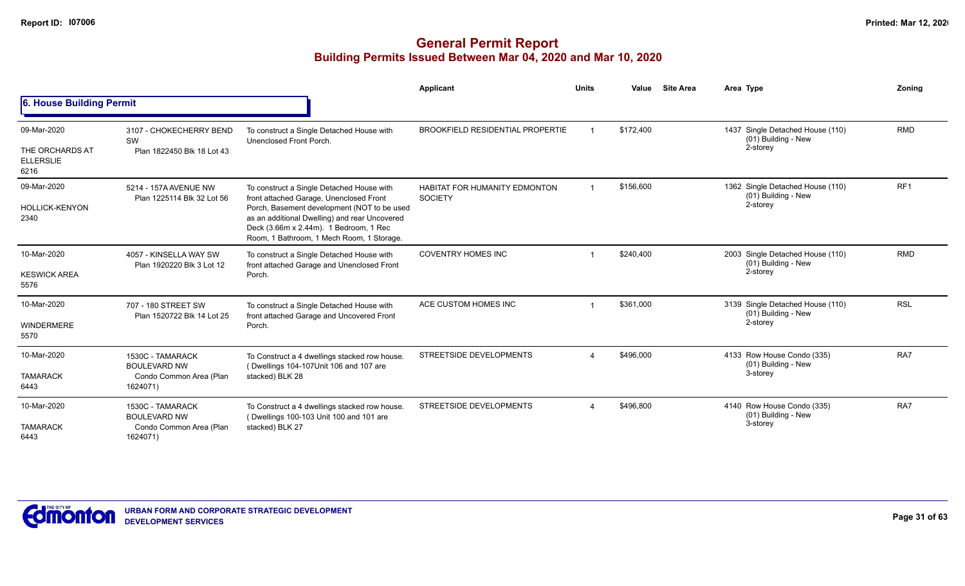|                                                            |                                                                                |                                                                                                                                                                                                                                                                             | <b>Applicant</b>                                       | <b>Units</b> | Value     | <b>Site Area</b> | Area Type                                                           | Zoning          |
|------------------------------------------------------------|--------------------------------------------------------------------------------|-----------------------------------------------------------------------------------------------------------------------------------------------------------------------------------------------------------------------------------------------------------------------------|--------------------------------------------------------|--------------|-----------|------------------|---------------------------------------------------------------------|-----------------|
| 6. House Building Permit                                   |                                                                                |                                                                                                                                                                                                                                                                             |                                                        |              |           |                  |                                                                     |                 |
| 09-Mar-2020<br>THE ORCHARDS AT<br><b>ELLERSLIE</b><br>6216 | 3107 - CHOKECHERRY BEND<br>SW<br>Plan 1822450 Blk 18 Lot 43                    | To construct a Single Detached House with<br>Unenclosed Front Porch.                                                                                                                                                                                                        | <b>BROOKFIELD RESIDENTIAL PROPERTIE</b>                |              | \$172,400 |                  | 1437 Single Detached House (110)<br>(01) Building - New<br>2-storey | <b>RMD</b>      |
| 09-Mar-2020<br><b>HOLLICK-KENYON</b><br>2340               | 5214 - 157A AVENUE NW<br>Plan 1225114 Blk 32 Lot 56                            | To construct a Single Detached House with<br>front attached Garage, Unenclosed Front<br>Porch, Basement development (NOT to be used<br>as an additional Dwelling) and rear Uncovered<br>Deck (3.66m x 2.44m). 1 Bedroom, 1 Rec<br>Room, 1 Bathroom, 1 Mech Room, 1 Storage. | <b>HABITAT FOR HUMANITY EDMONTON</b><br><b>SOCIETY</b> |              | \$156,600 |                  | 1362 Single Detached House (110)<br>(01) Building - New<br>2-storey | RF <sub>1</sub> |
| 10-Mar-2020<br><b>KESWICK AREA</b><br>5576                 | 4057 - KINSELLA WAY SW<br>Plan 1920220 Blk 3 Lot 12                            | To construct a Single Detached House with<br>front attached Garage and Unenclosed Front<br>Porch.                                                                                                                                                                           | <b>COVENTRY HOMES INC</b>                              |              | \$240,400 |                  | 2003 Single Detached House (110)<br>(01) Building - New<br>2-storey | <b>RMD</b>      |
| 10-Mar-2020<br><b>WINDERMERE</b><br>5570                   | 707 - 180 STREET SW<br>Plan 1520722 Blk 14 Lot 25                              | To construct a Single Detached House with<br>front attached Garage and Uncovered Front<br>Porch.                                                                                                                                                                            | ACE CUSTOM HOMES INC                                   |              | \$361,000 |                  | 3139 Single Detached House (110)<br>(01) Building - New<br>2-storey | <b>RSL</b>      |
| 10-Mar-2020<br><b>TAMARACK</b><br>6443                     | 1530C - TAMARACK<br><b>BOULEVARD NW</b><br>Condo Common Area (Plan<br>1624071) | To Construct a 4 dwellings stacked row house.<br>(Dwellings 104-107Unit 106 and 107 are<br>stacked) BLK 28                                                                                                                                                                  | STREETSIDE DEVELOPMENTS                                |              | \$496.000 |                  | 4133 Row House Condo (335)<br>(01) Building - New<br>3-storey       | RA7             |
| 10-Mar-2020<br><b>TAMARACK</b><br>6443                     | 1530C - TAMARACK<br><b>BOULEVARD NW</b><br>Condo Common Area (Plan<br>1624071) | To Construct a 4 dwellings stacked row house.<br>(Dwellings 100-103 Unit 100 and 101 are<br>stacked) BLK 27                                                                                                                                                                 | STREETSIDE DEVELOPMENTS                                |              | \$496,800 |                  | 4140 Row House Condo (335)<br>(01) Building - New<br>3-storey       | RA7             |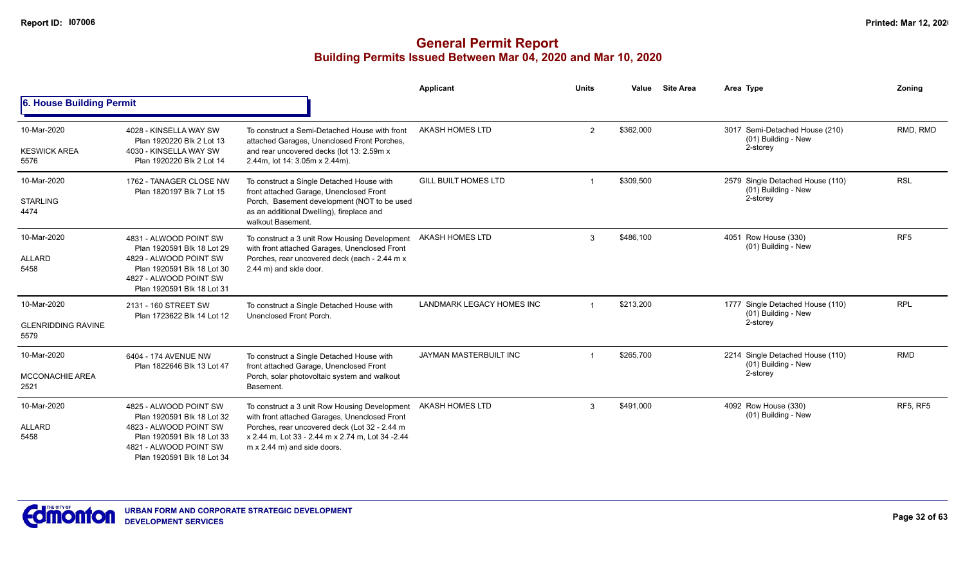|                                                  |                                                                                                                                                                      |                                                                                                                                                                                                                                            | Applicant                     | <b>Units</b> | Value     | <b>Site Area</b> | Area Type                                                           | Zoning          |
|--------------------------------------------------|----------------------------------------------------------------------------------------------------------------------------------------------------------------------|--------------------------------------------------------------------------------------------------------------------------------------------------------------------------------------------------------------------------------------------|-------------------------------|--------------|-----------|------------------|---------------------------------------------------------------------|-----------------|
| <b>6. House Building Permit</b>                  |                                                                                                                                                                      |                                                                                                                                                                                                                                            |                               |              |           |                  |                                                                     |                 |
| 10-Mar-2020<br><b>KESWICK AREA</b><br>5576       | 4028 - KINSELLA WAY SW<br>Plan 1920220 Blk 2 Lot 13<br>4030 - KINSELLA WAY SW<br>Plan 1920220 Blk 2 Lot 14                                                           | To construct a Semi-Detached House with front<br>attached Garages, Unenclosed Front Porches,<br>and rear uncovered decks (lot 13: 2.59m x<br>2.44m, lot 14: 3.05m x 2.44m).                                                                | AKASH HOMES LTD               | 2            | \$362,000 |                  | 3017 Semi-Detached House (210)<br>(01) Building - New<br>2-storey   | RMD, RMD        |
| 10-Mar-2020<br><b>STARLING</b><br>4474           | 1762 - TANAGER CLOSE NW<br>Plan 1820197 Blk 7 Lot 15                                                                                                                 | To construct a Single Detached House with<br>front attached Garage, Unenclosed Front<br>Porch, Basement development (NOT to be used<br>as an additional Dwelling), fireplace and<br>walkout Basement.                                      | <b>GILL BUILT HOMES LTD</b>   |              | \$309,500 |                  | 2579 Single Detached House (110)<br>(01) Building - New<br>2-storey | <b>RSL</b>      |
| 10-Mar-2020<br><b>ALLARD</b><br>5458             | 4831 - ALWOOD POINT SW<br>Plan 1920591 Blk 18 Lot 29<br>4829 - ALWOOD POINT SW<br>Plan 1920591 Blk 18 Lot 30<br>4827 - ALWOOD POINT SW<br>Plan 1920591 Blk 18 Lot 31 | To construct a 3 unit Row Housing Development<br>with front attached Garages, Unenclosed Front<br>Porches, rear uncovered deck (each - 2.44 m x<br>2.44 m) and side door.                                                                  | AKASH HOMES LTD               | 3            | \$486,100 |                  | 4051 Row House (330)<br>(01) Building - New                         | RF <sub>5</sub> |
| 10-Mar-2020<br><b>GLENRIDDING RAVINE</b><br>5579 | 2131 - 160 STREET SW<br>Plan 1723622 Blk 14 Lot 12                                                                                                                   | To construct a Single Detached House with<br>Unenclosed Front Porch.                                                                                                                                                                       | LANDMARK LEGACY HOMES INC     |              | \$213,200 |                  | 1777 Single Detached House (110)<br>(01) Building - New<br>2-storey | <b>RPL</b>      |
| 10-Mar-2020                                      | 6404 - 174 AVENUE NW<br>Plan 1822646 Blk 13 Lot 47                                                                                                                   | To construct a Single Detached House with<br>front attached Garage, Unenclosed Front                                                                                                                                                       | <b>JAYMAN MASTERBUILT INC</b> |              | \$265,700 |                  | 2214 Single Detached House (110)<br>(01) Building - New             | <b>RMD</b>      |
| <b>MCCONACHIE AREA</b><br>2521                   |                                                                                                                                                                      | Porch, solar photovoltaic system and walkout<br>Basement.                                                                                                                                                                                  |                               |              |           |                  | 2-storey                                                            |                 |
| 10-Mar-2020<br><b>ALLARD</b><br>5458             | 4825 - ALWOOD POINT SW<br>Plan 1920591 Blk 18 Lot 32<br>4823 - ALWOOD POINT SW<br>Plan 1920591 Blk 18 Lot 33<br>4821 - ALWOOD POINT SW<br>Plan 1920591 Blk 18 Lot 34 | To construct a 3 unit Row Housing Development<br>with front attached Garages, Unenclosed Front<br>Porches, rear uncovered deck (Lot 32 - 2.44 m<br>x 2.44 m. Lot 33 - 2.44 m x 2.74 m. Lot 34 - 2.44<br>$m \times 2.44$ m) and side doors. | AKASH HOMES LTD               | 3            | \$491,000 |                  | 4092 Row House (330)<br>(01) Building - New                         | <b>RF5, RF5</b> |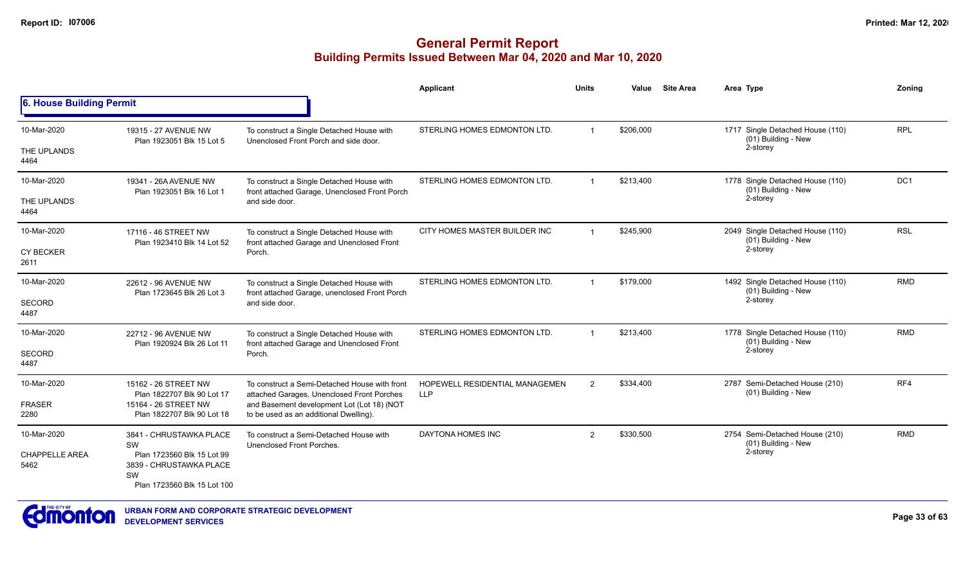|                               |                                                                                            |                                                                                             | Applicant                                    | Units                | Value     | <b>Site Area</b> | Area Type                                               | Zoning     |
|-------------------------------|--------------------------------------------------------------------------------------------|---------------------------------------------------------------------------------------------|----------------------------------------------|----------------------|-----------|------------------|---------------------------------------------------------|------------|
| 6. House Building Permit      |                                                                                            |                                                                                             |                                              |                      |           |                  |                                                         |            |
| 10-Mar-2020                   | 19315 - 27 AVENUE NW<br>Plan 1923051 Blk 15 Lot 5                                          | To construct a Single Detached House with<br>Unenclosed Front Porch and side door.          | STERLING HOMES EDMONTON LTD.                 | $\blacktriangleleft$ | \$206,000 |                  | 1717 Single Detached House (110)<br>(01) Building - New | <b>RPL</b> |
| THE UPLANDS<br>4464           |                                                                                            |                                                                                             |                                              |                      |           |                  | 2-storey                                                |            |
| 10-Mar-2020                   | 19341 - 26A AVENUE NW<br>Plan 1923051 Blk 16 Lot 1                                         | To construct a Single Detached House with<br>front attached Garage, Unenclosed Front Porch  | STERLING HOMES EDMONTON LTD.                 | $\overline{1}$       | \$213,400 |                  | 1778 Single Detached House (110)<br>(01) Building - New | DC1        |
| THE UPLANDS<br>4464           |                                                                                            | and side door.                                                                              |                                              |                      |           |                  | 2-storey                                                |            |
| 10-Mar-2020                   | 17116 - 46 STREET NW<br>Plan 1923410 Blk 14 Lot 52                                         | To construct a Single Detached House with<br>front attached Garage and Unenclosed Front     | CITY HOMES MASTER BUILDER INC                | $\mathbf{1}$         | \$245.900 |                  | 2049 Single Detached House (110)<br>(01) Building - New | <b>RSL</b> |
| <b>CY BECKER</b><br>2611      |                                                                                            | Porch.                                                                                      |                                              |                      | 2-storey  |                  |                                                         |            |
| 10-Mar-2020                   | 22612 - 96 AVENUE NW                                                                       | To construct a Single Detached House with<br>front attached Garage, unenclosed Front Porch  | STERLING HOMES EDMONTON LTD.                 |                      | \$179,000 |                  | 1492 Single Detached House (110)<br>(01) Building - New | <b>RMD</b> |
| <b>SECORD</b><br>4487         | Plan 1723645 Blk 26 Lot 3                                                                  | and side door.                                                                              |                                              |                      |           |                  | 2-storey                                                |            |
| 10-Mar-2020                   | 22712 - 96 AVENUE NW<br>Plan 1920924 Blk 26 Lot 11                                         | To construct a Single Detached House with<br>front attached Garage and Unenclosed Front     | STERLING HOMES EDMONTON LTD.                 | $\blacktriangleleft$ | \$213,400 |                  | 1778 Single Detached House (110)<br>(01) Building - New | <b>RMD</b> |
| <b>SECORD</b><br>4487         |                                                                                            | Porch.                                                                                      |                                              |                      | 2-storey  |                  |                                                         |            |
| 10-Mar-2020                   | 15162 - 26 STREET NW                                                                       | To construct a Semi-Detached House with front<br>attached Garages, Unenclosed Front Porches | HOPEWELL RESIDENTIAL MANAGEMEN<br><b>LLP</b> | $\overline{2}$       | \$334,400 |                  | 2787 Semi-Detached House (210)<br>(01) Building - New   | RF4        |
| <b>FRASER</b><br>2280         | Plan 1822707 Blk 90 Lot 17<br>15164 - 26 STREET NW<br>Plan 1822707 Blk 90 Lot 18           | and Basement development Lot (Lot 18) (NOT<br>to be used as an additional Dwelling).        |                                              |                      |           |                  |                                                         |            |
| 10-Mar-2020                   | 3841 - CHRUSTAWKA PLACE<br>SW                                                              | To construct a Semi-Detached House with<br>Unenclosed Front Porches.                        | DAYTONA HOMES INC                            | $\mathfrak{p}$       | \$330,500 |                  | 2754 Semi-Detached House (210)<br>(01) Building - New   | <b>RMD</b> |
| <b>CHAPPELLE AREA</b><br>5462 | Plan 1723560 Blk 15 Lot 99<br>3839 - CHRUSTAWKA PLACE<br>SW<br>Plan 1723560 Blk 15 Lot 100 |                                                                                             |                                              |                      |           |                  | 2-storey                                                |            |

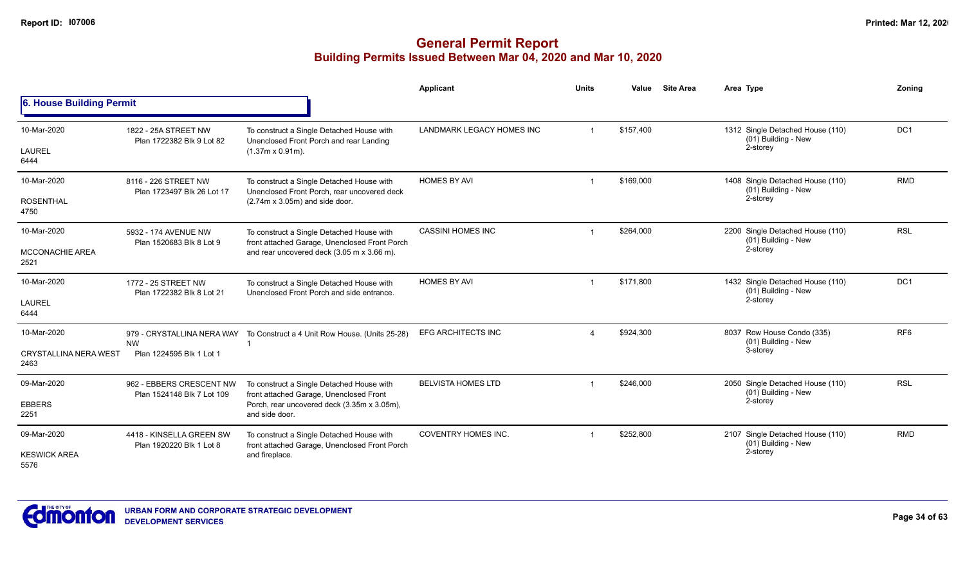|                                                     |                                                        |                                                                                                                                                       | Applicant                        | <b>Units</b> | Value     | <b>Site Area</b> | Area Type                                                           | Zoning          |
|-----------------------------------------------------|--------------------------------------------------------|-------------------------------------------------------------------------------------------------------------------------------------------------------|----------------------------------|--------------|-----------|------------------|---------------------------------------------------------------------|-----------------|
| 6. House Building Permit                            |                                                        |                                                                                                                                                       |                                  |              |           |                  |                                                                     |                 |
| 10-Mar-2020<br>LAUREL<br>6444                       | 1822 - 25A STREET NW<br>Plan 1722382 Blk 9 Lot 82      | To construct a Single Detached House with<br>Unenclosed Front Porch and rear Landing<br>$(1.37m \times 0.91m)$ .                                      | <b>LANDMARK LEGACY HOMES INC</b> |              | \$157,400 |                  | 1312 Single Detached House (110)<br>(01) Building - New<br>2-storey | DC <sub>1</sub> |
| 10-Mar-2020<br><b>ROSENTHAL</b><br>4750             | 8116 - 226 STREET NW<br>Plan 1723497 Blk 26 Lot 17     | To construct a Single Detached House with<br>Unenclosed Front Porch, rear uncovered deck<br>$(2.74m \times 3.05m)$ and side door.                     | <b>HOMES BY AVI</b>              |              | \$169,000 |                  | 1408 Single Detached House (110)<br>(01) Building - New<br>2-storey | <b>RMD</b>      |
| 10-Mar-2020<br><b>MCCONACHIE AREA</b><br>2521       | 5932 - 174 AVENUE NW<br>Plan 1520683 Blk 8 Lot 9       | To construct a Single Detached House with<br>front attached Garage, Unenclosed Front Porch<br>and rear uncovered deck (3.05 m x 3.66 m).              | <b>CASSINI HOMES INC</b>         |              | \$264,000 |                  | 2200 Single Detached House (110)<br>(01) Building - New<br>2-storey | <b>RSL</b>      |
| 10-Mar-2020<br><b>LAUREL</b><br>6444                | 1772 - 25 STREET NW<br>Plan 1722382 Blk 8 Lot 21       | To construct a Single Detached House with<br>Unenclosed Front Porch and side entrance.                                                                | <b>HOMES BY AVI</b>              |              | \$171,800 |                  | 1432 Single Detached House (110)<br>(01) Building - New<br>2-storey | DC1             |
| 10-Mar-2020<br><b>CRYSTALLINA NERA WEST</b><br>2463 | <b>NW</b><br>Plan 1224595 Blk 1 Lot 1                  | 979 - CRYSTALLINA NERA WAY  To Construct a 4 Unit Row House. (Units 25-28)                                                                            | <b>EFG ARCHITECTS INC</b>        | $\Delta$     | \$924,300 |                  | 8037 Row House Condo (335)<br>(01) Building - New<br>3-storey       | RF <sub>6</sub> |
| 09-Mar-2020<br><b>EBBERS</b><br>2251                | 962 - EBBERS CRESCENT NW<br>Plan 1524148 Blk 7 Lot 109 | To construct a Single Detached House with<br>front attached Garage, Unenclosed Front<br>Porch, rear uncovered deck (3.35m x 3.05m),<br>and side door. | <b>BELVISTA HOMES LTD</b>        |              | \$246,000 |                  | 2050 Single Detached House (110)<br>(01) Building - New<br>2-storey | <b>RSL</b>      |
| 09-Mar-2020<br><b>KESWICK AREA</b><br>5576          | 4418 - KINSELLA GREEN SW<br>Plan 1920220 Blk 1 Lot 8   | To construct a Single Detached House with<br>front attached Garage, Unenclosed Front Porch<br>and fireplace.                                          | <b>COVENTRY HOMES INC.</b>       |              | \$252,800 |                  | 2107 Single Detached House (110)<br>(01) Building - New<br>2-storey | <b>RMD</b>      |

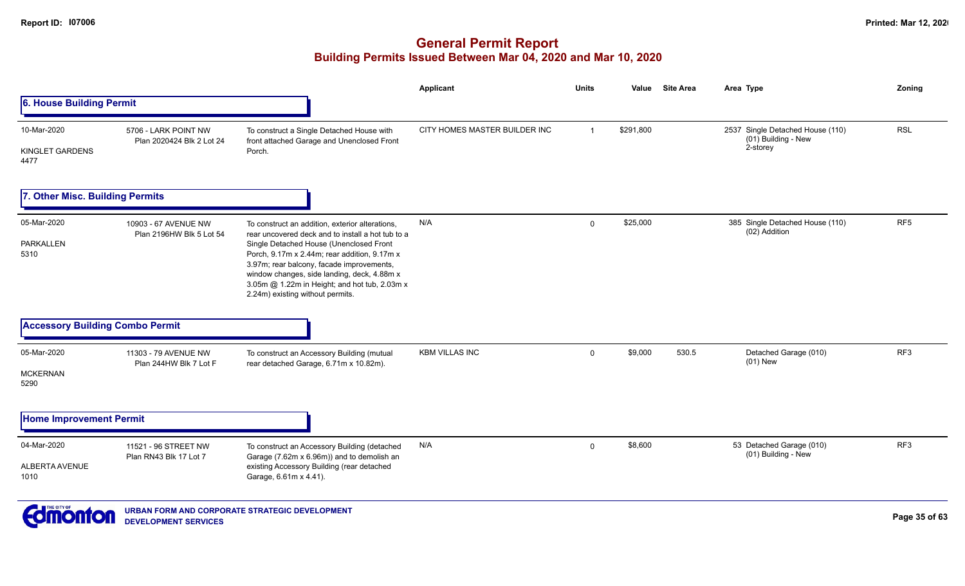|                                                   |                                                                                                                                                                                                                                                                                                                                                                                  | <b>Applicant</b>              | <b>Units</b> | Value     |       | Area Type                                                           | Zoning          |
|---------------------------------------------------|----------------------------------------------------------------------------------------------------------------------------------------------------------------------------------------------------------------------------------------------------------------------------------------------------------------------------------------------------------------------------------|-------------------------------|--------------|-----------|-------|---------------------------------------------------------------------|-----------------|
|                                                   |                                                                                                                                                                                                                                                                                                                                                                                  |                               |              |           |       |                                                                     |                 |
| 5706 - LARK POINT NW<br>Plan 2020424 Blk 2 Lot 24 | To construct a Single Detached House with<br>front attached Garage and Unenclosed Front<br>Porch.                                                                                                                                                                                                                                                                                | CITY HOMES MASTER BUILDER INC | $\mathbf{1}$ | \$291,800 |       | 2537 Single Detached House (110)<br>(01) Building - New<br>2-storey | <b>RSL</b>      |
|                                                   |                                                                                                                                                                                                                                                                                                                                                                                  |                               |              |           |       |                                                                     |                 |
| 10903 - 67 AVENUE NW<br>Plan 2196HW Blk 5 Lot 54  | To construct an addition, exterior alterations,<br>rear uncovered deck and to install a hot tub to a<br>Single Detached House (Unenclosed Front<br>Porch, 9.17m x 2.44m; rear addition, 9.17m x<br>3.97m; rear balcony, facade improvements,<br>window changes, side landing, deck, 4.88m x<br>3.05m @ 1.22m in Height; and hot tub, 2.03m x<br>2.24m) existing without permits. | N/A                           | $\mathbf 0$  | \$25,000  |       | 385 Single Detached House (110)<br>(02) Addition                    | RF <sub>5</sub> |
|                                                   |                                                                                                                                                                                                                                                                                                                                                                                  |                               |              |           |       |                                                                     |                 |
| 11303 - 79 AVENUE NW<br>Plan 244HW Blk 7 Lot F    | To construct an Accessory Building (mutual<br>rear detached Garage, 6.71m x 10.82m).                                                                                                                                                                                                                                                                                             | <b>KBM VILLAS INC</b>         | $\mathbf 0$  | \$9,000   | 530.5 | Detached Garage (010)<br>$(01)$ New                                 | RF3             |
|                                                   |                                                                                                                                                                                                                                                                                                                                                                                  |                               |              |           |       |                                                                     |                 |
| 11521 - 96 STREET NW<br>Plan RN43 Blk 17 Lot 7    | To construct an Accessory Building (detached<br>Garage (7.62m x 6.96m)) and to demolish an<br>existing Accessory Building (rear detached<br>Garage, 6.61m x 4.41).                                                                                                                                                                                                               | N/A                           | $\mathbf 0$  | \$8,600   |       | 53 Detached Garage (010)<br>(01) Building - New                     | RF3             |
|                                                   | 6. House Building Permit<br><b>Other Misc. Building Permits</b><br><b>Accessory Building Combo Permit</b><br><b>Home Improvement Permit</b>                                                                                                                                                                                                                                      |                               |              |           |       | <b>Site Area</b>                                                    |                 |

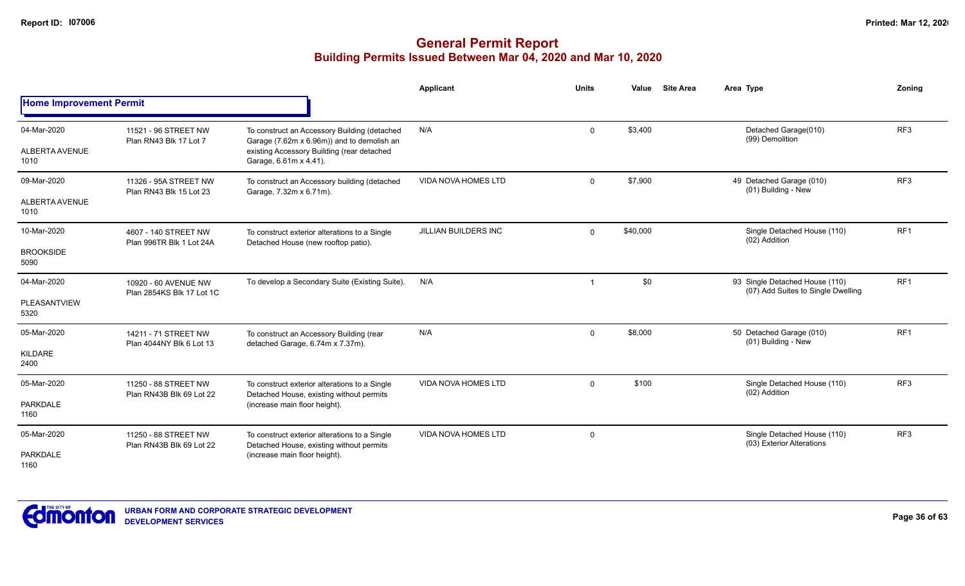|                                         |                                                   |                                                                                                                                                                    | Applicant                  | <b>Units</b>   | Value    | <b>Site Area</b> | Area Type                                                            | Zoning          |
|-----------------------------------------|---------------------------------------------------|--------------------------------------------------------------------------------------------------------------------------------------------------------------------|----------------------------|----------------|----------|------------------|----------------------------------------------------------------------|-----------------|
| <b>Home Improvement Permit</b>          |                                                   |                                                                                                                                                                    |                            |                |          |                  |                                                                      |                 |
| 04-Mar-2020<br>ALBERTA AVENUE<br>1010   | 11521 - 96 STREET NW<br>Plan RN43 Blk 17 Lot 7    | To construct an Accessory Building (detached<br>Garage (7.62m x 6.96m)) and to demolish an<br>existing Accessory Building (rear detached<br>Garage, 6.61m x 4.41). | N/A                        | $\mathbf{0}$   | \$3,400  |                  | Detached Garage(010)<br>(99) Demolition                              | RF <sub>3</sub> |
| 09-Mar-2020<br>ALBERTA AVENUE<br>1010   | 11326 - 95A STREET NW<br>Plan RN43 Blk 15 Lot 23  | To construct an Accessory building (detached<br>Garage, 7.32m x 6.71m).                                                                                            | <b>VIDA NOVA HOMES LTD</b> | $\mathbf{0}$   | \$7,900  |                  | 49 Detached Garage (010)<br>(01) Building - New                      | RF <sub>3</sub> |
| 10-Mar-2020<br><b>BROOKSIDE</b><br>5090 | 4607 - 140 STREET NW<br>Plan 996TR Blk 1 Lot 24A  | To construct exterior alterations to a Single<br>Detached House (new rooftop patio).                                                                               | JILLIAN BUILDERS INC       | 0              | \$40,000 |                  | Single Detached House (110)<br>(02) Addition                         | RF <sub>1</sub> |
| 04-Mar-2020<br>PLEASANTVIEW<br>5320     | 10920 - 60 AVENUE NW<br>Plan 2854KS Blk 17 Lot 1C | To develop a Secondary Suite (Existing Suite).                                                                                                                     | N/A                        | $\overline{1}$ | \$0      |                  | 93 Single Detached House (110)<br>(07) Add Suites to Single Dwelling | RF <sub>1</sub> |
| 05-Mar-2020<br>KILDARE<br>2400          | 14211 - 71 STREET NW<br>Plan 4044NY Blk 6 Lot 13  | To construct an Accessory Building (rear<br>detached Garage, 6.74m x 7.37m).                                                                                       | N/A                        | $\mathbf{0}$   | \$8,000  |                  | 50 Detached Garage (010)<br>(01) Building - New                      | RF <sub>1</sub> |
| 05-Mar-2020<br><b>PARKDALE</b><br>1160  | 11250 - 88 STREET NW<br>Plan RN43B Blk 69 Lot 22  | To construct exterior alterations to a Single<br>Detached House, existing without permits<br>(increase main floor height).                                         | <b>VIDA NOVA HOMES LTD</b> | $\mathbf 0$    | \$100    |                  | Single Detached House (110)<br>(02) Addition                         | RF3             |
| 05-Mar-2020<br><b>PARKDALE</b><br>1160  | 11250 - 88 STREET NW<br>Plan RN43B Blk 69 Lot 22  | To construct exterior alterations to a Single<br>Detached House, existing without permits<br>(increase main floor height).                                         | <b>VIDA NOVA HOMES LTD</b> | $\mathbf 0$    |          |                  | Single Detached House (110)<br>(03) Exterior Alterations             | RF3             |

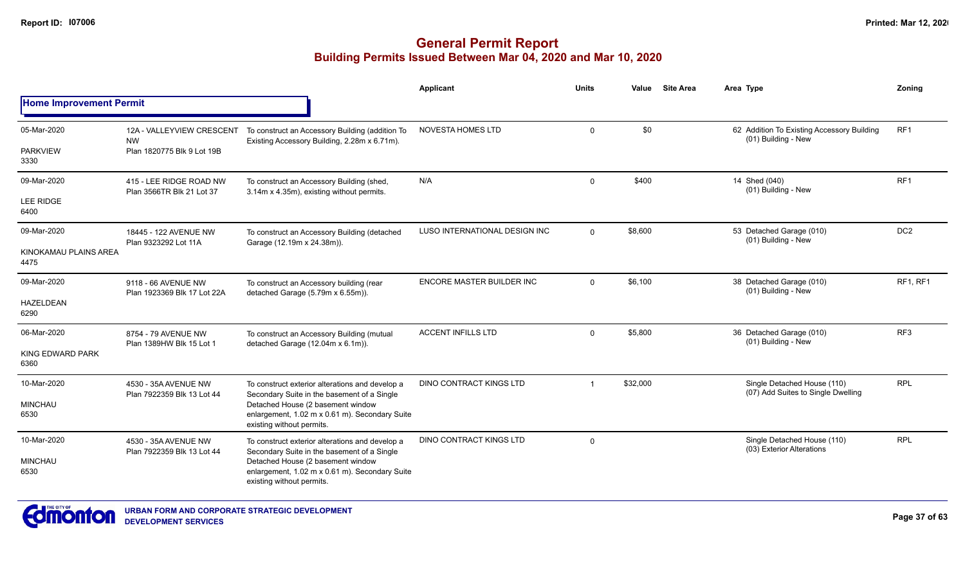|                                |                                                      |                                                                                                                  | Applicant                      | <b>Units</b>   | Value    | <b>Site Area</b> | Area Type                                                         | Zonina          |
|--------------------------------|------------------------------------------------------|------------------------------------------------------------------------------------------------------------------|--------------------------------|----------------|----------|------------------|-------------------------------------------------------------------|-----------------|
| <b>Home Improvement Permit</b> |                                                      |                                                                                                                  |                                |                |          |                  |                                                                   |                 |
| 05-Mar-2020                    | 12A - VALLEYVIEW CRESCENT<br><b>NW</b>               | To construct an Accessory Building (addition To<br>Existing Accessory Building, 2.28m x 6.71m).                  | <b>NOVESTA HOMES LTD</b>       | $\mathbf 0$    | \$0      |                  | 62 Addition To Existing Accessory Building<br>(01) Building - New | RF1             |
| <b>PARKVIEW</b><br>3330        | Plan 1820775 Blk 9 Lot 19B                           |                                                                                                                  |                                |                |          |                  |                                                                   |                 |
| 09-Mar-2020                    | 415 - LEE RIDGE ROAD NW<br>Plan 3566TR Blk 21 Lot 37 | To construct an Accessory Building (shed,<br>3.14m x 4.35m), existing without permits.                           | N/A                            | $\mathbf 0$    | \$400    |                  | 14 Shed (040)<br>(01) Building - New                              | RF <sub>1</sub> |
| <b>LEE RIDGE</b><br>6400       |                                                      |                                                                                                                  |                                |                |          |                  |                                                                   |                 |
| 09-Mar-2020                    | 18445 - 122 AVENUE NW<br>Plan 9323292 Lot 11A        | To construct an Accessory Building (detached<br>Garage (12.19m x 24.38m)).                                       | LUSO INTERNATIONAL DESIGN INC  | $\mathbf{0}$   | \$8,600  |                  | 53 Detached Garage (010)<br>(01) Building - New                   | DC <sub>2</sub> |
| KINOKAMAU PLAINS AREA<br>4475  |                                                      |                                                                                                                  |                                |                |          |                  |                                                                   |                 |
| 09-Mar-2020                    | 9118 - 66 AVENUE NW<br>Plan 1923369 Blk 17 Lot 22A   | To construct an Accessory building (rear                                                                         | ENCORE MASTER BUILDER INC      | $\overline{0}$ | \$6,100  |                  | 38 Detached Garage (010)<br>(01) Building - New                   | RF1, RF1        |
| <b>HAZELDEAN</b><br>6290       |                                                      | detached Garage (5.79m x 6.55m)).                                                                                |                                |                |          |                  |                                                                   |                 |
| 06-Mar-2020                    | 8754 - 79 AVENUE NW<br>Plan 1389HW Blk 15 Lot 1      | To construct an Accessory Building (mutual<br>detached Garage (12.04m x 6.1m)).                                  | <b>ACCENT INFILLS LTD</b>      | $\Omega$       | \$5,800  |                  | 36 Detached Garage (010)<br>(01) Building - New                   | RF <sub>3</sub> |
| KING EDWARD PARK<br>6360       |                                                      |                                                                                                                  |                                |                |          |                  |                                                                   |                 |
| 10-Mar-2020                    | 4530 - 35A AVENUE NW<br>Plan 7922359 Blk 13 Lot 44   | To construct exterior alterations and develop a<br>Secondary Suite in the basement of a Single                   | <b>DINO CONTRACT KINGS LTD</b> |                | \$32,000 |                  | Single Detached House (110)<br>(07) Add Suites to Single Dwelling | <b>RPL</b>      |
| <b>MINCHAU</b><br>6530         |                                                      | Detached House (2 basement window<br>enlargement, 1.02 m x 0.61 m). Secondary Suite<br>existing without permits. |                                |                |          |                  |                                                                   |                 |
| 10-Mar-2020                    | 4530 - 35A AVENUE NW<br>Plan 7922359 Blk 13 Lot 44   | To construct exterior alterations and develop a<br>Secondary Suite in the basement of a Single                   | DINO CONTRACT KINGS LTD        | $\overline{0}$ |          |                  | Single Detached House (110)<br>(03) Exterior Alterations          | <b>RPL</b>      |
| <b>MINCHAU</b><br>6530         |                                                      | Detached House (2 basement window<br>enlargement, 1.02 m x 0.61 m). Secondary Suite<br>existing without permits. |                                |                |          |                  |                                                                   |                 |

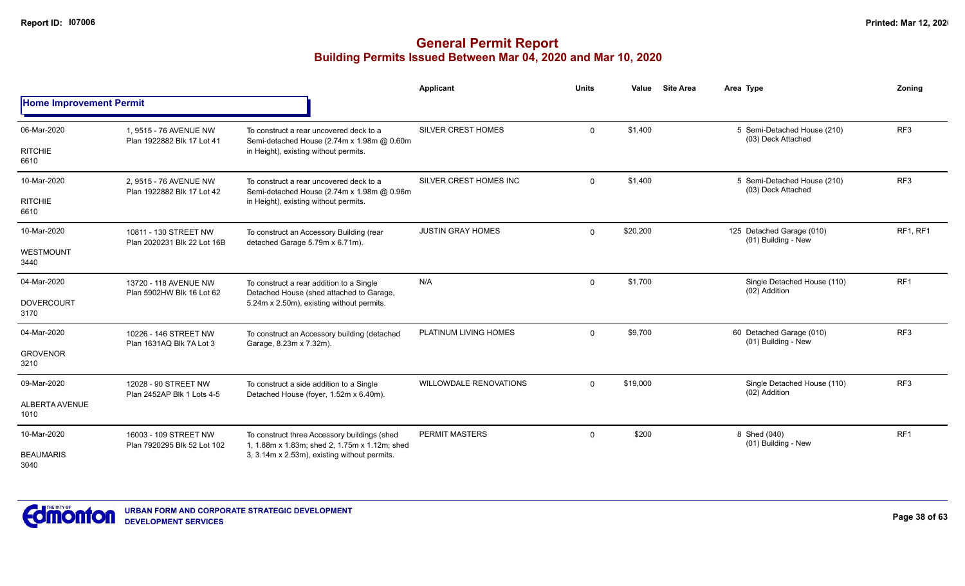|                                |                                                                      |                                                                                                                                   | Applicant                     | <b>Units</b> | Value    | <b>Site Area</b> | Area Type                                         | Zonina          |
|--------------------------------|----------------------------------------------------------------------|-----------------------------------------------------------------------------------------------------------------------------------|-------------------------------|--------------|----------|------------------|---------------------------------------------------|-----------------|
| <b>Home Improvement Permit</b> |                                                                      |                                                                                                                                   |                               |              |          |                  |                                                   |                 |
| 06-Mar-2020                    | 1.9515 - 76 AVENUE NW<br>Plan 1922882 Blk 17 Lot 41                  | To construct a rear uncovered deck to a<br>Semi-detached House (2.74m x 1.98m @ 0.60m                                             | <b>SILVER CREST HOMES</b>     | $\mathbf 0$  | \$1,400  |                  | 5 Semi-Detached House (210)<br>(03) Deck Attached | RF <sub>3</sub> |
| <b>RITCHIE</b><br>6610         |                                                                      | in Height), existing without permits.                                                                                             |                               |              |          |                  |                                                   |                 |
| 10-Mar-2020                    | 2.9515 - 76 AVENUE NW<br>Plan 1922882 Blk 17 Lot 42                  | To construct a rear uncovered deck to a<br>Semi-detached House (2.74m x 1.98m @ 0.96m                                             | SILVER CREST HOMES INC        | $\mathbf 0$  | \$1,400  |                  | 5 Semi-Detached House (210)<br>(03) Deck Attached | RF <sub>3</sub> |
| <b>RITCHIE</b><br>6610         |                                                                      | in Height), existing without permits.                                                                                             |                               |              |          |                  |                                                   |                 |
| 10-Mar-2020                    | 10811 - 130 STREET NW<br>Plan 2020231 Blk 22 Lot 16B                 | To construct an Accessory Building (rear<br>detached Garage 5.79m x 6.71m).                                                       | <b>JUSTIN GRAY HOMES</b>      | $\mathbf 0$  | \$20,200 |                  | 125 Detached Garage (010)<br>(01) Building - New  | RF1, RF1        |
| <b>WESTMOUNT</b><br>3440       |                                                                      |                                                                                                                                   |                               |              |          |                  |                                                   |                 |
| 04-Mar-2020                    | 13720 - 118 AVENUE NW<br>Plan 5902HW Blk 16 Lot 62                   | To construct a rear addition to a Single<br>Detached House (shed attached to Garage,<br>5.24m x 2.50m), existing without permits. | N/A                           | $\mathbf 0$  | \$1,700  |                  | Single Detached House (110)<br>(02) Addition      | RF1             |
| <b>DOVERCOURT</b><br>3170      |                                                                      |                                                                                                                                   |                               |              |          |                  |                                                   |                 |
| 04-Mar-2020                    | 10226 - 146 STREET NW<br>Plan 1631AQ Blk 7A Lot 3                    | To construct an Accessory building (detached<br>Garage, 8.23m x 7.32m).                                                           | PLATINUM LIVING HOMES         | $\mathbf 0$  | \$9,700  |                  | 60 Detached Garage (010)<br>(01) Building - New   | RF <sub>3</sub> |
| <b>GROVENOR</b><br>3210        |                                                                      |                                                                                                                                   |                               |              |          |                  |                                                   |                 |
| 09-Mar-2020                    | 12028 - 90 STREET NW                                                 | To construct a side addition to a Single                                                                                          | <b>WILLOWDALE RENOVATIONS</b> | $\Omega$     | \$19,000 |                  | Single Detached House (110)<br>(02) Addition      | RF <sub>3</sub> |
| ALBERTA AVENUE<br>1010         | Plan 2452AP Blk 1 Lots 4-5<br>Detached House (foyer, 1.52m x 6.40m). |                                                                                                                                   |                               |              |          |                  |                                                   |                 |
| 10-Mar-2020                    | 16003 - 109 STREET NW<br>Plan 7920295 Blk 52 Lot 102                 | To construct three Accessory buildings (shed<br>1, 1.88m x 1.83m; shed 2, 1.75m x 1.12m; shed                                     | PERMIT MASTERS                | $\mathbf 0$  | \$200    |                  | 8 Shed (040)<br>(01) Building - New               | RF <sub>1</sub> |
| <b>BEAUMARIS</b><br>3040       |                                                                      | 3, 3.14m x 2.53m), existing without permits.                                                                                      |                               |              |          |                  |                                                   |                 |

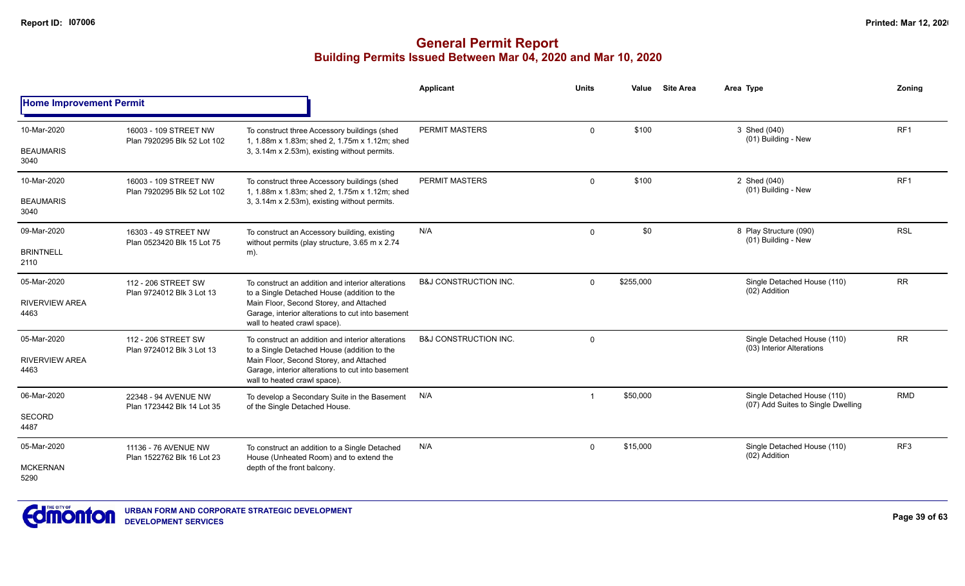|                                |                                                             |                                                                                                                              | Applicant                        | Units        | Value     | <b>Site Area</b>                    | Area Type                                                         | Zoning     |
|--------------------------------|-------------------------------------------------------------|------------------------------------------------------------------------------------------------------------------------------|----------------------------------|--------------|-----------|-------------------------------------|-------------------------------------------------------------------|------------|
| <b>Home Improvement Permit</b> |                                                             |                                                                                                                              |                                  |              |           |                                     |                                                                   |            |
| 10-Mar-2020                    | 16003 - 109 STREET NW<br>Plan 7920295 Blk 52 Lot 102        | To construct three Accessory buildings (shed<br>1, 1.88m x 1.83m; shed 2, 1.75m x 1.12m; shed                                | <b>PERMIT MASTERS</b>            | $\Omega$     | \$100     |                                     | 3 Shed (040)<br>(01) Building - New                               | RF1        |
| <b>BEAUMARIS</b><br>3040       |                                                             | 3, 3.14m x 2.53m), existing without permits.                                                                                 |                                  |              |           |                                     |                                                                   |            |
| 10-Mar-2020                    | 16003 - 109 STREET NW<br>Plan 7920295 Blk 52 Lot 102        | To construct three Accessory buildings (shed<br>1. 1.88m x 1.83m; shed 2. 1.75m x 1.12m; shed                                | PERMIT MASTERS<br>0              | \$100        |           | 2 Shed (040)<br>(01) Building - New | RF <sub>1</sub>                                                   |            |
| <b>BEAUMARIS</b><br>3040       |                                                             | 3, 3.14m x 2.53m), existing without permits.                                                                                 |                                  |              |           |                                     |                                                                   |            |
| 09-Mar-2020                    | 16303 - 49 STREET NW<br>Plan 0523420 Blk 15 Lot 75          | To construct an Accessory building, existing<br>without permits (play structure, 3.65 m x 2.74                               | N/A                              | $\mathbf{0}$ | \$0       |                                     | 8 Play Structure (090)<br>(01) Building - New                     | <b>RSL</b> |
| <b>BRINTNELL</b><br>2110       |                                                             | m).                                                                                                                          |                                  |              |           |                                     |                                                                   |            |
| 05-Mar-2020                    | 112 - 206 STREET SW<br>Plan 9724012 Blk 3 Lot 13            | To construct an addition and interior alterations<br>to a Single Detached House (addition to the                             | <b>B&amp;J CONSTRUCTION INC.</b> | $\Omega$     | \$255,000 |                                     | Single Detached House (110)<br>(02) Addition                      | <b>RR</b>  |
| <b>RIVERVIEW AREA</b><br>4463  |                                                             | Main Floor, Second Storey, and Attached<br>Garage, interior alterations to cut into basement<br>wall to heated crawl space). |                                  |              |           |                                     |                                                                   |            |
| 05-Mar-2020                    | 112 - 206 STREET SW<br>Plan 9724012 Blk 3 Lot 13            | To construct an addition and interior alterations<br>to a Single Detached House (addition to the                             | <b>B&amp;J CONSTRUCTION INC.</b> | $\Omega$     |           |                                     | Single Detached House (110)<br>(03) Interior Alterations          | <b>RR</b>  |
| <b>RIVERVIEW AREA</b><br>4463  |                                                             | Main Floor, Second Storey, and Attached<br>Garage, interior alterations to cut into basement<br>wall to heated crawl space). |                                  |              |           |                                     |                                                                   |            |
| 06-Mar-2020                    | 22348 - 94 AVENUE NW                                        | To develop a Secondary Suite in the Basement                                                                                 | N/A                              | -1           | \$50,000  |                                     | Single Detached House (110)<br>(07) Add Suites to Single Dwelling | <b>RMD</b> |
| <b>SECORD</b><br>4487          | Plan 1723442 Blk 14 Lot 35<br>of the Single Detached House. |                                                                                                                              |                                  |              |           |                                     |                                                                   |            |
| 05-Mar-2020                    | 11136 - 76 AVENUE NW                                        | To construct an addition to a Single Detached                                                                                | N/A                              | $\Omega$     | \$15,000  |                                     | Single Detached House (110)<br>(02) Addition                      | RF3        |
| <b>MCKERNAN</b><br>5290        | Plan 1522762 Blk 16 Lot 23                                  | House (Unheated Room) and to extend the<br>depth of the front balcony.                                                       |                                  |              |           |                                     |                                                                   |            |

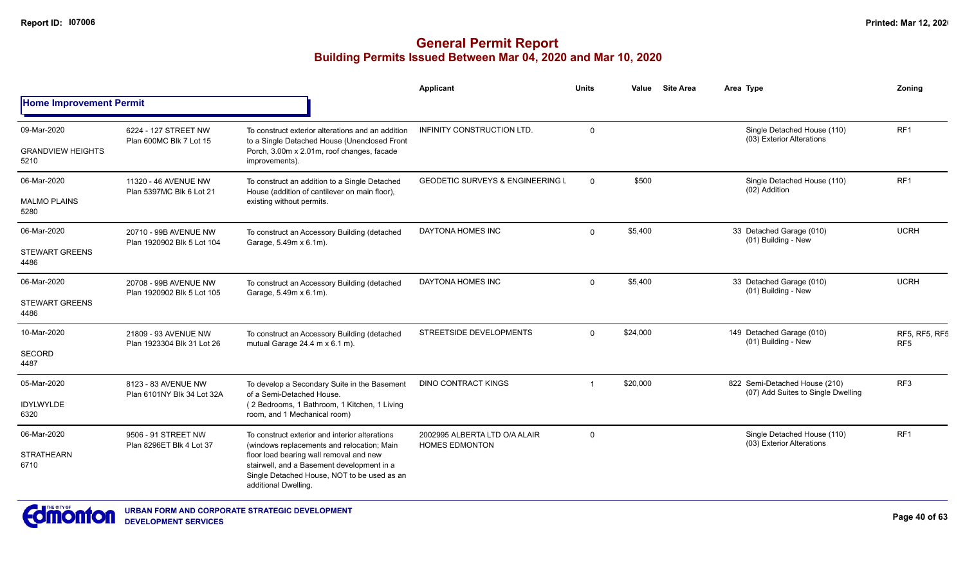|                                  |                                                                                                                                                                                                                                        |                                                                                                              | Applicant                                              | <b>Units</b> | Value                                                        | <b>Site Area</b>                                | Area Type                                                           | Zoning          |
|----------------------------------|----------------------------------------------------------------------------------------------------------------------------------------------------------------------------------------------------------------------------------------|--------------------------------------------------------------------------------------------------------------|--------------------------------------------------------|--------------|--------------------------------------------------------------|-------------------------------------------------|---------------------------------------------------------------------|-----------------|
| <b>Home Improvement Permit</b>   |                                                                                                                                                                                                                                        |                                                                                                              |                                                        |              |                                                              |                                                 |                                                                     |                 |
| 09-Mar-2020                      | 6224 - 127 STREET NW                                                                                                                                                                                                                   | To construct exterior alterations and an addition                                                            | <b>INFINITY CONSTRUCTION LTD.</b>                      | $\Omega$     |                                                              |                                                 | Single Detached House (110)<br>(03) Exterior Alterations            | RF <sub>1</sub> |
| <b>GRANDVIEW HEIGHTS</b><br>5210 | Plan 600MC Blk 7 Lot 15                                                                                                                                                                                                                | to a Single Detached House (Unenclosed Front<br>Porch, 3.00m x 2.01m, roof changes, facade<br>improvements). |                                                        |              |                                                              |                                                 |                                                                     |                 |
| 06-Mar-2020                      | 11320 - 46 AVENUE NW<br>Plan 5397MC Blk 6 Lot 21                                                                                                                                                                                       | To construct an addition to a Single Detached                                                                | <b>GEODETIC SURVEYS &amp; ENGINEERING L</b>            | $\Omega$     | \$500                                                        |                                                 | Single Detached House (110)<br>(02) Addition                        | RF <sub>1</sub> |
| <b>MALMO PLAINS</b><br>5280      |                                                                                                                                                                                                                                        | House (addition of cantilever on main floor),<br>existing without permits.                                   |                                                        |              |                                                              |                                                 |                                                                     |                 |
| 06-Mar-2020                      | 20710 - 99B AVENUE NW<br>Plan 1920902 Blk 5 Lot 104                                                                                                                                                                                    | To construct an Accessory Building (detached<br>Garage, 5.49m x 6.1m).                                       | DAYTONA HOMES INC                                      | $\Omega$     | \$5,400                                                      | 33 Detached Garage (010)<br>(01) Building - New | <b>UCRH</b>                                                         |                 |
| <b>STEWART GREENS</b><br>4486    |                                                                                                                                                                                                                                        |                                                                                                              |                                                        |              |                                                              |                                                 |                                                                     |                 |
| 06-Mar-2020                      | 20708 - 99B AVENUE NW                                                                                                                                                                                                                  | To construct an Accessory Building (detached<br>Garage, 5.49m x 6.1m).                                       | DAYTONA HOMES INC                                      | $\Omega$     | \$5,400                                                      |                                                 | 33 Detached Garage (010)<br>(01) Building - New                     | <b>UCRH</b>     |
| <b>STEWART GREENS</b><br>4486    | Plan 1920902 Blk 5 Lot 105                                                                                                                                                                                                             |                                                                                                              |                                                        |              |                                                              |                                                 |                                                                     |                 |
| 10-Mar-2020                      | 21809 - 93 AVENUE NW<br>Plan 1923304 Blk 31 Lot 26                                                                                                                                                                                     | To construct an Accessory Building (detached<br>mutual Garage 24.4 m x 6.1 m).                               | <b>STREETSIDE DEVELOPMENTS</b>                         | $\Omega$     | 149 Detached Garage (010)<br>\$24,000<br>(01) Building - New |                                                 | <b>RF5, RF5, RF5</b><br>RF <sub>5</sub>                             |                 |
| <b>SECORD</b><br>4487            |                                                                                                                                                                                                                                        |                                                                                                              |                                                        |              |                                                              |                                                 |                                                                     |                 |
| 05-Mar-2020                      | 8123 - 83 AVENUE NW                                                                                                                                                                                                                    | To develop a Secondary Suite in the Basement<br>of a Semi-Detached House.                                    | DINO CONTRACT KINGS                                    |              | \$20,000                                                     |                                                 | 822 Semi-Detached House (210)<br>(07) Add Suites to Single Dwelling | RF <sub>3</sub> |
| <b>IDYLWYLDE</b><br>6320         | Plan 6101NY Blk 34 Lot 32A                                                                                                                                                                                                             | (2 Bedrooms, 1 Bathroom, 1 Kitchen, 1 Living<br>room, and 1 Mechanical room)                                 |                                                        |              |                                                              |                                                 |                                                                     |                 |
| 06-Mar-2020                      | 9506 - 91 STREET NW                                                                                                                                                                                                                    | To construct exterior and interior alterations                                                               | 2002995 ALBERTA LTD O/A ALAIR<br><b>HOMES EDMONTON</b> | $\mathbf 0$  |                                                              |                                                 | Single Detached House (110)<br>(03) Exterior Alterations            | RF <sub>1</sub> |
| <b>STRATHEARN</b><br>6710        | Plan 8296ET Blk 4 Lot 37<br>(windows replacements and relocation; Main<br>floor load bearing wall removal and new<br>stairwell, and a Basement development in a<br>Single Detached House, NOT to be used as an<br>additional Dwelling. |                                                                                                              |                                                        |              |                                                              |                                                 |                                                                     |                 |

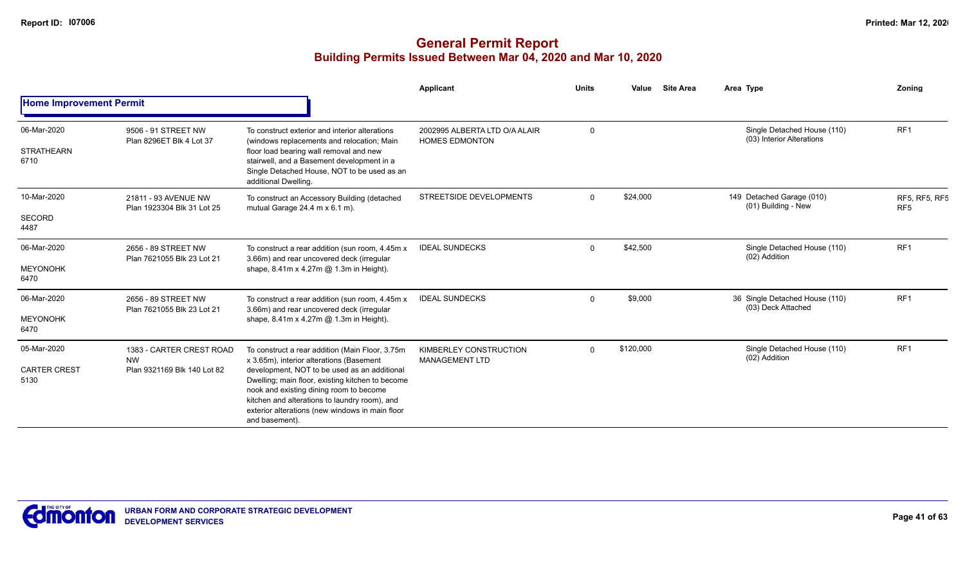|                                            |                                                                      |                                                                                                                                                                                                                                                                                                                                                                  | Applicant                                              | <b>Units</b> | Value<br><b>Site Area</b> | Area Type     |                                                          | Zoning                                  |
|--------------------------------------------|----------------------------------------------------------------------|------------------------------------------------------------------------------------------------------------------------------------------------------------------------------------------------------------------------------------------------------------------------------------------------------------------------------------------------------------------|--------------------------------------------------------|--------------|---------------------------|---------------|----------------------------------------------------------|-----------------------------------------|
| <b>Home Improvement Permit</b>             |                                                                      |                                                                                                                                                                                                                                                                                                                                                                  |                                                        |              |                           |               |                                                          |                                         |
| 06-Mar-2020<br><b>STRATHEARN</b><br>6710   | 9506 - 91 STREET NW<br>Plan 8296ET Blk 4 Lot 37                      | To construct exterior and interior alterations<br>(windows replacements and relocation; Main<br>floor load bearing wall removal and new<br>stairwell, and a Basement development in a<br>Single Detached House, NOT to be used as an<br>additional Dwelling.                                                                                                     | 2002995 ALBERTA LTD O/A ALAIR<br><b>HOMES EDMONTON</b> | $\Omega$     |                           |               | Single Detached House (110)<br>(03) Interior Alterations | RF <sub>1</sub>                         |
| 10-Mar-2020<br><b>SECORD</b><br>4487       | 21811 - 93 AVENUE NW<br>Plan 1923304 Blk 31 Lot 25                   | To construct an Accessory Building (detached<br>mutual Garage $24.4$ m x 6.1 m).                                                                                                                                                                                                                                                                                 | <b>STREETSIDE DEVELOPMENTS</b>                         | $\Omega$     | \$24,000                  |               | 149 Detached Garage (010)<br>(01) Building - New         | <b>RF5, RF5, RF5</b><br>RF <sub>5</sub> |
| 06-Mar-2020<br><b>MEYONOHK</b><br>6470     | 2656 - 89 STREET NW<br>Plan 7621055 Blk 23 Lot 21                    | To construct a rear addition (sun room, 4.45m x<br>3.66m) and rear uncovered deck (irregular<br>shape, $8.41m \times 4.27m$ @ 1.3m in Height).                                                                                                                                                                                                                   | <b>IDEAL SUNDECKS</b>                                  | $\Omega$     | \$42,500                  | (02) Addition | Single Detached House (110)                              | RF <sub>1</sub>                         |
| 06-Mar-2020<br><b>MEYONOHK</b><br>6470     | 2656 - 89 STREET NW<br>Plan 7621055 Blk 23 Lot 21                    | To construct a rear addition (sun room, 4.45m x<br>3.66m) and rear uncovered deck (irregular<br>shape, 8.41m x 4.27m @ 1.3m in Height).                                                                                                                                                                                                                          | <b>IDEAL SUNDECKS</b>                                  | $\Omega$     | \$9,000                   |               | 36 Single Detached House (110)<br>(03) Deck Attached     | RF <sub>1</sub>                         |
| 05-Mar-2020<br><b>CARTER CREST</b><br>5130 | 1383 - CARTER CREST ROAD<br><b>NW</b><br>Plan 9321169 Blk 140 Lot 82 | To construct a rear addition (Main Floor, 3.75m<br>x 3.65m), interior alterations (Basement<br>development, NOT to be used as an additional<br>Dwelling; main floor, existing kitchen to become<br>nook and existing dining room to become<br>kitchen and alterations to laundry room), and<br>exterior alterations (new windows in main floor<br>and basement). | KIMBERLEY CONSTRUCTION<br><b>MANAGEMENT LTD</b>        | <sup>0</sup> | \$120,000                 | (02) Addition | Single Detached House (110)                              | RF <sub>1</sub>                         |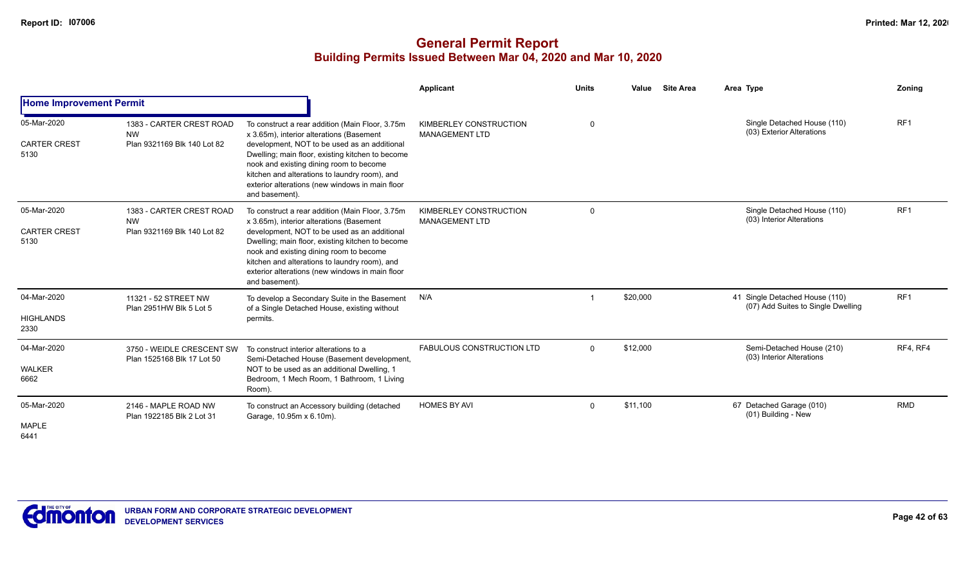|                                            |                                                                      |                                                                                                                                                                                                                                                                                                                                                                   | Applicant                                       | <b>Units</b> | Value<br><b>Site Area</b> | Area Type                                                            | Zoning          |
|--------------------------------------------|----------------------------------------------------------------------|-------------------------------------------------------------------------------------------------------------------------------------------------------------------------------------------------------------------------------------------------------------------------------------------------------------------------------------------------------------------|-------------------------------------------------|--------------|---------------------------|----------------------------------------------------------------------|-----------------|
| <b>Home Improvement Permit</b>             |                                                                      |                                                                                                                                                                                                                                                                                                                                                                   |                                                 |              |                           |                                                                      |                 |
| 05-Mar-2020<br><b>CARTER CREST</b><br>5130 | 1383 - CARTER CREST ROAD<br><b>NW</b><br>Plan 9321169 Blk 140 Lot 82 | To construct a rear addition (Main Floor, 3.75m<br>x 3.65m), interior alterations (Basement<br>development, NOT to be used as an additional<br>Dwelling; main floor, existing kitchen to become<br>nook and existing dining room to become<br>kitchen and alterations to laundry room), and<br>exterior alterations (new windows in main floor<br>and basement).  | KIMBERLEY CONSTRUCTION<br><b>MANAGEMENT LTD</b> | $\Omega$     |                           | Single Detached House (110)<br>(03) Exterior Alterations             | RF <sub>1</sub> |
| 05-Mar-2020<br><b>CARTER CREST</b><br>5130 | 1383 - CARTER CREST ROAD<br><b>NW</b><br>Plan 9321169 Blk 140 Lot 82 | To construct a rear addition (Main Floor, 3.75m)<br>x 3.65m), interior alterations (Basement<br>development, NOT to be used as an additional<br>Dwelling; main floor, existing kitchen to become<br>nook and existing dining room to become<br>kitchen and alterations to laundry room), and<br>exterior alterations (new windows in main floor<br>and basement). | KIMBERLEY CONSTRUCTION<br><b>MANAGEMENT LTD</b> | $\Omega$     |                           | Single Detached House (110)<br>(03) Interior Alterations             | RF <sub>1</sub> |
| 04-Mar-2020<br><b>HIGHLANDS</b><br>2330    | 11321 - 52 STREET NW<br>Plan 2951HW Blk 5 Lot 5                      | To develop a Secondary Suite in the Basement<br>of a Single Detached House, existing without<br>permits.                                                                                                                                                                                                                                                          | N/A                                             |              | \$20,000                  | 41 Single Detached House (110)<br>(07) Add Suites to Single Dwelling | RF <sub>1</sub> |
| 04-Mar-2020<br><b>WALKER</b><br>6662       | 3750 - WEIDLE CRESCENT SW<br>Plan 1525168 Blk 17 Lot 50              | To construct interior alterations to a<br>Semi-Detached House (Basement development,<br>NOT to be used as an additional Dwelling, 1<br>Bedroom, 1 Mech Room, 1 Bathroom, 1 Living<br>Room).                                                                                                                                                                       | <b>FABULOUS CONSTRUCTION LTD</b>                | $\Omega$     | \$12,000                  | Semi-Detached House (210)<br>(03) Interior Alterations               | RF4, RF4        |
| 05-Mar-2020<br>MAPLE<br>6441               | 2146 - MAPLE ROAD NW<br>Plan 1922185 Blk 2 Lot 31                    | To construct an Accessory building (detached<br>Garage, 10.95m x 6.10m).                                                                                                                                                                                                                                                                                          | <b>HOMES BY AVI</b>                             | $\Omega$     | \$11,100                  | 67 Detached Garage (010)<br>(01) Building - New                      | <b>RMD</b>      |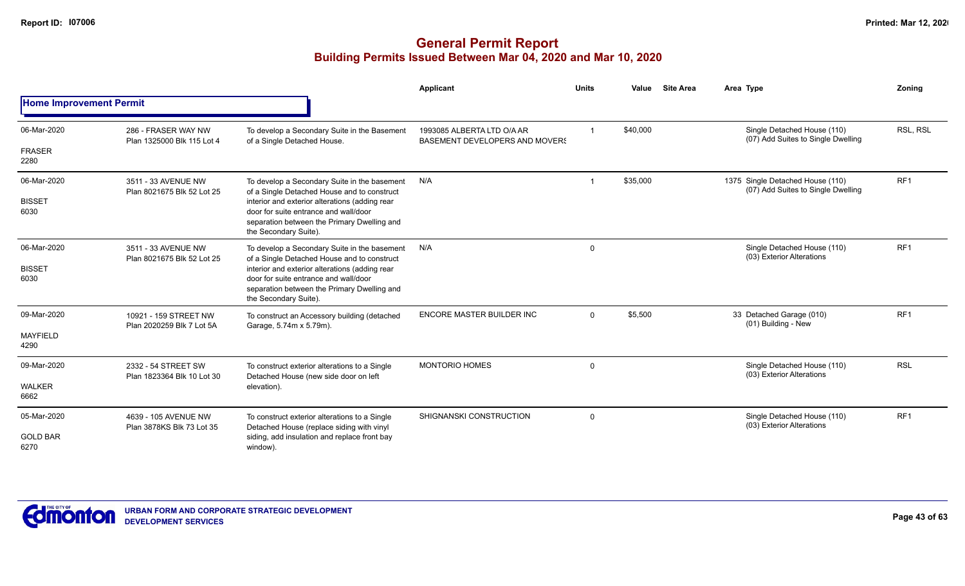|                                        |                                                    |                                                                                                                                                                                                                                                                | Applicant                                                           | <b>Units</b> | Value    | <b>Site Area</b> | Area Type                                                              | Zoning          |
|----------------------------------------|----------------------------------------------------|----------------------------------------------------------------------------------------------------------------------------------------------------------------------------------------------------------------------------------------------------------------|---------------------------------------------------------------------|--------------|----------|------------------|------------------------------------------------------------------------|-----------------|
| <b>Home Improvement Permit</b>         |                                                    |                                                                                                                                                                                                                                                                |                                                                     |              |          |                  |                                                                        |                 |
| 06-Mar-2020<br><b>FRASER</b><br>2280   | 286 - FRASER WAY NW<br>Plan 1325000 Blk 115 Lot 4  | To develop a Secondary Suite in the Basement<br>of a Single Detached House.                                                                                                                                                                                    | 1993085 ALBERTA LTD O/A AR<br><b>BASEMENT DEVELOPERS AND MOVERS</b> |              | \$40,000 |                  | Single Detached House (110)<br>(07) Add Suites to Single Dwelling      | RSL, RSL        |
| 06-Mar-2020<br><b>BISSET</b><br>6030   | 3511 - 33 AVENUE NW<br>Plan 8021675 Blk 52 Lot 25  | To develop a Secondary Suite in the basement<br>of a Single Detached House and to construct<br>interior and exterior alterations (adding rear<br>door for suite entrance and wall/door<br>separation between the Primary Dwelling and<br>the Secondary Suite). | N/A                                                                 |              | \$35,000 |                  | 1375 Single Detached House (110)<br>(07) Add Suites to Single Dwelling | RF <sub>1</sub> |
| 06-Mar-2020<br><b>BISSET</b><br>6030   | 3511 - 33 AVENUE NW<br>Plan 8021675 Blk 52 Lot 25  | To develop a Secondary Suite in the basement<br>of a Single Detached House and to construct<br>interior and exterior alterations (adding rear<br>door for suite entrance and wall/door<br>separation between the Primary Dwelling and<br>the Secondary Suite). | N/A                                                                 | $\Omega$     |          |                  | Single Detached House (110)<br>(03) Exterior Alterations               | RF <sub>1</sub> |
| 09-Mar-2020<br><b>MAYFIELD</b><br>4290 | 10921 - 159 STREET NW<br>Plan 2020259 Blk 7 Lot 5A | To construct an Accessory building (detached<br>Garage, 5.74m x 5.79m).                                                                                                                                                                                        | ENCORE MASTER BUILDER INC                                           | $\Omega$     | \$5,500  |                  | 33 Detached Garage (010)<br>(01) Building - New                        | RF <sub>1</sub> |
| 09-Mar-2020<br><b>WALKER</b><br>6662   | 2332 - 54 STREET SW<br>Plan 1823364 Blk 10 Lot 30  | To construct exterior alterations to a Single<br>Detached House (new side door on left<br>elevation).                                                                                                                                                          | <b>MONTORIO HOMES</b>                                               | $\Omega$     |          |                  | Single Detached House (110)<br>(03) Exterior Alterations               | <b>RSL</b>      |
| 05-Mar-2020<br><b>GOLD BAR</b><br>6270 | 4639 - 105 AVENUE NW<br>Plan 3878KS Blk 73 Lot 35  | To construct exterior alterations to a Single<br>Detached House (replace siding with vinyl<br>siding, add insulation and replace front bay<br>window).                                                                                                         | SHIGNANSKI CONSTRUCTION                                             | $\Omega$     |          |                  | Single Detached House (110)<br>(03) Exterior Alterations               | RF <sub>1</sub> |

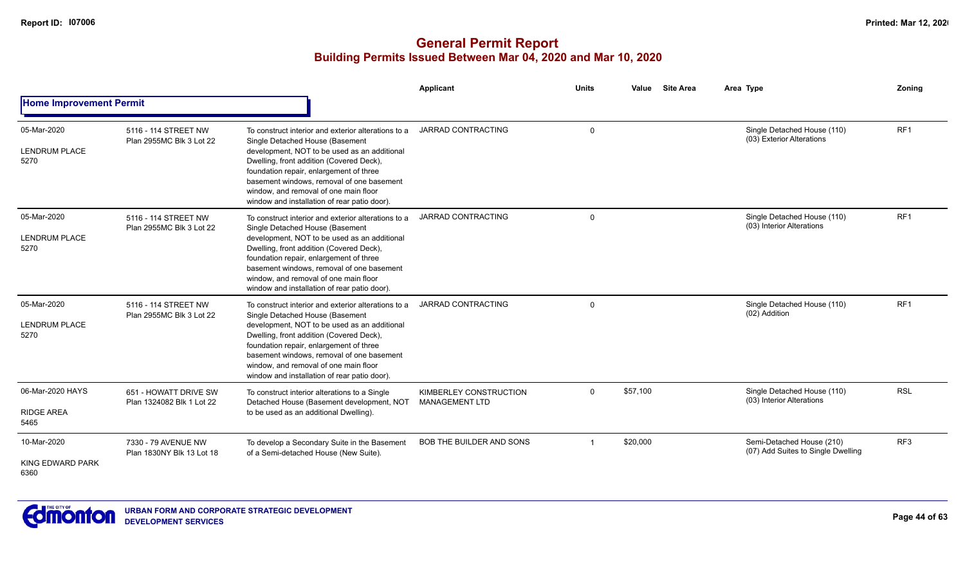|                                                |                                                    |                                                                                                                                                                                                                                                                                                                                                                     | Applicant                                       | <b>Units</b> | Value    | <b>Site Area</b> | Area Type                                                       | Zoning          |
|------------------------------------------------|----------------------------------------------------|---------------------------------------------------------------------------------------------------------------------------------------------------------------------------------------------------------------------------------------------------------------------------------------------------------------------------------------------------------------------|-------------------------------------------------|--------------|----------|------------------|-----------------------------------------------------------------|-----------------|
| <b>Home Improvement Permit</b>                 |                                                    |                                                                                                                                                                                                                                                                                                                                                                     |                                                 |              |          |                  |                                                                 |                 |
| 05-Mar-2020<br><b>LENDRUM PLACE</b><br>5270    | 5116 - 114 STREET NW<br>Plan 2955MC Blk 3 Lot 22   | To construct interior and exterior alterations to a<br>Single Detached House (Basement<br>development, NOT to be used as an additional<br>Dwelling, front addition (Covered Deck),<br>foundation repair, enlargement of three<br>basement windows, removal of one basement<br>window, and removal of one main floor<br>window and installation of rear patio door). | JARRAD CONTRACTING                              | $\Omega$     |          |                  | Single Detached House (110)<br>(03) Exterior Alterations        | RF <sub>1</sub> |
| 05-Mar-2020<br><b>LENDRUM PLACE</b><br>5270    | 5116 - 114 STREET NW<br>Plan 2955MC Blk 3 Lot 22   | To construct interior and exterior alterations to a<br>Single Detached House (Basement<br>development, NOT to be used as an additional<br>Dwelling, front addition (Covered Deck),<br>foundation repair, enlargement of three<br>basement windows, removal of one basement<br>window, and removal of one main floor<br>window and installation of rear patio door). | <b>JARRAD CONTRACTING</b>                       | $\Omega$     |          |                  | Single Detached House (110)<br>(03) Interior Alterations        | RF <sub>1</sub> |
| 05-Mar-2020<br><b>LENDRUM PLACE</b><br>5270    | 5116 - 114 STREET NW<br>Plan 2955MC Blk 3 Lot 22   | To construct interior and exterior alterations to a<br>Single Detached House (Basement<br>development, NOT to be used as an additional<br>Dwelling, front addition (Covered Deck),<br>foundation repair, enlargement of three<br>basement windows, removal of one basement<br>window, and removal of one main floor<br>window and installation of rear patio door). | <b>JARRAD CONTRACTING</b>                       | $\Omega$     |          |                  | Single Detached House (110)<br>(02) Addition                    | RF <sub>1</sub> |
| 06-Mar-2020 HAYS<br><b>RIDGE AREA</b><br>5465  | 651 - HOWATT DRIVE SW<br>Plan 1324082 Blk 1 Lot 22 | To construct interior alterations to a Single<br>Detached House (Basement development, NOT<br>to be used as an additional Dwelling).                                                                                                                                                                                                                                | KIMBERLEY CONSTRUCTION<br><b>MANAGEMENT LTD</b> | $\mathbf{0}$ | \$57,100 |                  | Single Detached House (110)<br>(03) Interior Alterations        | <b>RSL</b>      |
| 10-Mar-2020<br><b>KING EDWARD PARK</b><br>6360 | 7330 - 79 AVENUE NW<br>Plan 1830NY Blk 13 Lot 18   | To develop a Secondary Suite in the Basement<br>of a Semi-detached House (New Suite).                                                                                                                                                                                                                                                                               | <b>BOB THE BUILDER AND SONS</b>                 | $\mathbf 1$  | \$20,000 |                  | Semi-Detached House (210)<br>(07) Add Suites to Single Dwelling | RF <sub>3</sub> |

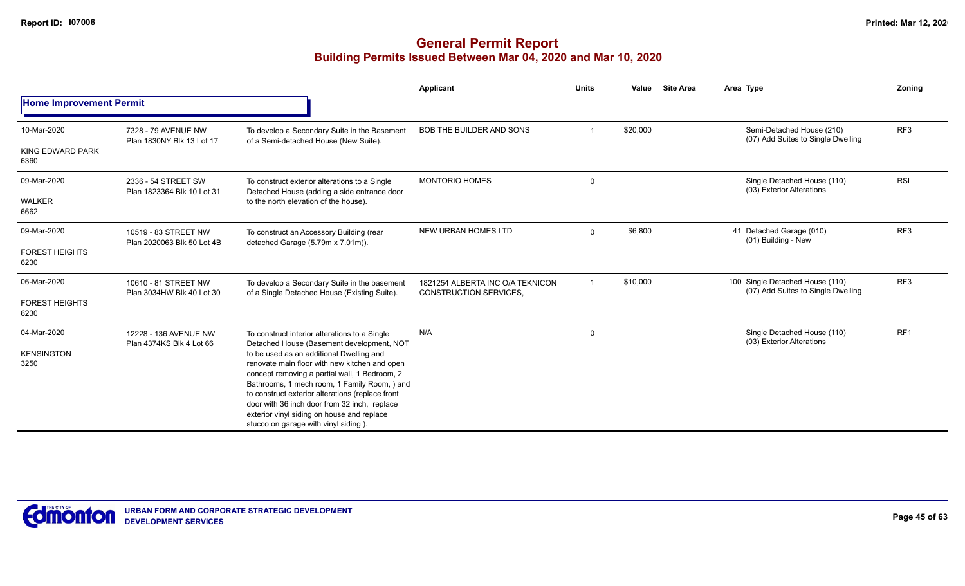|                                |                                                   |                                                                                                                                                                                                                                                                                                                                                                                      | Applicant                                                         | <b>Units</b>            | Value    | <b>Site Area</b> | Area Type                                                             | Zoning          |
|--------------------------------|---------------------------------------------------|--------------------------------------------------------------------------------------------------------------------------------------------------------------------------------------------------------------------------------------------------------------------------------------------------------------------------------------------------------------------------------------|-------------------------------------------------------------------|-------------------------|----------|------------------|-----------------------------------------------------------------------|-----------------|
| <b>Home Improvement Permit</b> |                                                   |                                                                                                                                                                                                                                                                                                                                                                                      |                                                                   |                         |          |                  |                                                                       |                 |
| 10-Mar-2020                    | 7328 - 79 AVENUE NW<br>Plan 1830NY Blk 13 Lot 17  | To develop a Secondary Suite in the Basement<br>of a Semi-detached House (New Suite).                                                                                                                                                                                                                                                                                                | <b>BOB THE BUILDER AND SONS</b>                                   |                         | \$20,000 |                  | Semi-Detached House (210)<br>(07) Add Suites to Single Dwelling       | RF <sub>3</sub> |
| KING EDWARD PARK<br>6360       |                                                   |                                                                                                                                                                                                                                                                                                                                                                                      |                                                                   |                         |          |                  |                                                                       |                 |
| 09-Mar-2020                    | 2336 - 54 STREET SW<br>Plan 1823364 Blk 10 Lot 31 | To construct exterior alterations to a Single<br>Detached House (adding a side entrance door                                                                                                                                                                                                                                                                                         | <b>MONTORIO HOMES</b>                                             | 0                       |          |                  | Single Detached House (110)<br>(03) Exterior Alterations              | <b>RSL</b>      |
| <b>WALKER</b><br>6662          |                                                   | to the north elevation of the house).                                                                                                                                                                                                                                                                                                                                                |                                                                   |                         |          |                  |                                                                       |                 |
| 09-Mar-2020                    | 10519 - 83 STREET NW                              | To construct an Accessory Building (rear<br>detached Garage (5.79m x 7.01m)).<br>Plan 2020063 Blk 50 Lot 4B                                                                                                                                                                                                                                                                          | <b>NEW URBAN HOMES LTD</b>                                        | $\mathbf 0$             | \$6,800  |                  | 41 Detached Garage (010)<br>(01) Building - New                       | RF <sub>3</sub> |
| <b>FOREST HEIGHTS</b><br>6230  |                                                   |                                                                                                                                                                                                                                                                                                                                                                                      |                                                                   |                         |          |                  |                                                                       |                 |
| 06-Mar-2020                    | 10610 - 81 STREET NW<br>Plan 3034HW Blk 40 Lot 30 | To develop a Secondary Suite in the basement<br>of a Single Detached House (Existing Suite).                                                                                                                                                                                                                                                                                         | 1821254 ALBERTA INC O/A TEKNICON<br><b>CONSTRUCTION SERVICES.</b> | $\overline{\mathbf{1}}$ | \$10,000 |                  | 100 Single Detached House (110)<br>(07) Add Suites to Single Dwelling | RF <sub>3</sub> |
| <b>FOREST HEIGHTS</b><br>6230  |                                                   |                                                                                                                                                                                                                                                                                                                                                                                      |                                                                   |                         |          |                  |                                                                       |                 |
| 04-Mar-2020                    | 12228 - 136 AVENUE NW<br>Plan 4374KS Blk 4 Lot 66 | To construct interior alterations to a Single<br>Detached House (Basement development, NOT                                                                                                                                                                                                                                                                                           | N/A                                                               | 0                       |          |                  | Single Detached House (110)<br>(03) Exterior Alterations              | RF <sub>1</sub> |
| <b>KENSINGTON</b><br>3250      |                                                   | to be used as an additional Dwelling and<br>renovate main floor with new kitchen and open<br>concept removing a partial wall, 1 Bedroom, 2<br>Bathrooms, 1 mech room, 1 Family Room, ) and<br>to construct exterior alterations (replace front<br>door with 36 inch door from 32 inch, replace<br>exterior vinyl siding on house and replace<br>stucco on garage with vinyl siding). |                                                                   |                         |          |                  |                                                                       |                 |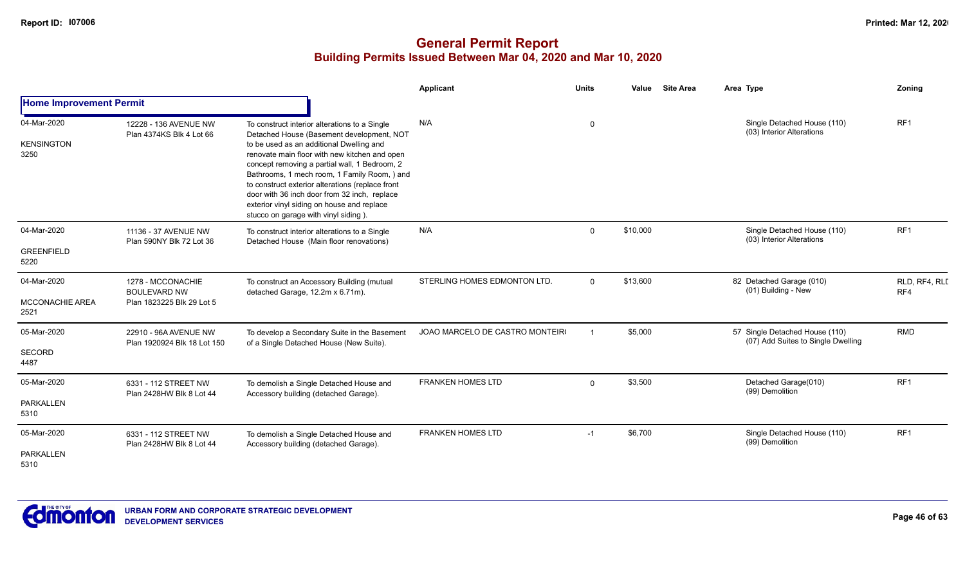|                                               |                                                                       |                                                                                                                                                                                                                                                                                                                                                                                                                                                                                    | <b>Applicant</b>                | <b>Units</b> | <b>Site Area</b><br>Value | Area Type                                                            | Zoning               |
|-----------------------------------------------|-----------------------------------------------------------------------|------------------------------------------------------------------------------------------------------------------------------------------------------------------------------------------------------------------------------------------------------------------------------------------------------------------------------------------------------------------------------------------------------------------------------------------------------------------------------------|---------------------------------|--------------|---------------------------|----------------------------------------------------------------------|----------------------|
| <b>Home Improvement Permit</b>                |                                                                       |                                                                                                                                                                                                                                                                                                                                                                                                                                                                                    |                                 |              |                           |                                                                      |                      |
| 04-Mar-2020<br><b>KENSINGTON</b><br>3250      | 12228 - 136 AVENUE NW<br>Plan 4374KS Blk 4 Lot 66                     | To construct interior alterations to a Single<br>Detached House (Basement development, NOT<br>to be used as an additional Dwelling and<br>renovate main floor with new kitchen and open<br>concept removing a partial wall, 1 Bedroom, 2<br>Bathrooms, 1 mech room, 1 Family Room, ) and<br>to construct exterior alterations (replace front<br>door with 36 inch door from 32 inch, replace<br>exterior vinyl siding on house and replace<br>stucco on garage with vinyl siding). | N/A                             | $\mathbf 0$  |                           | Single Detached House (110)<br>(03) Interior Alterations             | RF <sub>1</sub>      |
| 04-Mar-2020<br><b>GREENFIELD</b><br>5220      | 11136 - 37 AVENUE NW<br>Plan 590NY Blk 72 Lot 36                      | To construct interior alterations to a Single<br>Detached House (Main floor renovations)                                                                                                                                                                                                                                                                                                                                                                                           | N/A                             | $\Omega$     | \$10,000                  | Single Detached House (110)<br>(03) Interior Alterations             | RF1                  |
| 04-Mar-2020<br><b>MCCONACHIE AREA</b><br>2521 | 1278 - MCCONACHIE<br><b>BOULEVARD NW</b><br>Plan 1823225 Blk 29 Lot 5 | To construct an Accessory Building (mutual<br>detached Garage, 12.2m x 6.71m).                                                                                                                                                                                                                                                                                                                                                                                                     | STERLING HOMES EDMONTON LTD.    | $\Omega$     | \$13,600                  | 82 Detached Garage (010)<br>(01) Building - New                      | RLD, RF4, RLI<br>RF4 |
| 05-Mar-2020<br><b>SECORD</b><br>4487          | 22910 - 96A AVENUE NW<br>Plan 1920924 Blk 18 Lot 150                  | To develop a Secondary Suite in the Basement<br>of a Single Detached House (New Suite).                                                                                                                                                                                                                                                                                                                                                                                            | JOAO MARCELO DE CASTRO MONTEIRO |              | \$5,000                   | 57 Single Detached House (110)<br>(07) Add Suites to Single Dwelling | <b>RMD</b>           |
| 05-Mar-2020<br><b>PARKALLEN</b><br>5310       | 6331 - 112 STREET NW<br>Plan 2428HW Blk 8 Lot 44                      | To demolish a Single Detached House and<br>Accessory building (detached Garage).                                                                                                                                                                                                                                                                                                                                                                                                   | <b>FRANKEN HOMES LTD</b>        | $\Omega$     | \$3,500                   | Detached Garage(010)<br>(99) Demolition                              | RF <sub>1</sub>      |
| 05-Mar-2020<br><b>PARKALLEN</b><br>5310       | 6331 - 112 STREET NW<br>Plan 2428HW Blk 8 Lot 44                      | To demolish a Single Detached House and<br>Accessory building (detached Garage).                                                                                                                                                                                                                                                                                                                                                                                                   | <b>FRANKEN HOMES LTD</b>        | $-1$         | \$6,700                   | Single Detached House (110)<br>(99) Demolition                       | RF1                  |

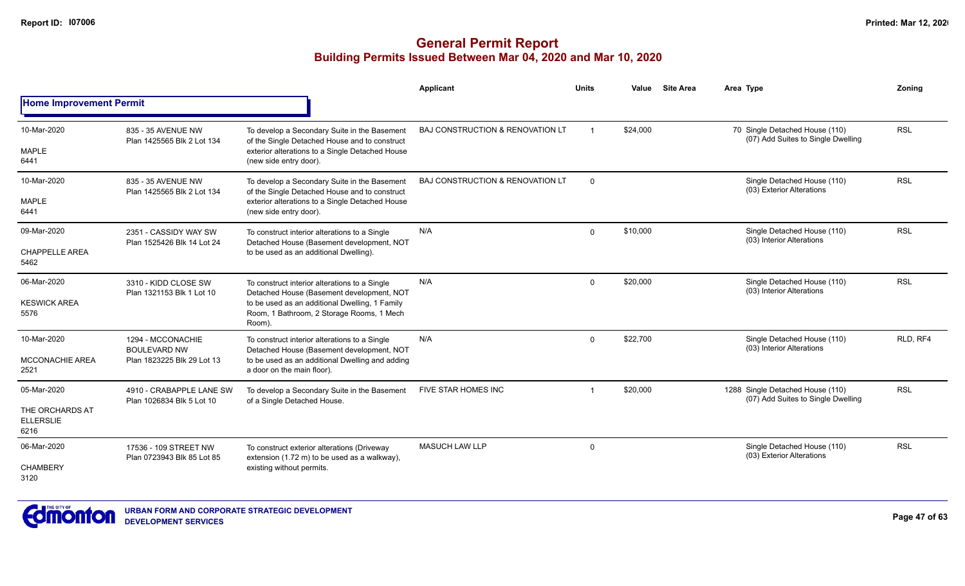|                                             |                                                       |                                                                                                       | Applicant                        | Units          | Value    | <b>Site Area</b> | Area Type                                                              | Zoning     |
|---------------------------------------------|-------------------------------------------------------|-------------------------------------------------------------------------------------------------------|----------------------------------|----------------|----------|------------------|------------------------------------------------------------------------|------------|
| <b>Home Improvement Permit</b>              |                                                       |                                                                                                       |                                  |                |          |                  |                                                                        |            |
| 10-Mar-2020                                 | 835 - 35 AVENUE NW<br>Plan 1425565 Blk 2 Lot 134      | To develop a Secondary Suite in the Basement<br>of the Single Detached House and to construct         | BAJ CONSTRUCTION & RENOVATION LT | $\overline{1}$ | \$24,000 |                  | 70 Single Detached House (110)<br>(07) Add Suites to Single Dwelling   | <b>RSL</b> |
| <b>MAPLE</b><br>6441                        |                                                       | exterior alterations to a Single Detached House<br>(new side entry door).                             |                                  |                |          |                  |                                                                        |            |
| 10-Mar-2020                                 | 835 - 35 AVENUE NW<br>Plan 1425565 Blk 2 Lot 134      | To develop a Secondary Suite in the Basement<br>of the Single Detached House and to construct         | BAJ CONSTRUCTION & RENOVATION LT | $\Omega$       |          |                  | Single Detached House (110)<br>(03) Exterior Alterations               | <b>RSL</b> |
| <b>MAPLE</b><br>6441                        |                                                       | exterior alterations to a Single Detached House<br>(new side entry door).                             |                                  |                |          |                  |                                                                        |            |
| 09-Mar-2020                                 | 2351 - CASSIDY WAY SW<br>Plan 1525426 Blk 14 Lot 24   | To construct interior alterations to a Single<br>Detached House (Basement development, NOT            | N/A                              | $\mathbf{0}$   | \$10,000 |                  | Single Detached House (110)<br>(03) Interior Alterations               | <b>RSL</b> |
| <b>CHAPPELLE AREA</b><br>5462               |                                                       | to be used as an additional Dwelling).                                                                |                                  |                |          |                  |                                                                        |            |
| 06-Mar-2020                                 | 3310 - KIDD CLOSE SW<br>Plan 1321153 Blk 1 Lot 10     | To construct interior alterations to a Single<br>Detached House (Basement development, NOT            | N/A                              | $\Omega$       | \$20,000 |                  | Single Detached House (110)<br>(03) Interior Alterations               | <b>RSL</b> |
| <b>KESWICK AREA</b><br>5576                 |                                                       | to be used as an additional Dwelling, 1 Family<br>Room, 1 Bathroom, 2 Storage Rooms, 1 Mech<br>Room). |                                  |                |          |                  |                                                                        |            |
| 10-Mar-2020                                 | 1294 - MCCONACHIE<br><b>BOULEVARD NW</b>              | To construct interior alterations to a Single<br>Detached House (Basement development, NOT            | N/A                              | $\Omega$       | \$22,700 |                  | Single Detached House (110)<br>(03) Interior Alterations               | RLD, RF4   |
| <b>MCCONACHIE AREA</b><br>2521              | Plan 1823225 Blk 29 Lot 13                            | to be used as an additional Dwelling and adding<br>a door on the main floor).                         |                                  |                |          |                  |                                                                        |            |
| 05-Mar-2020                                 | 4910 - CRABAPPLE LANE SW<br>Plan 1026834 Blk 5 Lot 10 | To develop a Secondary Suite in the Basement<br>of a Single Detached House.                           | <b>FIVE STAR HOMES INC</b>       | -1             | \$20,000 |                  | 1288 Single Detached House (110)<br>(07) Add Suites to Single Dwelling | <b>RSL</b> |
| THE ORCHARDS AT<br><b>ELLERSLIE</b><br>6216 |                                                       |                                                                                                       |                                  |                |          |                  |                                                                        |            |
| 06-Mar-2020                                 | 17536 - 109 STREET NW<br>Plan 0723943 Blk 85 Lot 85   | To construct exterior alterations (Driveway<br>extension (1.72 m) to be used as a walkway),           | <b>MASUCH LAW LLP</b>            |                |          |                  | Single Detached House (110)<br>(03) Exterior Alterations               | <b>RSL</b> |
| <b>CHAMBERY</b><br>3120                     |                                                       | existing without permits.                                                                             |                                  |                |          |                  |                                                                        |            |

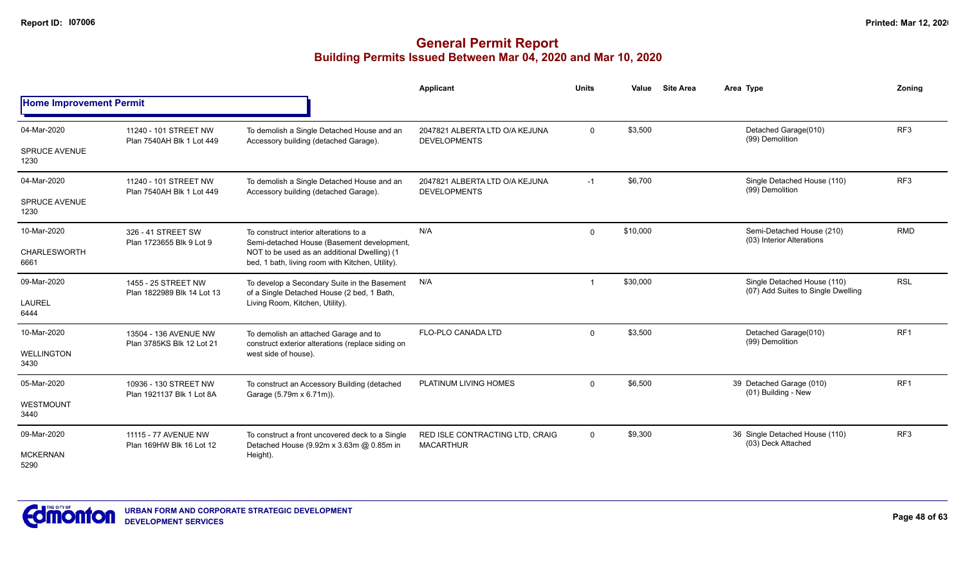|                                     |                                                    |                                                                                                                                                    | Applicant                                             | <b>Units</b> | Value    | <b>Site Area</b>                                     | Area Type                                                         | Zoning          |
|-------------------------------------|----------------------------------------------------|----------------------------------------------------------------------------------------------------------------------------------------------------|-------------------------------------------------------|--------------|----------|------------------------------------------------------|-------------------------------------------------------------------|-----------------|
| <b>Home Improvement Permit</b>      |                                                    |                                                                                                                                                    |                                                       |              |          |                                                      |                                                                   |                 |
| 04-Mar-2020<br><b>SPRUCE AVENUE</b> | 11240 - 101 STREET NW<br>Plan 7540AH Blk 1 Lot 449 | To demolish a Single Detached House and an<br>Accessory building (detached Garage).                                                                | 2047821 ALBERTA LTD O/A KEJUNA<br><b>DEVELOPMENTS</b> | $\Omega$     | \$3,500  |                                                      | Detached Garage(010)<br>(99) Demolition                           | RF <sub>3</sub> |
| 1230                                |                                                    |                                                                                                                                                    |                                                       |              |          |                                                      |                                                                   |                 |
| 04-Mar-2020                         | 11240 - 101 STREET NW<br>Plan 7540AH Blk 1 Lot 449 | To demolish a Single Detached House and an<br>Accessory building (detached Garage).                                                                | 2047821 ALBERTA LTD O/A KEJUNA<br><b>DEVELOPMENTS</b> | $-1$         | \$6,700  |                                                      | Single Detached House (110)<br>(99) Demolition                    | RF3             |
| <b>SPRUCE AVENUE</b><br>1230        |                                                    |                                                                                                                                                    |                                                       |              |          |                                                      |                                                                   |                 |
| 10-Mar-2020                         | 326 - 41 STREET SW                                 | To construct interior alterations to a                                                                                                             | N/A                                                   | $\Omega$     | \$10,000 |                                                      | Semi-Detached House (210)<br>(03) Interior Alterations            | <b>RMD</b>      |
| <b>CHARLESWORTH</b><br>6661         | Plan 1723655 Blk 9 Lot 9                           | Semi-detached House (Basement development,<br>NOT to be used as an additional Dwelling) (1<br>bed, 1 bath, living room with Kitchen, Utility).     |                                                       |              |          |                                                      |                                                                   |                 |
| 09-Mar-2020                         | 1455 - 25 STREET NW<br>Plan 1822989 Blk 14 Lot 13  | To develop a Secondary Suite in the Basement<br>of a Single Detached House (2 bed, 1 Bath,                                                         | N/A                                                   |              | \$30,000 |                                                      | Single Detached House (110)<br>(07) Add Suites to Single Dwelling | <b>RSL</b>      |
| <b>LAUREL</b><br>6444               |                                                    | Living Room, Kitchen, Utility).                                                                                                                    |                                                       |              |          |                                                      |                                                                   |                 |
| 10-Mar-2020                         | 13504 - 136 AVENUE NW<br>Plan 3785KS Blk 12 Lot 21 | To demolish an attached Garage and to<br>construct exterior alterations (replace siding on                                                         | <b>FLO-PLO CANADA LTD</b>                             | $\Omega$     | \$3,500  |                                                      | Detached Garage(010)<br>(99) Demolition                           | RF <sub>1</sub> |
| <b>WELLINGTON</b><br>3430           |                                                    | west side of house).                                                                                                                               |                                                       |              |          |                                                      |                                                                   |                 |
| 05-Mar-2020                         | 10936 - 130 STREET NW                              | To construct an Accessory Building (detached                                                                                                       | PLATINUM LIVING HOMES                                 | $\Omega$     | \$6,500  |                                                      | 39 Detached Garage (010)<br>(01) Building - New                   | RF <sub>1</sub> |
| <b>WESTMOUNT</b><br>3440            | Plan 1921137 Blk 1 Lot 8A                          | Garage (5.79m x 6.71m)).                                                                                                                           |                                                       |              |          |                                                      |                                                                   |                 |
| 09-Mar-2020                         | 11115 - 77 AVENUE NW<br>Plan 169HW Blk 16 Lot 12   | To construct a front uncovered deck to a Single<br>RED ISLE CONTRACTING LTD, CRAIG<br>Detached House (9.92m x 3.63m @ 0.85m in<br><b>MACARTHUR</b> | 0                                                     | \$9,300      |          | 36 Single Detached House (110)<br>(03) Deck Attached | RF <sub>3</sub>                                                   |                 |
| <b>MCKERNAN</b><br>5290             |                                                    | Height).                                                                                                                                           |                                                       |              |          |                                                      |                                                                   |                 |

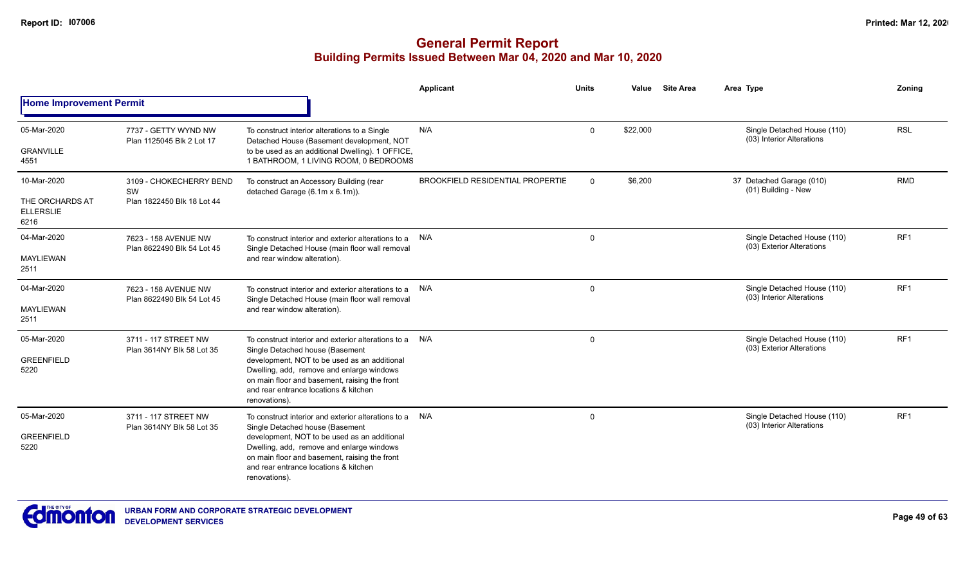|                                                            |                                                             |                                                                                                                                                                                                                                                                                                    | <b>Applicant</b>                        | <b>Units</b> | Value    | <b>Site Area</b> | Area Type                                                | Zoning          |
|------------------------------------------------------------|-------------------------------------------------------------|----------------------------------------------------------------------------------------------------------------------------------------------------------------------------------------------------------------------------------------------------------------------------------------------------|-----------------------------------------|--------------|----------|------------------|----------------------------------------------------------|-----------------|
| <b>Home Improvement Permit</b>                             |                                                             |                                                                                                                                                                                                                                                                                                    |                                         |              |          |                  |                                                          |                 |
| 05-Mar-2020<br><b>GRANVILLE</b><br>4551                    | 7737 - GETTY WYND NW<br>Plan 1125045 Blk 2 Lot 17           | To construct interior alterations to a Single<br>Detached House (Basement development, NOT<br>to be used as an additional Dwelling). 1 OFFICE,<br>1 BATHROOM, 1 LIVING ROOM, 0 BEDROOMS                                                                                                            | N/A                                     | $\Omega$     | \$22,000 |                  | Single Detached House (110)<br>(03) Interior Alterations | <b>RSL</b>      |
| 10-Mar-2020<br>THE ORCHARDS AT<br><b>ELLERSLIE</b><br>6216 | 3109 - CHOKECHERRY BEND<br>SW<br>Plan 1822450 Blk 18 Lot 44 | To construct an Accessory Building (rear<br>detached Garage (6.1m x 6.1m)).                                                                                                                                                                                                                        | <b>BROOKFIELD RESIDENTIAL PROPERTIE</b> | $\mathbf 0$  | \$6,200  |                  | 37 Detached Garage (010)<br>(01) Building - New          | <b>RMD</b>      |
| 04-Mar-2020<br><b>MAYLIEWAN</b><br>2511                    | 7623 - 158 AVENUE NW<br>Plan 8622490 Blk 54 Lot 45          | To construct interior and exterior alterations to a N/A<br>Single Detached House (main floor wall removal<br>and rear window alteration).                                                                                                                                                          |                                         | $\mathbf 0$  |          |                  | Single Detached House (110)<br>(03) Exterior Alterations | RF <sub>1</sub> |
| 04-Mar-2020<br><b>MAYLIEWAN</b><br>2511                    | 7623 - 158 AVENUE NW<br>Plan 8622490 Blk 54 Lot 45          | To construct interior and exterior alterations to a<br>Single Detached House (main floor wall removal<br>and rear window alteration).                                                                                                                                                              | N/A                                     | $\mathbf 0$  |          |                  | Single Detached House (110)<br>(03) Interior Alterations | RF <sub>1</sub> |
| 05-Mar-2020<br><b>GREENFIELD</b><br>5220                   | 3711 - 117 STREET NW<br>Plan 3614NY Blk 58 Lot 35           | To construct interior and exterior alterations to a<br>Single Detached house (Basement<br>development, NOT to be used as an additional<br>Dwelling, add, remove and enlarge windows<br>on main floor and basement, raising the front<br>and rear entrance locations & kitchen<br>renovations).     | N/A                                     | $\mathsf{O}$ |          |                  | Single Detached House (110)<br>(03) Exterior Alterations | RF <sub>1</sub> |
| 05-Mar-2020<br><b>GREENFIELD</b><br>5220                   | 3711 - 117 STREET NW<br>Plan 3614NY Blk 58 Lot 35           | To construct interior and exterior alterations to a N/A<br>Single Detached house (Basement<br>development, NOT to be used as an additional<br>Dwelling, add, remove and enlarge windows<br>on main floor and basement, raising the front<br>and rear entrance locations & kitchen<br>renovations). |                                         | $\mathbf 0$  |          |                  | Single Detached House (110)<br>(03) Interior Alterations | RF1             |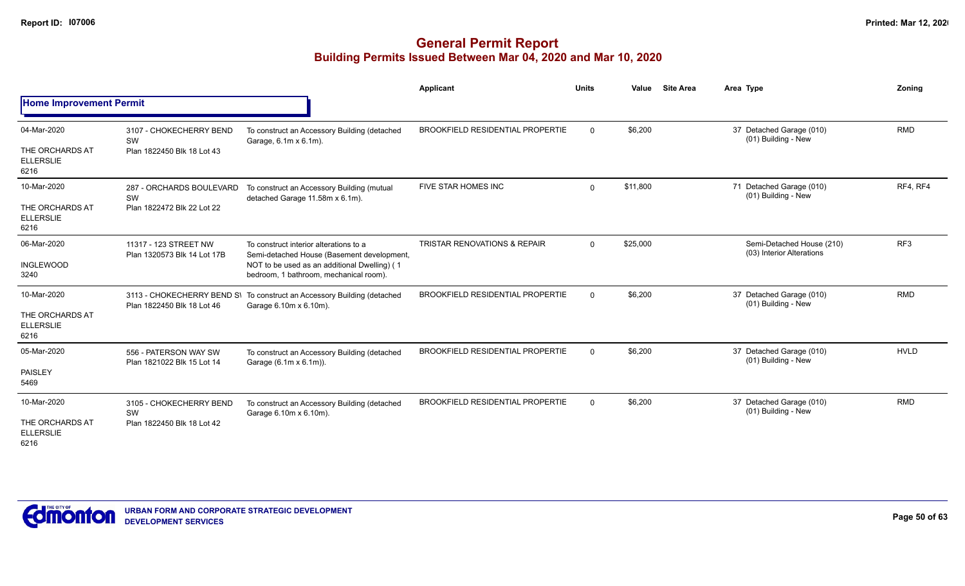|                                             |                                                             |                                                                                                   | Applicant                               | <b>Units</b>             | Value    | <b>Site Area</b>                                       | Area Type                                       | Zoning      |
|---------------------------------------------|-------------------------------------------------------------|---------------------------------------------------------------------------------------------------|-----------------------------------------|--------------------------|----------|--------------------------------------------------------|-------------------------------------------------|-------------|
| <b>Home Improvement Permit</b>              |                                                             |                                                                                                   |                                         |                          |          |                                                        |                                                 |             |
| 04-Mar-2020                                 | 3107 - CHOKECHERRY BEND<br>SW                               | To construct an Accessory Building (detached<br>Garage, 6.1m x 6.1m).                             | <b>BROOKFIELD RESIDENTIAL PROPERTIE</b> | $\mathbf{0}$             | \$6,200  |                                                        | 37 Detached Garage (010)<br>(01) Building - New | <b>RMD</b>  |
| THE ORCHARDS AT<br><b>ELLERSLIE</b><br>6216 | Plan 1822450 Blk 18 Lot 43                                  |                                                                                                   |                                         |                          |          |                                                        |                                                 |             |
| 10-Mar-2020                                 | 287 - ORCHARDS BOULEVARD<br>SW                              | To construct an Accessory Building (mutual<br>detached Garage 11.58m x 6.1m).                     | FIVE STAR HOMES INC                     | $\Omega$                 | \$11,800 |                                                        | 71 Detached Garage (010)<br>(01) Building - New | RF4, RF4    |
| THE ORCHARDS AT<br><b>ELLERSLIE</b><br>6216 | Plan 1822472 Blk 22 Lot 22<br>11317 - 123 STREET NW         |                                                                                                   |                                         |                          |          |                                                        |                                                 |             |
| 06-Mar-2020                                 | Plan 1320573 Blk 14 Lot 17B                                 | To construct interior alterations to a<br>Semi-detached House (Basement development,              | <b>TRISTAR RENOVATIONS &amp; REPAIR</b> | \$25,000<br>$\mathbf{0}$ |          | Semi-Detached House (210)<br>(03) Interior Alterations | RF3                                             |             |
| <b>INGLEWOOD</b><br>3240                    |                                                             | NOT to be used as an additional Dwelling) (1<br>bedroom, 1 bathroom, mechanical room).            |                                         |                          |          |                                                        |                                                 |             |
| 10-Mar-2020                                 | Plan 1822450 Blk 18 Lot 46                                  | 3113 - CHOKECHERRY BEND S\ To construct an Accessory Building (detached<br>Garage 6.10m x 6.10m). | <b>BROOKFIELD RESIDENTIAL PROPERTIE</b> | $\Omega$                 | \$6,200  |                                                        | 37 Detached Garage (010)<br>(01) Building - New | <b>RMD</b>  |
| THE ORCHARDS AT<br><b>ELLERSLIE</b><br>6216 |                                                             |                                                                                                   |                                         |                          |          |                                                        |                                                 |             |
| 05-Mar-2020                                 | 556 - PATERSON WAY SW                                       | To construct an Accessory Building (detached<br>Garage (6.1m x 6.1m)).                            | <b>BROOKFIELD RESIDENTIAL PROPERTIE</b> | $\Omega$                 | \$6,200  |                                                        | 37 Detached Garage (010)<br>(01) Building - New | <b>HVLD</b> |
| <b>PAISLEY</b><br>5469                      | Plan 1821022 Blk 15 Lot 14                                  |                                                                                                   |                                         |                          |          |                                                        |                                                 |             |
| 10-Mar-2020                                 | 3105 - CHOKECHERRY BEND<br>SW<br>Plan 1822450 Blk 18 Lot 42 | To construct an Accessory Building (detached<br>Garage 6.10m x 6.10m).                            | BROOKFIELD RESIDENTIAL PROPERTIE        | $\Omega$                 | \$6,200  |                                                        | 37 Detached Garage (010)<br>(01) Building - New | <b>RMD</b>  |
| THE ORCHARDS AT<br><b>ELLERSLIE</b><br>6216 |                                                             |                                                                                                   |                                         |                          |          |                                                        |                                                 |             |

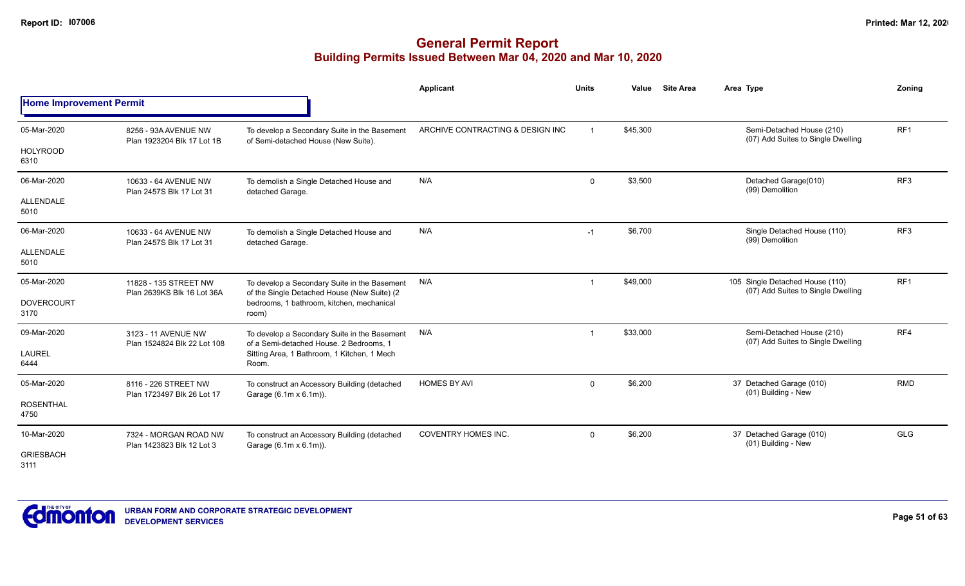|                                |                                                     |                                                                                             | <b>Applicant</b>                 | <b>Units</b> | Value    | <b>Site Area</b> | Area Type                                                             | Zoning          |
|--------------------------------|-----------------------------------------------------|---------------------------------------------------------------------------------------------|----------------------------------|--------------|----------|------------------|-----------------------------------------------------------------------|-----------------|
| <b>Home Improvement Permit</b> |                                                     |                                                                                             |                                  |              |          |                  |                                                                       |                 |
| 05-Mar-2020                    | 8256 - 93A AVENUE NW<br>Plan 1923204 Blk 17 Lot 1B  | To develop a Secondary Suite in the Basement<br>of Semi-detached House (New Suite).         | ARCHIVE CONTRACTING & DESIGN INC |              | \$45,300 |                  | Semi-Detached House (210)<br>(07) Add Suites to Single Dwelling       | RF <sub>1</sub> |
| <b>HOLYROOD</b><br>6310        |                                                     |                                                                                             |                                  |              |          |                  |                                                                       |                 |
| 06-Mar-2020                    | 10633 - 64 AVENUE NW<br>Plan 2457S Blk 17 Lot 31    | To demolish a Single Detached House and<br>detached Garage.                                 | N/A                              | $\mathbf 0$  | \$3,500  |                  | Detached Garage(010)<br>(99) Demolition                               | RF3             |
| ALLENDALE<br>5010              |                                                     |                                                                                             |                                  |              |          |                  |                                                                       |                 |
| 06-Mar-2020                    | 10633 - 64 AVENUE NW<br>Plan 2457S Blk 17 Lot 31    | To demolish a Single Detached House and<br>detached Garage.                                 | N/A                              | $-1$         | \$6,700  |                  | Single Detached House (110)<br>(99) Demolition                        | RF <sub>3</sub> |
| ALLENDALE<br>5010              |                                                     |                                                                                             |                                  |              |          |                  |                                                                       |                 |
| 05-Mar-2020                    | 11828 - 135 STREET NW<br>Plan 2639KS Blk 16 Lot 36A | To develop a Secondary Suite in the Basement<br>of the Single Detached House (New Suite) (2 | N/A                              |              | \$49,000 |                  | 105 Single Detached House (110)<br>(07) Add Suites to Single Dwelling | RF <sub>1</sub> |
| <b>DOVERCOURT</b><br>3170      |                                                     | bedrooms, 1 bathroom, kitchen, mechanical<br>room)                                          |                                  |              |          |                  |                                                                       |                 |
| 09-Mar-2020                    | 3123 - 11 AVENUE NW<br>Plan 1524824 Blk 22 Lot 108  | To develop a Secondary Suite in the Basement<br>of a Semi-detached House, 2 Bedrooms, 1     | N/A                              | -1           | \$33,000 |                  | Semi-Detached House (210)<br>(07) Add Suites to Single Dwelling       | RF4             |
| <b>LAUREL</b><br>6444          |                                                     | Sitting Area, 1 Bathroom, 1 Kitchen, 1 Mech<br>Room.                                        |                                  |              |          |                  |                                                                       |                 |
| 05-Mar-2020                    | 8116 - 226 STREET NW                                | To construct an Accessory Building (detached<br>Garage (6.1m x 6.1m)).                      | <b>HOMES BY AVI</b>              | $\mathbf 0$  | \$6,200  |                  | 37 Detached Garage (010)<br>(01) Building - New                       | RMD             |
| <b>ROSENTHAL</b><br>4750       | Plan 1723497 Blk 26 Lot 17                          |                                                                                             |                                  |              |          |                  |                                                                       |                 |
| 10-Mar-2020                    | 7324 - MORGAN ROAD NW<br>Plan 1423823 Blk 12 Lot 3  | To construct an Accessory Building (detached<br>Garage (6.1m x 6.1m)).                      | <b>COVENTRY HOMES INC.</b>       | $\mathbf 0$  | \$6,200  |                  | 37 Detached Garage (010)<br>(01) Building - New                       | <b>GLG</b>      |
| <b>GRIESBACH</b><br>3111       |                                                     |                                                                                             |                                  |              |          |                  |                                                                       |                 |

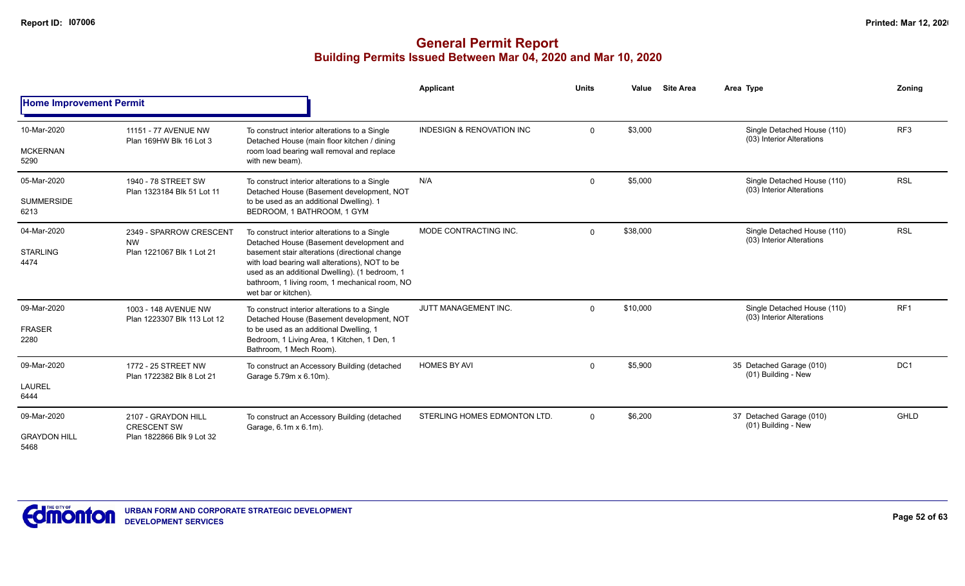|                                            |                                                                        |                                                                                                                                                                                                                                                                                                                           | Applicant                            | <b>Units</b>  | Value    | <b>Site Area</b>                                         | Area Type                                                | Zoning          |
|--------------------------------------------|------------------------------------------------------------------------|---------------------------------------------------------------------------------------------------------------------------------------------------------------------------------------------------------------------------------------------------------------------------------------------------------------------------|--------------------------------------|---------------|----------|----------------------------------------------------------|----------------------------------------------------------|-----------------|
| <b>Home Improvement Permit</b>             |                                                                        |                                                                                                                                                                                                                                                                                                                           |                                      |               |          |                                                          |                                                          |                 |
| 10-Mar-2020<br><b>MCKERNAN</b><br>5290     | 11151 - 77 AVENUE NW<br>Plan 169HW Blk 16 Lot 3                        | To construct interior alterations to a Single<br>Detached House (main floor kitchen / dining<br>room load bearing wall removal and replace<br>with new beam).                                                                                                                                                             | <b>INDESIGN &amp; RENOVATION INC</b> | 0             | \$3,000  |                                                          | Single Detached House (110)<br>(03) Interior Alterations | RF <sub>3</sub> |
|                                            |                                                                        |                                                                                                                                                                                                                                                                                                                           |                                      |               |          |                                                          |                                                          |                 |
| 05-Mar-2020<br><b>SUMMERSIDE</b>           | 1940 - 78 STREET SW<br>Plan 1323184 Blk 51 Lot 11                      | To construct interior alterations to a Single<br>Detached House (Basement development, NOT<br>to be used as an additional Dwelling). 1                                                                                                                                                                                    | N/A                                  | 0             | \$5,000  |                                                          | Single Detached House (110)<br>(03) Interior Alterations | <b>RSL</b>      |
| 6213                                       |                                                                        | BEDROOM, 1 BATHROOM, 1 GYM                                                                                                                                                                                                                                                                                                |                                      |               |          |                                                          |                                                          |                 |
| 04-Mar-2020<br><b>STARLING</b><br>4474     | 2349 - SPARROW CRESCENT<br><b>NW</b><br>Plan 1221067 Blk 1 Lot 21      | To construct interior alterations to a Single<br>Detached House (Basement development and<br>basement stair alterations (directional change<br>with load bearing wall alterations), NOT to be<br>used as an additional Dwelling). (1 bedroom, 1<br>bathroom, 1 living room, 1 mechanical room, NO<br>wet bar or kitchen). | MODE CONTRACTING INC.                | $\mathbf{0}$  | \$38,000 |                                                          | Single Detached House (110)<br>(03) Interior Alterations | <b>RSL</b>      |
| 09-Mar-2020                                | 1003 - 148 AVENUE NW<br>Plan 1223307 Blk 113 Lot 12                    | To construct interior alterations to a Single<br>Detached House (Basement development, NOT                                                                                                                                                                                                                                | JUTT MANAGEMENT INC.                 | \$10,000<br>0 |          | Single Detached House (110)<br>(03) Interior Alterations | RF <sub>1</sub>                                          |                 |
| <b>FRASER</b><br>2280                      |                                                                        | to be used as an additional Dwelling, 1<br>Bedroom, 1 Living Area, 1 Kitchen, 1 Den, 1<br>Bathroom, 1 Mech Room).                                                                                                                                                                                                         |                                      |               |          |                                                          |                                                          |                 |
| 09-Mar-2020                                | 1772 - 25 STREET NW                                                    | To construct an Accessory Building (detached<br>Garage 5.79m x 6.10m).                                                                                                                                                                                                                                                    | <b>HOMES BY AVI</b>                  | 0             | \$5,900  |                                                          | 35 Detached Garage (010)<br>(01) Building - New          | DC <sub>1</sub> |
| <b>LAUREL</b><br>6444                      | Plan 1722382 Blk 8 Lot 21                                              |                                                                                                                                                                                                                                                                                                                           |                                      |               |          |                                                          |                                                          |                 |
| 09-Mar-2020<br><b>GRAYDON HILL</b><br>5468 | 2107 - GRAYDON HILL<br><b>CRESCENT SW</b><br>Plan 1822866 Blk 9 Lot 32 | To construct an Accessory Building (detached<br>Garage, 6.1m x 6.1m).                                                                                                                                                                                                                                                     | STERLING HOMES EDMONTON LTD.         | $\mathbf{0}$  | \$6,200  |                                                          | 37 Detached Garage (010)<br>(01) Building - New          | <b>GHLD</b>     |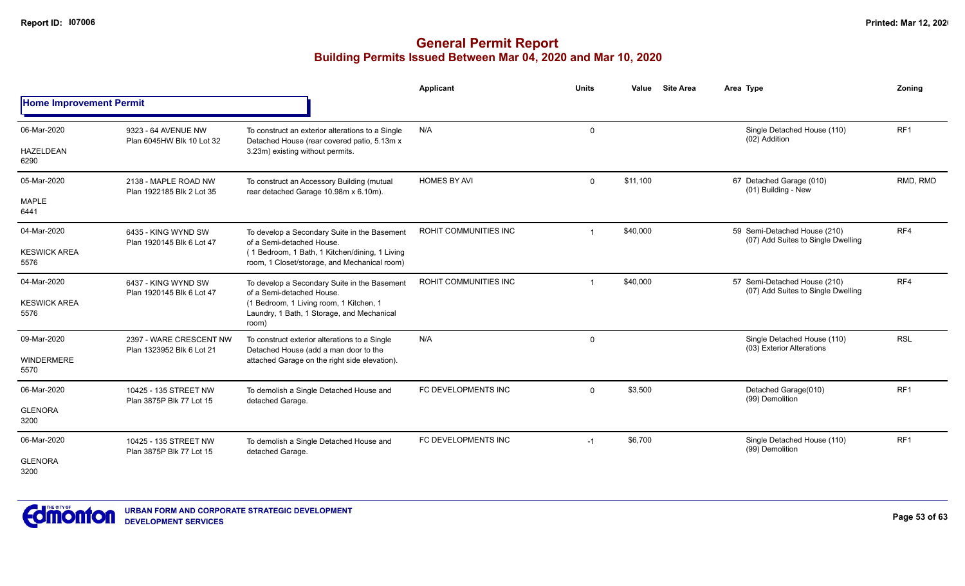|                                            |                                                      |                                                                                                                                                                             | Applicant             | <b>Units</b> | <b>Site Area</b><br>Value | Area Type                                                          | Zoning          |
|--------------------------------------------|------------------------------------------------------|-----------------------------------------------------------------------------------------------------------------------------------------------------------------------------|-----------------------|--------------|---------------------------|--------------------------------------------------------------------|-----------------|
| <b>Home Improvement Permit</b>             |                                                      |                                                                                                                                                                             |                       |              |                           |                                                                    |                 |
| 06-Mar-2020<br><b>HAZELDEAN</b><br>6290    | 9323 - 64 AVENUE NW<br>Plan 6045HW Blk 10 Lot 32     | To construct an exterior alterations to a Single<br>Detached House (rear covered patio, 5.13m x<br>3.23m) existing without permits.                                         | N/A                   | $\mathbf 0$  |                           | Single Detached House (110)<br>(02) Addition                       | RF <sub>1</sub> |
| 05-Mar-2020<br><b>MAPLE</b><br>6441        | 2138 - MAPLE ROAD NW<br>Plan 1922185 Blk 2 Lot 35    | To construct an Accessory Building (mutual<br>rear detached Garage 10.98m x 6.10m).                                                                                         | <b>HOMES BY AVI</b>   | $\mathbf 0$  | \$11,100                  | 67 Detached Garage (010)<br>(01) Building - New                    | RMD, RMD        |
| 04-Mar-2020<br><b>KESWICK AREA</b><br>5576 | 6435 - KING WYND SW<br>Plan 1920145 Blk 6 Lot 47     | To develop a Secondary Suite in the Basement<br>of a Semi-detached House.<br>(1 Bedroom, 1 Bath, 1 Kitchen/dining, 1 Living<br>room, 1 Closet/storage, and Mechanical room) | ROHIT COMMUNITIES INC |              | \$40,000                  | 59 Semi-Detached House (210)<br>(07) Add Suites to Single Dwelling | RF4             |
| 04-Mar-2020<br><b>KESWICK AREA</b><br>5576 | 6437 - KING WYND SW<br>Plan 1920145 Blk 6 Lot 47     | To develop a Secondary Suite in the Basement<br>of a Semi-detached House.<br>(1 Bedroom, 1 Living room, 1 Kitchen, 1<br>Laundry, 1 Bath, 1 Storage, and Mechanical<br>room) | ROHIT COMMUNITIES INC |              | \$40,000                  | 57 Semi-Detached House (210)<br>(07) Add Suites to Single Dwelling | RF4             |
| 09-Mar-2020<br><b>WINDERMERE</b><br>5570   | 2397 - WARE CRESCENT NW<br>Plan 1323952 Blk 6 Lot 21 | To construct exterior alterations to a Single<br>Detached House (add a man door to the<br>attached Garage on the right side elevation).                                     | N/A                   | 0            |                           | Single Detached House (110)<br>(03) Exterior Alterations           | <b>RSL</b>      |
| 06-Mar-2020<br><b>GLENORA</b><br>3200      | 10425 - 135 STREET NW<br>Plan 3875P Blk 77 Lot 15    | To demolish a Single Detached House and<br>detached Garage.                                                                                                                 | FC DEVELOPMENTS INC   | $\mathbf 0$  | \$3,500                   | Detached Garage(010)<br>(99) Demolition                            | RF <sub>1</sub> |
| 06-Mar-2020<br><b>GLENORA</b><br>3200      | 10425 - 135 STREET NW<br>Plan 3875P Blk 77 Lot 15    | To demolish a Single Detached House and<br>detached Garage.                                                                                                                 | FC DEVELOPMENTS INC   | $-1$         | \$6,700                   | Single Detached House (110)<br>(99) Demolition                     | RF1             |

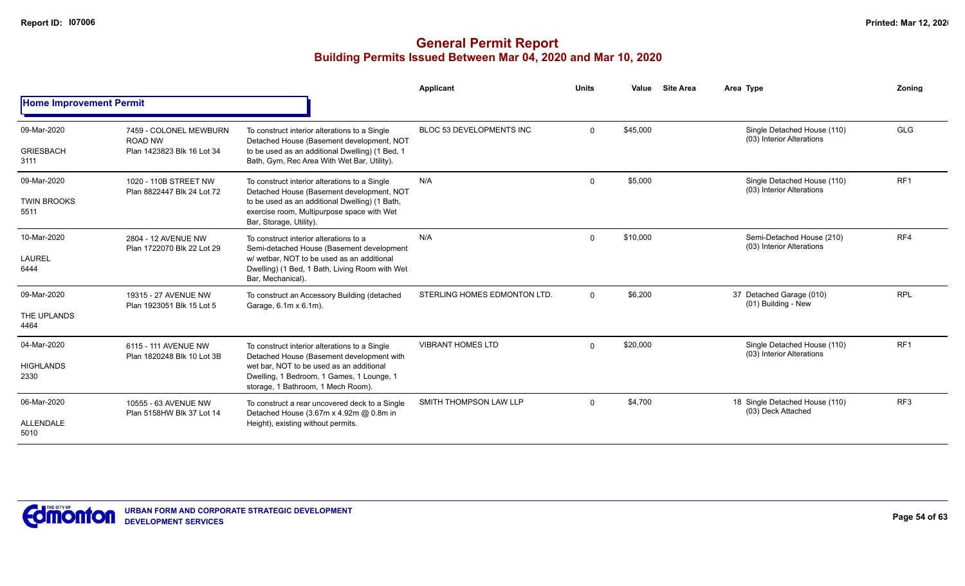|                                           |                                                                        |                                                                                                                                                                                                                           | Applicant                    | <b>Units</b> | Value    | <b>Site Area</b> | Area Type                                                | Zoning          |
|-------------------------------------------|------------------------------------------------------------------------|---------------------------------------------------------------------------------------------------------------------------------------------------------------------------------------------------------------------------|------------------------------|--------------|----------|------------------|----------------------------------------------------------|-----------------|
| <b>Home Improvement Permit</b>            |                                                                        |                                                                                                                                                                                                                           |                              |              |          |                  |                                                          |                 |
| 09-Mar-2020<br><b>GRIESBACH</b><br>3111   | 7459 - COLONEL MEWBURN<br><b>ROAD NW</b><br>Plan 1423823 Blk 16 Lot 34 | To construct interior alterations to a Single<br>Detached House (Basement development, NOT<br>to be used as an additional Dwelling) (1 Bed, 1<br>Bath, Gym, Rec Area With Wet Bar, Utility).                              | BLOC 53 DEVELOPMENTS INC     | $\Omega$     | \$45.000 |                  | Single Detached House (110)<br>(03) Interior Alterations | <b>GLG</b>      |
| 09-Mar-2020<br><b>TWIN BROOKS</b><br>5511 | 1020 - 110B STREET NW<br>Plan 8822447 Blk 24 Lot 72                    | To construct interior alterations to a Single<br>Detached House (Basement development, NOT<br>to be used as an additional Dwelling) (1 Bath,<br>exercise room, Multipurpose space with Wet<br>Bar, Storage, Utility).     | N/A                          | $\Omega$     | \$5,000  |                  | Single Detached House (110)<br>(03) Interior Alterations | RF <sub>1</sub> |
| 10-Mar-2020<br><b>LAUREL</b><br>6444      | 2804 - 12 AVENUE NW<br>Plan 1722070 Blk 22 Lot 29                      | To construct interior alterations to a<br>Semi-detached House (Basement development<br>w/ wetbar, NOT to be used as an additional<br>Dwelling) (1 Bed, 1 Bath, Living Room with Wet<br>Bar, Mechanical).                  | N/A                          | $\Omega$     | \$10,000 |                  | Semi-Detached House (210)<br>(03) Interior Alterations   | RF4             |
| 09-Mar-2020<br>THE UPLANDS<br>4464        | 19315 - 27 AVENUE NW<br>Plan 1923051 Blk 15 Lot 5                      | To construct an Accessory Building (detached<br>Garage, 6.1m x 6.1m).                                                                                                                                                     | STERLING HOMES EDMONTON LTD. | $\Omega$     | \$6,200  |                  | 37 Detached Garage (010)<br>(01) Building - New          | <b>RPL</b>      |
| 04-Mar-2020<br><b>HIGHLANDS</b><br>2330   | 6115 - 111 AVENUE NW<br>Plan 1820248 Blk 10 Lot 3B                     | To construct interior alterations to a Single<br>Detached House (Basement development with<br>wet bar. NOT to be used as an additional<br>Dwelling, 1 Bedroom, 1 Games, 1 Lounge, 1<br>storage, 1 Bathroom, 1 Mech Room). | <b>VIBRANT HOMES LTD</b>     | $\Omega$     | \$20,000 |                  | Single Detached House (110)<br>(03) Interior Alterations | RF <sub>1</sub> |
| 06-Mar-2020<br><b>ALLENDALE</b><br>5010   | 10555 - 63 AVENUE NW<br>Plan 5158HW Blk 37 Lot 14                      | To construct a rear uncovered deck to a Single<br>Detached House (3.67m x 4.92m @ 0.8m in<br>Height), existing without permits.                                                                                           | SMITH THOMPSON LAW LLP       | $\Omega$     | \$4.700  |                  | 18 Single Detached House (110)<br>(03) Deck Attached     | RF <sub>3</sub> |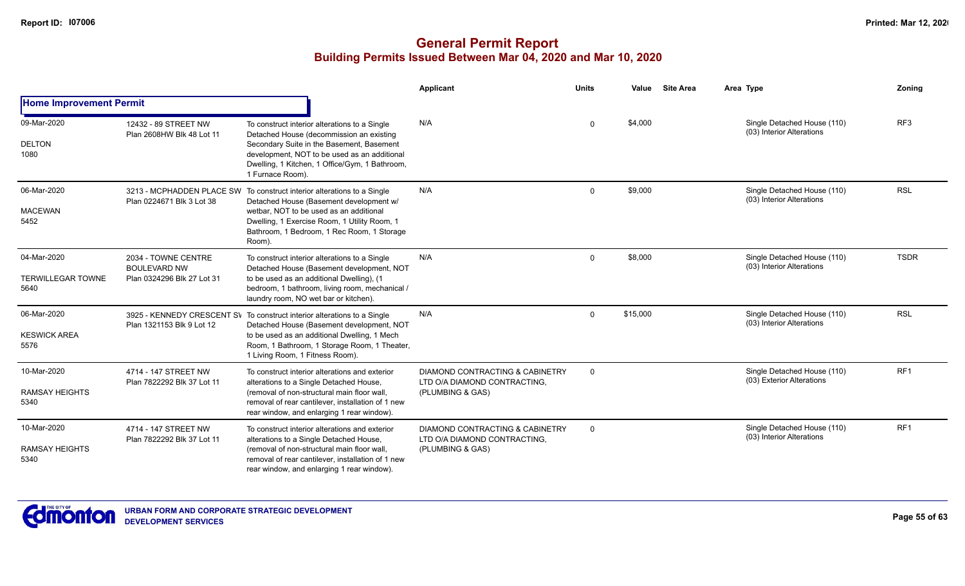|                                                 |                                                                          |                                                                                                                                                                                                                                                                       | Applicant                                                                                      | <b>Units</b> | Value    | <b>Site Area</b> | Area Type                                                | Zoning          |
|-------------------------------------------------|--------------------------------------------------------------------------|-----------------------------------------------------------------------------------------------------------------------------------------------------------------------------------------------------------------------------------------------------------------------|------------------------------------------------------------------------------------------------|--------------|----------|------------------|----------------------------------------------------------|-----------------|
| <b>Home Improvement Permit</b>                  |                                                                          |                                                                                                                                                                                                                                                                       |                                                                                                |              |          |                  |                                                          |                 |
| 09-Mar-2020<br><b>DELTON</b><br>1080            | 12432 - 89 STREET NW<br>Plan 2608HW Blk 48 Lot 11                        | To construct interior alterations to a Single<br>Detached House (decommission an existing<br>Secondary Suite in the Basement, Basement<br>development, NOT to be used as an additional<br>Dwelling, 1 Kitchen, 1 Office/Gym, 1 Bathroom,<br>1 Furnace Room).          | N/A                                                                                            | $\Omega$     | \$4,000  |                  | Single Detached House (110)<br>(03) Interior Alterations | RF <sub>3</sub> |
| 06-Mar-2020<br><b>MACEWAN</b><br>5452           | Plan 0224671 Blk 3 Lot 38                                                | 3213 - MCPHADDEN PLACE SW To construct interior alterations to a Single<br>Detached House (Basement development w/<br>wetbar, NOT to be used as an additional<br>Dwelling, 1 Exercise Room, 1 Utility Room, 1<br>Bathroom, 1 Bedroom, 1 Rec Room, 1 Storage<br>Room). | N/A                                                                                            | $\mathbf{0}$ | \$9,000  |                  | Single Detached House (110)<br>(03) Interior Alterations | <b>RSL</b>      |
| 04-Mar-2020<br><b>TERWILLEGAR TOWNE</b><br>5640 | 2034 - TOWNE CENTRE<br><b>BOULEVARD NW</b><br>Plan 0324296 Blk 27 Lot 31 | To construct interior alterations to a Single<br>Detached House (Basement development, NOT<br>to be used as an additional Dwelling), (1<br>bedroom, 1 bathroom, living room, mechanical /<br>laundry room, NO wet bar or kitchen).                                    | N/A                                                                                            | $\Omega$     | \$8,000  |                  | Single Detached House (110)<br>(03) Interior Alterations | <b>TSDR</b>     |
| 06-Mar-2020<br><b>KESWICK AREA</b><br>5576      | Plan 1321153 Blk 9 Lot 12                                                | 3925 - KENNEDY CRESCENT SV To construct interior alterations to a Single<br>Detached House (Basement development, NOT<br>to be used as an additional Dwelling, 1 Mech<br>Room, 1 Bathroom, 1 Storage Room, 1 Theater,<br>1 Living Room, 1 Fitness Room).              | N/A                                                                                            | $\Omega$     | \$15,000 |                  | Single Detached House (110)<br>(03) Interior Alterations | <b>RSL</b>      |
| 10-Mar-2020<br><b>RAMSAY HEIGHTS</b><br>5340    | 4714 - 147 STREET NW<br>Plan 7822292 Blk 37 Lot 11                       | To construct interior alterations and exterior<br>alterations to a Single Detached House,<br>(removal of non-structural main floor wall.<br>removal of rear cantilever, installation of 1 new<br>rear window, and enlarging 1 rear window).                           | <b>DIAMOND CONTRACTING &amp; CABINETRY</b><br>LTD O/A DIAMOND CONTRACTING,<br>(PLUMBING & GAS) | $\Omega$     |          |                  | Single Detached House (110)<br>(03) Exterior Alterations | RF1             |
| 10-Mar-2020<br><b>RAMSAY HEIGHTS</b><br>5340    | 4714 - 147 STREET NW<br>Plan 7822292 Blk 37 Lot 11                       | To construct interior alterations and exterior<br>alterations to a Single Detached House,<br>(removal of non-structural main floor wall.<br>removal of rear cantilever, installation of 1 new<br>rear window, and enlarging 1 rear window).                           | DIAMOND CONTRACTING & CABINETRY<br>LTD O/A DIAMOND CONTRACTING.<br>(PLUMBING & GAS)            | $\Omega$     |          |                  | Single Detached House (110)<br>(03) Interior Alterations | RF <sub>1</sub> |

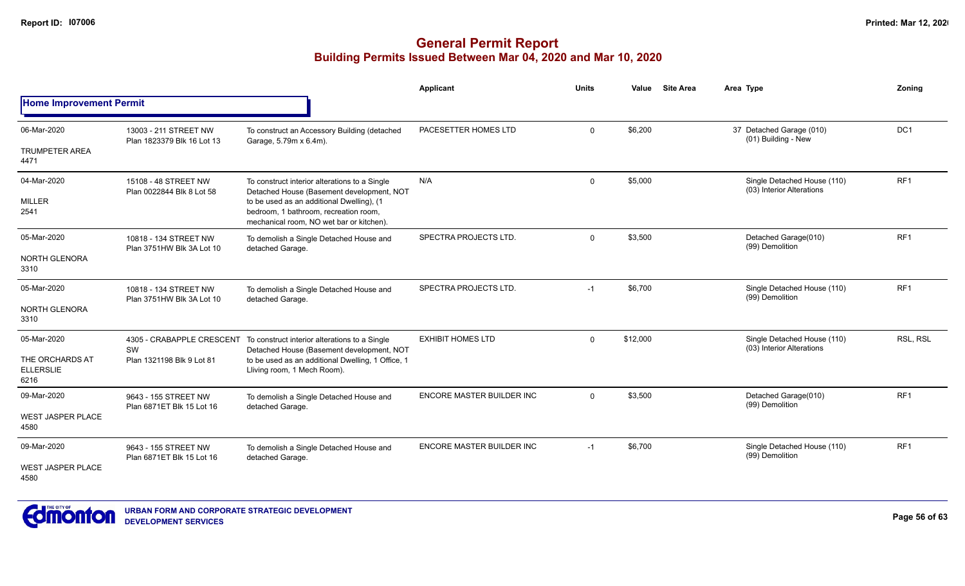|                                             |                                                     |                                                                                                                                | Applicant                        | <b>Units</b> | Value    | <b>Site Area</b> | Area Type                                                | Zoning          |
|---------------------------------------------|-----------------------------------------------------|--------------------------------------------------------------------------------------------------------------------------------|----------------------------------|--------------|----------|------------------|----------------------------------------------------------|-----------------|
| <b>Home Improvement Permit</b>              |                                                     |                                                                                                                                |                                  |              |          |                  |                                                          |                 |
| 06-Mar-2020                                 | 13003 - 211 STREET NW<br>Plan 1823379 Blk 16 Lot 13 | To construct an Accessory Building (detached<br>Garage, 5.79m x 6.4m).                                                         | PACESETTER HOMES LTD             | $\mathbf 0$  | \$6,200  |                  | 37 Detached Garage (010)<br>(01) Building - New          | DC1             |
| <b>TRUMPETER AREA</b><br>4471               |                                                     |                                                                                                                                |                                  |              |          |                  |                                                          |                 |
| 04-Mar-2020                                 | 15108 - 48 STREET NW<br>Plan 0022844 Blk 8 Lot 58   | To construct interior alterations to a Single<br>Detached House (Basement development, NOT                                     | N/A                              | $\mathbf 0$  | \$5,000  |                  | Single Detached House (110)<br>(03) Interior Alterations | RF <sub>1</sub> |
| <b>MILLER</b><br>2541                       |                                                     | to be used as an additional Dwelling), (1<br>bedroom, 1 bathroom, recreation room,<br>mechanical room, NO wet bar or kitchen). |                                  |              |          |                  |                                                          |                 |
| 05-Mar-2020                                 | 10818 - 134 STREET NW<br>Plan 3751HW Blk 3A Lot 10  | To demolish a Single Detached House and<br>detached Garage.                                                                    | SPECTRA PROJECTS LTD.            | $\Omega$     | \$3,500  |                  | Detached Garage(010)<br>(99) Demolition                  | RF <sub>1</sub> |
| NORTH GLENORA<br>3310                       |                                                     |                                                                                                                                |                                  |              |          |                  |                                                          |                 |
| 05-Mar-2020                                 | 10818 - 134 STREET NW<br>Plan 3751HW Blk 3A Lot 10  | To demolish a Single Detached House and<br>detached Garage.                                                                    | SPECTRA PROJECTS LTD.            | $-1$         | \$6,700  |                  | Single Detached House (110)<br>(99) Demolition           | RF <sub>1</sub> |
| <b>NORTH GLENORA</b><br>3310                |                                                     |                                                                                                                                |                                  |              |          |                  |                                                          |                 |
| 05-Mar-2020                                 | SW                                                  | 4305 - CRABAPPLE CRESCENT To construct interior alterations to a Single<br>Detached House (Basement development, NOT           | <b>EXHIBIT HOMES LTD</b>         | $\Omega$     | \$12,000 |                  | Single Detached House (110)<br>(03) Interior Alterations | RSL, RSL        |
| THE ORCHARDS AT<br><b>ELLERSLIE</b><br>6216 | Plan 1321198 Blk 9 Lot 81                           | to be used as an additional Dwelling, 1 Office, 1<br>Lliving room, 1 Mech Room).                                               |                                  |              |          |                  |                                                          |                 |
| 09-Mar-2020                                 | 9643 - 155 STREET NW                                | To demolish a Single Detached House and<br>detached Garage.                                                                    | <b>ENCORE MASTER BUILDER INC</b> | $\Omega$     | \$3,500  |                  | Detached Garage(010)<br>(99) Demolition                  | RF <sub>1</sub> |
| <b>WEST JASPER PLACE</b><br>4580            | Plan 6871ET Blk 15 Lot 16                           |                                                                                                                                |                                  |              |          |                  |                                                          |                 |
| 09-Mar-2020                                 | 9643 - 155 STREET NW<br>Plan 6871ET Blk 15 Lot 16   | To demolish a Single Detached House and<br>detached Garage.                                                                    | <b>ENCORE MASTER BUILDER INC</b> | $-1$         | \$6,700  |                  | Single Detached House (110)<br>(99) Demolition           | RF <sub>1</sub> |
| <b>WEST JASPER PLACE</b><br>4580            |                                                     |                                                                                                                                |                                  |              |          |                  |                                                          |                 |

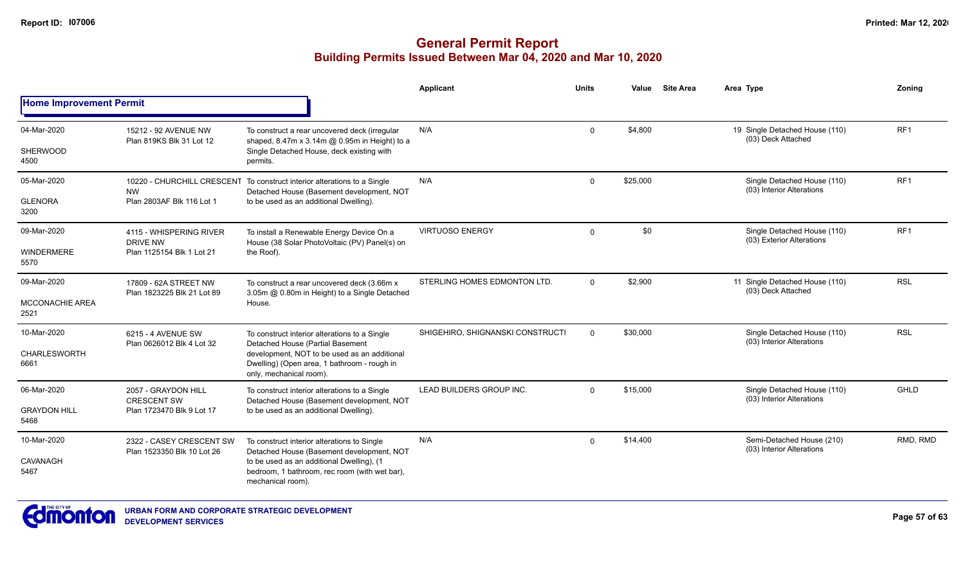|                                |                                                        |                                                                                                                        | <b>Applicant</b>                 | <b>Units</b> | Value    | <b>Site Area</b> | Area Type                                                | Zonina          |
|--------------------------------|--------------------------------------------------------|------------------------------------------------------------------------------------------------------------------------|----------------------------------|--------------|----------|------------------|----------------------------------------------------------|-----------------|
| <b>Home Improvement Permit</b> |                                                        |                                                                                                                        |                                  |              |          |                  |                                                          |                 |
| 04-Mar-2020                    | 15212 - 92 AVENUE NW                                   | To construct a rear uncovered deck (irregular                                                                          | N/A                              | $\mathbf 0$  | \$4,800  |                  | 19 Single Detached House (110)<br>(03) Deck Attached     | RF <sub>1</sub> |
| SHERWOOD<br>4500               | Plan 819KS Blk 31 Lot 12                               | shaped, 8.47m x 3.14m @ 0.95m in Height) to a<br>Single Detached House, deck existing with<br>permits.                 |                                  |              |          |                  |                                                          |                 |
| 05-Mar-2020                    | <b>NW</b>                                              | 10220 - CHURCHILL CRESCENT To construct interior alterations to a Single<br>Detached House (Basement development, NOT  | N/A                              | $\Omega$     | \$25,000 |                  | Single Detached House (110)<br>(03) Interior Alterations | RF <sub>1</sub> |
| <b>GLENORA</b><br>3200         | Plan 2803AF Blk 116 Lot 1                              | to be used as an additional Dwelling).                                                                                 |                                  |              |          |                  |                                                          |                 |
| 09-Mar-2020                    | 4115 - WHISPERING RIVER<br>DRIVE NW                    | To install a Renewable Energy Device On a<br>House (38 Solar PhotoVoltaic (PV) Panel(s) on                             | <b>VIRTUOSO ENERGY</b>           | $\mathbf 0$  | \$0      |                  | Single Detached House (110)<br>(03) Exterior Alterations | RF <sub>1</sub> |
| <b>WINDERMERE</b><br>5570      | Plan 1125154 Blk 1 Lot 21                              | the Roof).                                                                                                             |                                  |              |          |                  |                                                          |                 |
| 09-Mar-2020                    | 17809 - 62A STREET NW<br>Plan 1823225 Blk 21 Lot 89    | To construct a rear uncovered deck (3.66m x<br>3.05m @ 0.80m in Height) to a Single Detached                           | STERLING HOMES EDMONTON LTD.     | $\Omega$     | \$2,900  |                  | 11 Single Detached House (110)<br>(03) Deck Attached     | <b>RSL</b>      |
| <b>MCCONACHIE AREA</b><br>2521 |                                                        | House.                                                                                                                 |                                  |              |          |                  |                                                          |                 |
| 10-Mar-2020                    | 6215 - 4 AVENUE SW                                     | To construct interior alterations to a Single<br>Detached House (Partial Basement                                      | SHIGEHIRO, SHIGNANSKI CONSTRUCTI | $\Omega$     | \$30,000 |                  | Single Detached House (110)<br>(03) Interior Alterations | <b>RSL</b>      |
| <b>CHARLESWORTH</b><br>6661    | Plan 0626012 Blk 4 Lot 32                              | development, NOT to be used as an additional<br>Dwelling) (Open area, 1 bathroom - rough in<br>only, mechanical room). |                                  |              |          |                  |                                                          |                 |
| 06-Mar-2020                    | 2057 - GRAYDON HILL                                    | To construct interior alterations to a Single<br>Detached House (Basement development, NOT                             | LEAD BUILDERS GROUP INC.         | $\Omega$     | \$15,000 |                  | Single Detached House (110)<br>(03) Interior Alterations | <b>GHLD</b>     |
| <b>GRAYDON HILL</b><br>5468    | <b>CRESCENT SW</b><br>Plan 1723470 Blk 9 Lot 17        | to be used as an additional Dwelling).                                                                                 |                                  |              |          |                  |                                                          |                 |
| 10-Mar-2020                    | 2322 - CASEY CRESCENT SW<br>Plan 1523350 Blk 10 Lot 26 | To construct interior alterations to Single<br>Detached House (Basement development, NOT                               | N/A                              | $\Omega$     | \$14,400 |                  | Semi-Detached House (210)<br>(03) Interior Alterations   | RMD, RMD        |
| <b>CAVANAGH</b><br>5467        |                                                        | to be used as an additional Dwelling), (1<br>bedroom, 1 bathroom, rec room (with wet bar),<br>mechanical room).        |                                  |              |          |                  |                                                          |                 |

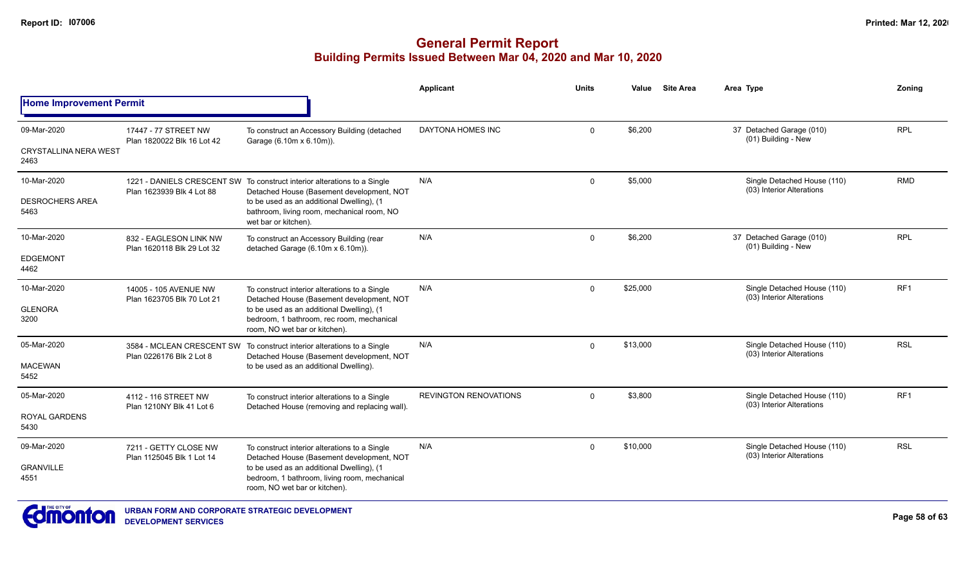|                                                     |                                                      |                                                                                                                                                                                                                                          | Applicant                    | <b>Units</b> | Value    | <b>Site Area</b> | Area Type                                                | Zoning          |
|-----------------------------------------------------|------------------------------------------------------|------------------------------------------------------------------------------------------------------------------------------------------------------------------------------------------------------------------------------------------|------------------------------|--------------|----------|------------------|----------------------------------------------------------|-----------------|
| <b>Home Improvement Permit</b>                      |                                                      |                                                                                                                                                                                                                                          |                              |              |          |                  |                                                          |                 |
| 09-Mar-2020<br><b>CRYSTALLINA NERA WEST</b><br>2463 | 17447 - 77 STREET NW<br>Plan 1820022 Blk 16 Lot 42   | To construct an Accessory Building (detached<br>Garage (6.10m x 6.10m)).                                                                                                                                                                 | DAYTONA HOMES INC            | $\Omega$     | \$6,200  |                  | 37 Detached Garage (010)<br>(01) Building - New          | <b>RPL</b>      |
| 10-Mar-2020<br><b>DESROCHERS AREA</b><br>5463       | Plan 1623939 Blk 4 Lot 88                            | 1221 - DANIELS CRESCENT SW To construct interior alterations to a Single<br>Detached House (Basement development, NOT<br>to be used as an additional Dwelling), (1<br>bathroom, living room, mechanical room, NO<br>wet bar or kitchen). | N/A                          | 0            | \$5,000  |                  | Single Detached House (110)<br>(03) Interior Alterations | <b>RMD</b>      |
| 10-Mar-2020<br><b>EDGEMONT</b><br>4462              | 832 - EAGLESON LINK NW<br>Plan 1620118 Blk 29 Lot 32 | To construct an Accessory Building (rear<br>detached Garage (6.10m x 6.10m)).                                                                                                                                                            | N/A                          | $\Omega$     | \$6,200  |                  | 37 Detached Garage (010)<br>(01) Building - New          | <b>RPL</b>      |
| 10-Mar-2020<br><b>GLENORA</b><br>3200               | 14005 - 105 AVENUE NW<br>Plan 1623705 Blk 70 Lot 21  | To construct interior alterations to a Single<br>Detached House (Basement development, NOT<br>to be used as an additional Dwelling), (1<br>bedroom, 1 bathroom, rec room, mechanical<br>room. NO wet bar or kitchen).                    | N/A                          | 0            | \$25,000 |                  | Single Detached House (110)<br>(03) Interior Alterations | RF <sub>1</sub> |
| 05-Mar-2020<br><b>MACEWAN</b><br>5452               | Plan 0226176 Blk 2 Lot 8                             | 3584 - MCLEAN CRESCENT SW To construct interior alterations to a Single<br>Detached House (Basement development, NOT<br>to be used as an additional Dwelling).                                                                           | N/A                          | $\Omega$     | \$13,000 |                  | Single Detached House (110)<br>(03) Interior Alterations | <b>RSL</b>      |
| 05-Mar-2020<br><b>ROYAL GARDENS</b><br>5430         | 4112 - 116 STREET NW<br>Plan 1210NY Blk 41 Lot 6     | To construct interior alterations to a Single<br>Detached House (removing and replacing wall).                                                                                                                                           | <b>REVINGTON RENOVATIONS</b> | $\mathbf{0}$ | \$3,800  |                  | Single Detached House (110)<br>(03) Interior Alterations | RF <sub>1</sub> |
| 09-Mar-2020<br><b>GRANVILLE</b><br>4551             | 7211 - GETTY CLOSE NW<br>Plan 1125045 Blk 1 Lot 14   | To construct interior alterations to a Single<br>Detached House (Basement development, NOT<br>to be used as an additional Dwelling), (1<br>bedroom, 1 bathroom, living room, mechanical<br>room, NO wet bar or kitchen).                 | N/A                          | $\mathbf{0}$ | \$10,000 |                  | Single Detached House (110)<br>(03) Interior Alterations | <b>RSL</b>      |

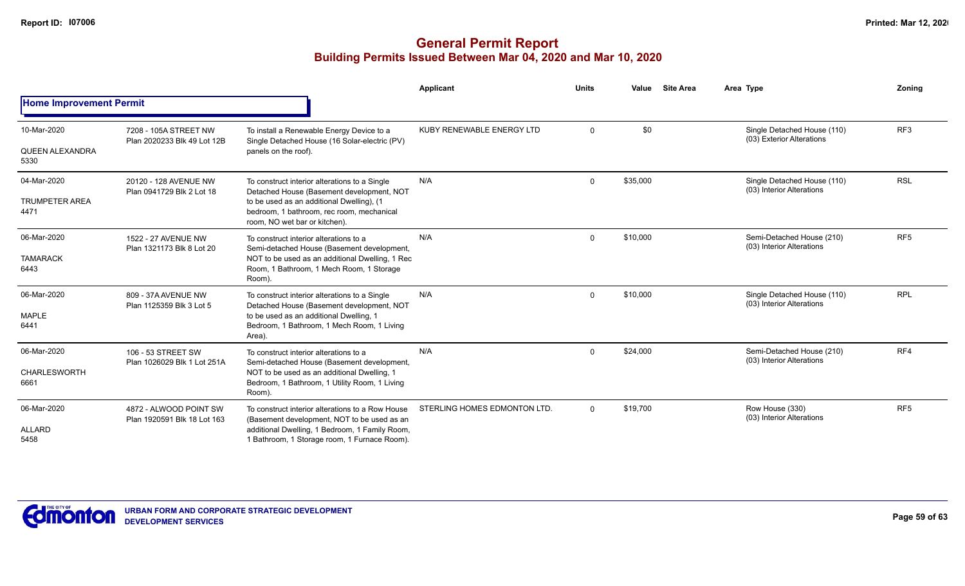|                                |                                                       |                                                                                                                         | Applicant                    | <b>Units</b> | Value    | <b>Site Area</b> | Area Type                                                | Zoning          |
|--------------------------------|-------------------------------------------------------|-------------------------------------------------------------------------------------------------------------------------|------------------------------|--------------|----------|------------------|----------------------------------------------------------|-----------------|
| <b>Home Improvement Permit</b> |                                                       |                                                                                                                         |                              |              |          |                  |                                                          |                 |
| 10-Mar-2020                    | 7208 - 105A STREET NW<br>Plan 2020233 Blk 49 Lot 12B  | To install a Renewable Energy Device to a<br>Single Detached House (16 Solar-electric (PV)                              | KUBY RENEWABLE ENERGY LTD    | $\mathbf 0$  | \$0      |                  | Single Detached House (110)<br>(03) Exterior Alterations | RF <sub>3</sub> |
| QUEEN ALEXANDRA<br>5330        |                                                       | panels on the roof).                                                                                                    |                              |              |          |                  |                                                          |                 |
| 04-Mar-2020                    | 20120 - 128 AVENUE NW<br>Plan 0941729 Blk 2 Lot 18    | To construct interior alterations to a Single<br>Detached House (Basement development, NOT                              | N/A                          | $\mathbf 0$  | \$35,000 |                  | Single Detached House (110)<br>(03) Interior Alterations | <b>RSL</b>      |
| <b>TRUMPETER AREA</b><br>4471  |                                                       | to be used as an additional Dwelling), (1<br>bedroom, 1 bathroom, rec room, mechanical<br>room, NO wet bar or kitchen). |                              |              |          |                  |                                                          |                 |
| 06-Mar-2020                    | 1522 - 27 AVENUE NW<br>Plan 1321173 Blk 8 Lot 20      | To construct interior alterations to a<br>Semi-detached House (Basement development,                                    | N/A                          | $\Omega$     | \$10,000 |                  | Semi-Detached House (210)<br>(03) Interior Alterations   | RF <sub>5</sub> |
| <b>TAMARACK</b><br>6443        |                                                       | NOT to be used as an additional Dwelling, 1 Rec<br>Room, 1 Bathroom, 1 Mech Room, 1 Storage<br>Room).                   |                              |              |          |                  |                                                          |                 |
| 06-Mar-2020                    | 809 - 37A AVENUE NW<br>Plan 1125359 Blk 3 Lot 5       | To construct interior alterations to a Single<br>Detached House (Basement development, NOT                              | N/A                          | $\Omega$     | \$10,000 |                  | Single Detached House (110)<br>(03) Interior Alterations | <b>RPL</b>      |
| <b>MAPLE</b><br>6441           |                                                       | to be used as an additional Dwelling, 1<br>Bedroom, 1 Bathroom, 1 Mech Room, 1 Living<br>Area).                         |                              |              |          |                  |                                                          |                 |
| 06-Mar-2020                    | 106 - 53 STREET SW                                    | To construct interior alterations to a<br>Semi-detached House (Basement development,                                    | N/A                          | $\Omega$     | \$24,000 |                  | Semi-Detached House (210)<br>(03) Interior Alterations   | RF4             |
| CHARLESWORTH<br>6661           | Plan 1026029 Blk 1 Lot 251A                           | NOT to be used as an additional Dwelling, 1<br>Bedroom, 1 Bathroom, 1 Utility Room, 1 Living<br>Room).                  |                              |              |          |                  |                                                          |                 |
| 06-Mar-2020                    | 4872 - ALWOOD POINT SW<br>Plan 1920591 Blk 18 Lot 163 | To construct interior alterations to a Row House<br>(Basement development, NOT to be used as an                         | STERLING HOMES EDMONTON LTD. | $\Omega$     | \$19,700 |                  | Row House (330)<br>(03) Interior Alterations             | RF <sub>5</sub> |
| <b>ALLARD</b><br>5458          |                                                       | additional Dwelling, 1 Bedroom, 1 Family Room,<br>1 Bathroom, 1 Storage room, 1 Furnace Room).                          |                              |              |          |                  |                                                          |                 |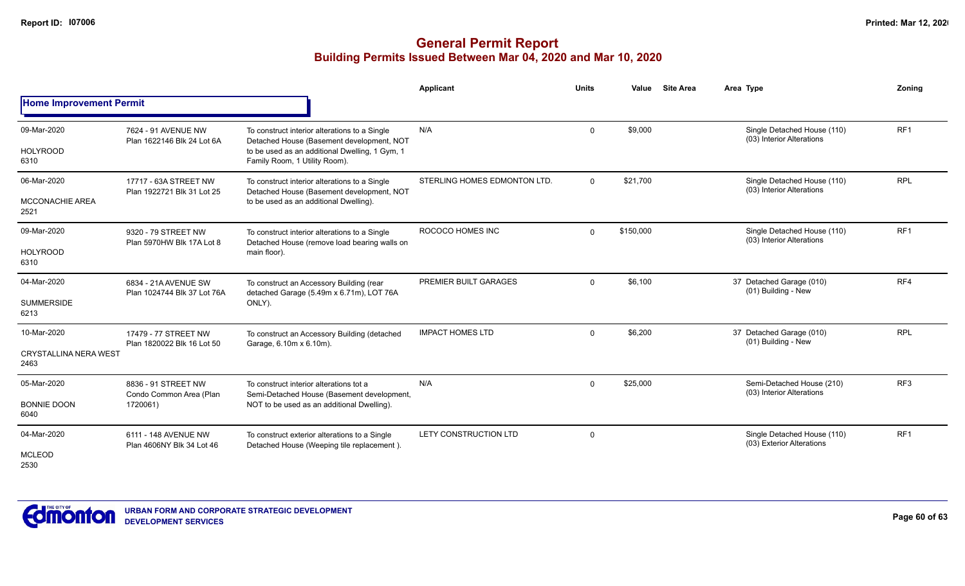|                                                     |                                                            |                                                                                                                                                                               | Applicant                    | <b>Units</b> | Value     | <b>Site Area</b> | Area Type                                                | Zoning          |
|-----------------------------------------------------|------------------------------------------------------------|-------------------------------------------------------------------------------------------------------------------------------------------------------------------------------|------------------------------|--------------|-----------|------------------|----------------------------------------------------------|-----------------|
| <b>Home Improvement Permit</b>                      |                                                            |                                                                                                                                                                               |                              |              |           |                  |                                                          |                 |
| 09-Mar-2020<br><b>HOLYROOD</b><br>6310              | 7624 - 91 AVENUE NW<br>Plan 1622146 Blk 24 Lot 6A          | To construct interior alterations to a Single<br>Detached House (Basement development, NOT<br>to be used as an additional Dwelling, 1 Gym, 1<br>Family Room, 1 Utility Room). | N/A                          | $\mathbf{0}$ | \$9,000   |                  | Single Detached House (110)<br>(03) Interior Alterations | RF <sub>1</sub> |
| 06-Mar-2020<br><b>MCCONACHIE AREA</b><br>2521       | 17717 - 63A STREET NW<br>Plan 1922721 Blk 31 Lot 25        | To construct interior alterations to a Single<br>Detached House (Basement development, NOT<br>to be used as an additional Dwelling).                                          | STERLING HOMES EDMONTON LTD. | $\Omega$     | \$21,700  |                  | Single Detached House (110)<br>(03) Interior Alterations | <b>RPL</b>      |
| 09-Mar-2020<br><b>HOLYROOD</b><br>6310              | 9320 - 79 STREET NW<br>Plan 5970HW Blk 17A Lot 8           | To construct interior alterations to a Single<br>Detached House (remove load bearing walls on<br>main floor).                                                                 | ROCOCO HOMES INC             | $\mathbf{0}$ | \$150,000 |                  | Single Detached House (110)<br>(03) Interior Alterations | RF1             |
| 04-Mar-2020<br><b>SUMMERSIDE</b><br>6213            | 6834 - 21A AVENUE SW<br>Plan 1024744 Blk 37 Lot 76A        | To construct an Accessory Building (rear<br>detached Garage (5.49m x 6.71m), LOT 76A<br>ONLY).                                                                                | PREMIER BUILT GARAGES        | $\mathbf{0}$ | \$6,100   |                  | 37 Detached Garage (010)<br>(01) Building - New          | RF4             |
| 10-Mar-2020<br><b>CRYSTALLINA NERA WEST</b><br>2463 | 17479 - 77 STREET NW<br>Plan 1820022 Blk 16 Lot 50         | To construct an Accessory Building (detached<br>Garage, 6.10m x 6.10m).                                                                                                       | <b>IMPACT HOMES LTD</b>      | $\mathbf{0}$ | \$6,200   |                  | 37 Detached Garage (010)<br>(01) Building - New          | <b>RPL</b>      |
| 05-Mar-2020<br><b>BONNIE DOON</b><br>6040           | 8836 - 91 STREET NW<br>Condo Common Area (Plan<br>1720061) | To construct interior alterations tot a<br>Semi-Detached House (Basement development,<br>NOT to be used as an additional Dwelling).                                           | N/A                          | $\mathbf{0}$ | \$25,000  |                  | Semi-Detached House (210)<br>(03) Interior Alterations   | RF <sub>3</sub> |
| 04-Mar-2020<br><b>MCLEOD</b><br>2530                | 6111 - 148 AVENUE NW<br>Plan 4606NY Blk 34 Lot 46          | To construct exterior alterations to a Single<br>Detached House (Weeping tile replacement).                                                                                   | LETY CONSTRUCTION LTD        | $\Omega$     |           |                  | Single Detached House (110)<br>(03) Exterior Alterations | RF <sub>1</sub> |

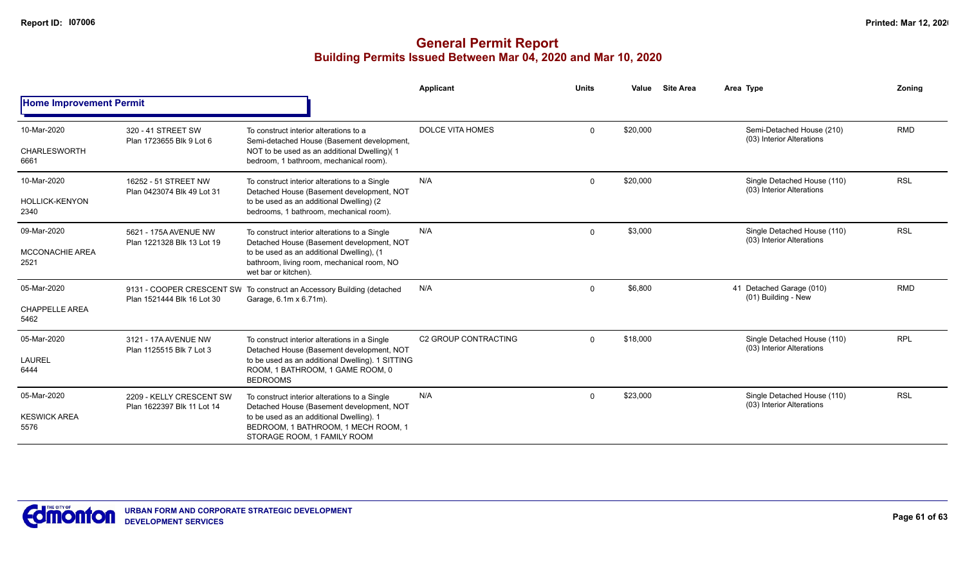|                                |                                                        |                                                                                                                                                                                                       | Applicant               | <b>Units</b> | Value    | <b>Site Area</b> | Area Type                                                | Zonina     |
|--------------------------------|--------------------------------------------------------|-------------------------------------------------------------------------------------------------------------------------------------------------------------------------------------------------------|-------------------------|--------------|----------|------------------|----------------------------------------------------------|------------|
| <b>Home Improvement Permit</b> |                                                        |                                                                                                                                                                                                       |                         |              |          |                  |                                                          |            |
| 10-Mar-2020                    | 320 - 41 STREET SW<br>Plan 1723655 Blk 9 Lot 6         | To construct interior alterations to a<br>Semi-detached House (Basement development,<br>NOT to be used as an additional Dwelling)(1<br>bedroom, 1 bathroom, mechanical room).                         | <b>DOLCE VITA HOMES</b> | $\mathbf 0$  | \$20,000 |                  | Semi-Detached House (210)<br>(03) Interior Alterations   | <b>RMD</b> |
| <b>CHARLESWORTH</b><br>6661    |                                                        |                                                                                                                                                                                                       |                         |              |          |                  |                                                          |            |
| 10-Mar-2020                    | 16252 - 51 STREET NW<br>Plan 0423074 Blk 49 Lot 31     | To construct interior alterations to a Single<br>Detached House (Basement development, NOT                                                                                                            | N/A                     | $\mathbf 0$  | \$20,000 |                  | Single Detached House (110)<br>(03) Interior Alterations | <b>RSL</b> |
| <b>HOLLICK-KENYON</b><br>2340  |                                                        | to be used as an additional Dwelling) (2<br>bedrooms, 1 bathroom, mechanical room).                                                                                                                   |                         |              |          |                  |                                                          |            |
| 09-Mar-2020                    | 5621 - 175A AVENUE NW<br>Plan 1221328 Blk 13 Lot 19    | To construct interior alterations to a Single<br>Detached House (Basement development, NOT                                                                                                            | N/A                     | $\mathbf 0$  | \$3,000  |                  | Single Detached House (110)<br>(03) Interior Alterations | <b>RSL</b> |
| <b>MCCONACHIE AREA</b><br>2521 |                                                        | to be used as an additional Dwelling), (1<br>bathroom, living room, mechanical room, NO<br>wet bar or kitchen).                                                                                       |                         |              |          |                  |                                                          |            |
| 05-Mar-2020                    | Plan 1521444 Blk 16 Lot 30                             | 9131 - COOPER CRESCENT SW To construct an Accessory Building (detached<br>Garage, 6.1m x 6.71m).                                                                                                      | N/A                     | $\mathbf 0$  | \$6,800  |                  | 41 Detached Garage (010)<br>(01) Building - New          | <b>RMD</b> |
| <b>CHAPPELLE AREA</b><br>5462  |                                                        |                                                                                                                                                                                                       |                         |              |          |                  |                                                          |            |
| 05-Mar-2020                    | 3121 - 17A AVENUE NW<br>Plan 1125515 Blk 7 Lot 3       | To construct interior alterations in a Single<br>Detached House (Basement development, NOT<br>to be used as an additional Dwelling). 1 SITTING<br>ROOM, 1 BATHROOM, 1 GAME ROOM, 0<br><b>BEDROOMS</b> | C2 GROUP CONTRACTING    | $\mathbf 0$  | \$18,000 |                  | Single Detached House (110)<br>(03) Interior Alterations | <b>RPL</b> |
| <b>LAUREL</b><br>6444          |                                                        |                                                                                                                                                                                                       |                         |              |          |                  |                                                          |            |
| 05-Mar-2020                    | 2209 - KELLY CRESCENT SW<br>Plan 1622397 Blk 11 Lot 14 | To construct interior alterations to a Single<br>Detached House (Basement development, NOT                                                                                                            | N/A                     | $\mathbf 0$  | \$23,000 |                  | Single Detached House (110)<br>(03) Interior Alterations | <b>RSL</b> |
| <b>KESWICK AREA</b><br>5576    |                                                        | to be used as an additional Dwelling). 1<br>BEDROOM, 1 BATHROOM, 1 MECH ROOM, 1<br>STORAGE ROOM, 1 FAMILY ROOM                                                                                        |                         |              |          |                  |                                                          |            |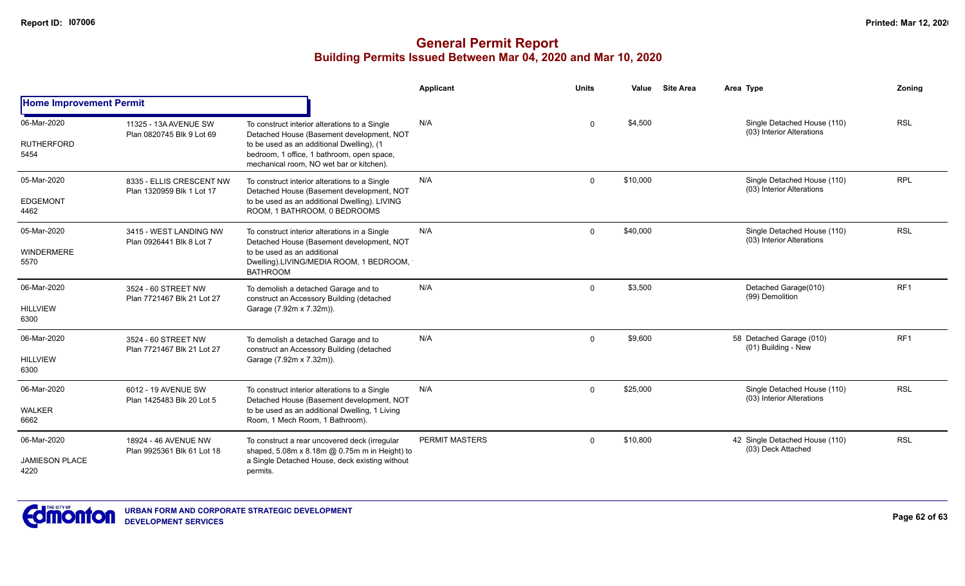|                                              |                                                       |                                                                                                                                                                                                                                   | Applicant             | <b>Units</b> | Value    | <b>Site Area</b> | Area Type                                                | Zonina          |
|----------------------------------------------|-------------------------------------------------------|-----------------------------------------------------------------------------------------------------------------------------------------------------------------------------------------------------------------------------------|-----------------------|--------------|----------|------------------|----------------------------------------------------------|-----------------|
| <b>Home Improvement Permit</b>               |                                                       |                                                                                                                                                                                                                                   |                       |              |          |                  |                                                          |                 |
| 06-Mar-2020<br><b>RUTHERFORD</b><br>5454     | 11325 - 13A AVENUE SW<br>Plan 0820745 Blk 9 Lot 69    | To construct interior alterations to a Single<br>Detached House (Basement development, NOT<br>to be used as an additional Dwelling), (1<br>bedroom, 1 office, 1 bathroom, open space,<br>mechanical room, NO wet bar or kitchen). | N/A                   | $\mathbf 0$  | \$4,500  |                  | Single Detached House (110)<br>(03) Interior Alterations | <b>RSL</b>      |
| 05-Mar-2020<br><b>EDGEMONT</b><br>4462       | 8335 - ELLIS CRESCENT NW<br>Plan 1320959 Blk 1 Lot 17 | To construct interior alterations to a Single<br>Detached House (Basement development, NOT<br>to be used as an additional Dwelling). LIVING<br>ROOM, 1 BATHROOM, 0 BEDROOMS                                                       | N/A                   | $\Omega$     | \$10,000 |                  | Single Detached House (110)<br>(03) Interior Alterations | <b>RPL</b>      |
| 05-Mar-2020<br>WINDERMERE<br>5570            | 3415 - WEST LANDING NW<br>Plan 0926441 Blk 8 Lot 7    | To construct interior alterations in a Single<br>Detached House (Basement development, NOT<br>to be used as an additional<br>Dwelling).LIVING/MEDIA ROOM, 1 BEDROOM,<br><b>BATHROOM</b>                                           | N/A                   | $\Omega$     | \$40,000 |                  | Single Detached House (110)<br>(03) Interior Alterations | <b>RSL</b>      |
| 06-Mar-2020<br><b>HILLVIEW</b><br>6300       | 3524 - 60 STREET NW<br>Plan 7721467 Blk 21 Lot 27     | To demolish a detached Garage and to<br>construct an Accessory Building (detached<br>Garage (7.92m x 7.32m)).                                                                                                                     | N/A                   | $\mathbf 0$  | \$3,500  |                  | Detached Garage(010)<br>(99) Demolition                  | RF1             |
| 06-Mar-2020<br><b>HILLVIEW</b><br>6300       | 3524 - 60 STREET NW<br>Plan 7721467 Blk 21 Lot 27     | To demolish a detached Garage and to<br>construct an Accessory Building (detached<br>Garage (7.92m x 7.32m)).                                                                                                                     | N/A                   | $\Omega$     | \$9,600  |                  | 58 Detached Garage (010)<br>(01) Building - New          | RF <sub>1</sub> |
| 06-Mar-2020<br><b>WALKER</b><br>6662         | 6012 - 19 AVENUE SW<br>Plan 1425483 Blk 20 Lot 5      | To construct interior alterations to a Single<br>Detached House (Basement development, NOT<br>to be used as an additional Dwelling, 1 Living<br>Room, 1 Mech Room, 1 Bathroom).                                                   | N/A                   | $\Omega$     | \$25,000 |                  | Single Detached House (110)<br>(03) Interior Alterations | <b>RSL</b>      |
| 06-Mar-2020<br><b>JAMIESON PLACE</b><br>4220 | 18924 - 46 AVENUE NW<br>Plan 9925361 Blk 61 Lot 18    | To construct a rear uncovered deck (irregular<br>shaped, 5.08m x 8.18m @ 0.75m m in Height) to<br>a Single Detached House, deck existing without<br>permits.                                                                      | <b>PERMIT MASTERS</b> | $\Omega$     | \$10,800 |                  | 42 Single Detached House (110)<br>(03) Deck Attached     | <b>RSL</b>      |